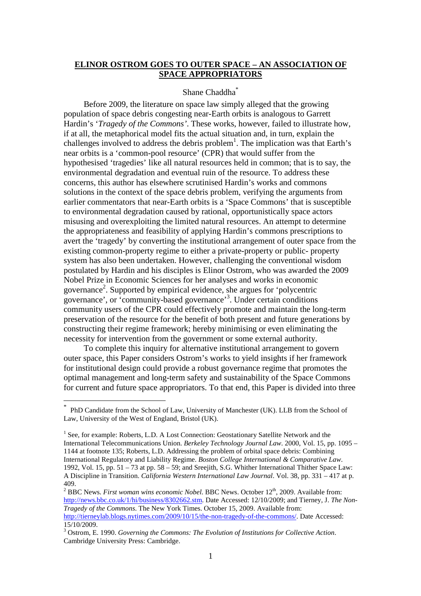# **ELINOR OSTROM GOES TO OUTER SPACE – AN ASSOCIATION OF SPACE APPROPRIATORS**

#### Shane Chaddha\*

Before 2009, the literature on space law simply alleged that the growing population of space debris congesting near-Earth orbits is analogous to Garrett Hardin's '*Tragedy of the Commons'*. These works, however, failed to illustrate how, if at all, the metaphorical model fits the actual situation and, in turn, explain the challenges involved to address the debris problem<sup>1</sup>. The implication was that Earth's near orbits is a 'common-pool resource' (CPR) that would suffer from the hypothesised 'tragedies' like all natural resources held in common; that is to say, the environmental degradation and eventual ruin of the resource. To address these concerns, this author has elsewhere scrutinised Hardin's works and commons solutions in the context of the space debris problem, verifying the arguments from earlier commentators that near-Earth orbits is a 'Space Commons' that is susceptible to environmental degradation caused by rational, opportunistically space actors misusing and overexploiting the limited natural resources. An attempt to determine the appropriateness and feasibility of applying Hardin's commons prescriptions to avert the 'tragedy' by converting the institutional arrangement of outer space from the existing common-property regime to either a private-property or public- property system has also been undertaken. However, challenging the conventional wisdom postulated by Hardin and his disciples is Elinor Ostrom, who was awarded the 2009 Nobel Prize in Economic Sciences for her analyses and works in economic governance 2 . Supported by empirical evidence, she argues for 'polycentric governance', or 'community-based governance'<sup>3</sup> . Under certain conditions community users of the CPR could effectively promote and maintain the long-term preservation of the resource for the benefit of both present and future generations by constructing their regime framework; hereby minimising or even eliminating the necessity for intervention from the government or some external authority.

To complete this inquiry for alternative institutional arrangement to govern outer space, this Paper considers Ostrom's works to yield insights if her framework for institutional design could provide a robust governance regime that promotes the optimal management and long-term safety and sustainability of the Space Commons for current and future space appropriators. To that end, this Paper is divided into three

<sup>\*</sup> PhD Candidate from the School of Law, University of Manchester (UK). LLB from the School of Law, University of the West of England, Bristol (UK).

<sup>&</sup>lt;sup>1</sup> See, for example: Roberts, L.D. A Lost Connection: Geostationary Satellite Network and the International Telecommunications Union. *Berkeley Technology Journal Law*. 2000, Vol. 15, pp. 1095 – 1144 at footnote 135; Roberts, L.D. Addressing the problem of orbital space debris: Combining International Regulatory and Liability Regime. *Boston College International & Comparative Law*. 1992, Vol. 15, pp. 51 – 73 at pp. 58 – 59; and Sreejith, S.G. Whither International Thither Space Law: A Discipline in Transition. *California Western International Law Journal*. Vol. 38, pp. 331 – 417 at p. 409.

<sup>&</sup>lt;sup>2</sup> BBC News. *First woman wins economic Nobel*. BBC News. October 12<sup>th</sup>, 2009. Available from: http://news.bbc.co.uk/1/hi/business/8302662.stm. Date Accessed: 12/10/2009; and Tierney, J. *The Non-Tragedy of the Commons*. The New York Times. October 15, 2009. Available from: http://tierneylab.blogs.nytimes.com/2009/10/15/the-non-tragedy-of-the-commons/. Date Accessed: 15/10/2009.

<sup>3</sup> Ostrom, E. 1990. *Governing the Commons: The Evolution of Institutions for Collective Action*. Cambridge University Press: Cambridge.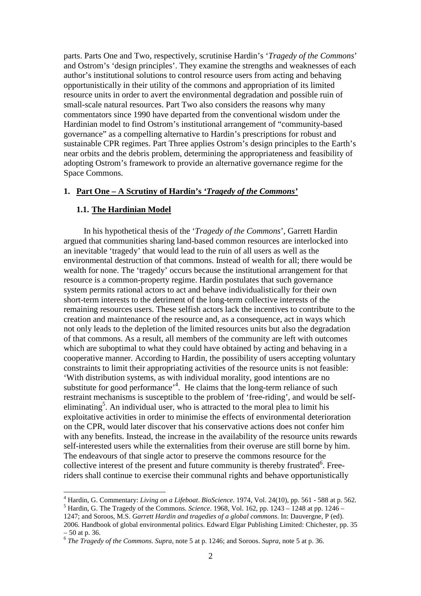parts. Parts One and Two, respectively, scrutinise Hardin's '*Tragedy of the Commons*' and Ostrom's 'design principles'. They examine the strengths and weaknesses of each author's institutional solutions to control resource users from acting and behaving opportunistically in their utility of the commons and appropriation of its limited resource units in order to avert the environmental degradation and possible ruin of small-scale natural resources. Part Two also considers the reasons why many commentators since 1990 have departed from the conventional wisdom under the Hardinian model to find Ostrom's institutional arrangement of "community-based governance" as a compelling alternative to Hardin's prescriptions for robust and sustainable CPR regimes. Part Three applies Ostrom's design principles to the Earth's near orbits and the debris problem, determining the appropriateness and feasibility of adopting Ostrom's framework to provide an alternative governance regime for the Space Commons.

# **1. Part One – A Scrutiny of Hardin's** *'Tragedy of the Commons'*

#### **1.1. The Hardinian Model**

 $\overline{a}$ 

In his hypothetical thesis of the '*Tragedy of the Commons*', Garrett Hardin argued that communities sharing land-based common resources are interlocked into an inevitable 'tragedy' that would lead to the ruin of all users as well as the environmental destruction of that commons. Instead of wealth for all; there would be wealth for none. The 'tragedy' occurs because the institutional arrangement for that resource is a common-property regime. Hardin postulates that such governance system permits rational actors to act and behave individualistically for their own short-term interests to the detriment of the long-term collective interests of the remaining resources users. These selfish actors lack the incentives to contribute to the creation and maintenance of the resource and, as a consequence, act in ways which not only leads to the depletion of the limited resources units but also the degradation of that commons. As a result, all members of the community are left with outcomes which are suboptimal to what they could have obtained by acting and behaving in a cooperative manner. According to Hardin, the possibility of users accepting voluntary constraints to limit their appropriating activities of the resource units is not feasible: 'With distribution systems, as with individual morality, good intentions are no substitute for good performance<sup> $4$ </sup>. He claims that the long-term reliance of such restraint mechanisms is susceptible to the problem of 'free-riding', and would be selfeliminating<sup>5</sup>. An individual user, who is attracted to the moral plea to limit his exploitative activities in order to minimise the effects of environmental deterioration on the CPR, would later discover that his conservative actions does not confer him with any benefits. Instead, the increase in the availability of the resource units rewards self-interested users while the externalities from their overuse are still borne by him. The endeavours of that single actor to preserve the commons resource for the collective interest of the present and future community is thereby frustrated<sup>6</sup>. Freeriders shall continue to exercise their communal rights and behave opportunistically

<sup>4</sup> Hardin, G. Commentary: *Living on a Lifeboat*. *BioScience*. 1974, Vol. 24(10), pp. 561 - 588 at p. 562.

<sup>5</sup> Hardin, G. The Tragedy of the Commons. *Science*. 1968, Vol. 162, pp. 1243 – 1248 at pp. 1246 – 1247; and Soroos, M.S. *Garrett Hardin and tragedies of a global commons*. In: Dauvergne, P (ed).

<sup>2006.</sup> Handbook of global environmental politics. Edward Elgar Publishing Limited: Chichester, pp. 35 – 50 at p. 36.

<sup>6</sup> *The Tragedy of the Commons*. *Supra*, note 5 at p. 1246; and Soroos. *Supra*, note 5 at p. 36.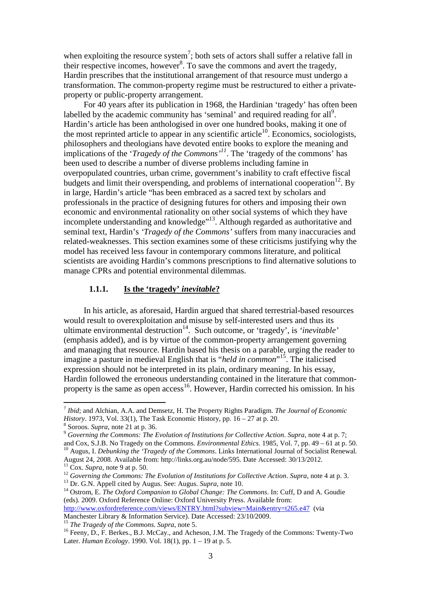when exploiting the resource system<sup>7</sup>; both sets of actors shall suffer a relative fall in their respective incomes, however<sup>8</sup>. To save the commons and avert the tragedy, Hardin prescribes that the institutional arrangement of that resource must undergo a transformation. The common-property regime must be restructured to either a privateproperty or public-property arrangement.

For 40 years after its publication in 1968, the Hardinian 'tragedy' has often been labelled by the academic community has 'seminal' and required reading for all $\degree$ . Hardin's article has been anthologised in over one hundred books, making it one of the most reprinted article to appear in any scientific article<sup>10</sup>. Economics, sociologists, philosophers and theologians have devoted entire books to explore the meaning and implications of the '*Tragedy of the Commons'<sup>11</sup>*. The 'tragedy of the commons' has been used to describe a number of diverse problems including famine in overpopulated countries, urban crime, government's inability to craft effective fiscal budgets and limit their overspending, and problems of international cooperation<sup>12</sup>. By in large, Hardin's article "has been embraced as a sacred text by scholars and professionals in the practice of designing futures for others and imposing their own economic and environmental rationality on other social systems of which they have incomplete understanding and knowledge"<sup>13</sup>. Although regarded as authoritative and seminal text, Hardin's *'Tragedy of the Commons'* suffers from many inaccuracies and related-weaknesses. This section examines some of these criticisms justifying why the model has received less favour in contemporary commons literature, and political scientists are avoiding Hardin's commons prescriptions to find alternative solutions to manage CPRs and potential environmental dilemmas.

#### **1.1.1. Is the 'tragedy'** *inevitable***?**

In his article, as aforesaid, Hardin argued that shared terrestrial-based resources would result to overexploitation and misuse by self-interested users and thus its ultimate environmental destruction<sup>14</sup>. Such outcome, or 'tragedy', is 'inevitable' (emphasis added), and is by virtue of the common-property arrangement governing and managing that resource. Hardin based his thesis on a parable, urging the reader to imagine a pasture in medieval English that is "*held in common*" <sup>15</sup>. The italicised expression should not be interpreted in its plain, ordinary meaning. In his essay, Hardin followed the erroneous understanding contained in the literature that commonproperty is the same as open access<sup>16</sup>. However, Hardin corrected his omission. In his

 $\overline{a}$ 

<sup>13</sup> Dr. G.N. Appell cited by Augus. See: Augus. *Supra,* note 10.

<sup>14</sup> Ostrom, E. *The Oxford Companion to Global Change: The Commons*. In: Cuff, D and A. Goudie (eds). 2009. Oxford Reference Online: Oxford University Press. Available from:

http://www.oxfordreference.com/views/ENTRY.html?subview=Main&entry=t265.e47 (via Manchester Library & Information Service). Date Accessed: 23/10/2009.

<sup>15</sup> *The Tragedy of the Commons*. *Supra*, note 5.

<sup>7</sup> *Ibid*; and Alchian, A.A. and Demsetz, H. The Property Rights Paradigm. *The Journal of Economic History*. 1973, Vol. 33(1), The Task Economic History, pp. 16 – 27 at p. 20.

<sup>8</sup> Soroos. *Supra*, note 21 at p. 36.

<sup>9</sup> *Governing the Commons: The Evolution of Institutions for Collective Action*. *Supra*, note 4 at p. 7; and Cox, S.J.B. No Tragedy on the Commons. *Environmental Ethics*. 1985, Vol. 7, pp. 49 – 61 at p. 50. <sup>10</sup> Augus, I. *Debunking the 'Tragedy of the Commons*. Links International Journal of Socialist Renewal*.* 

August 24, 2008. Available from: http://links.org.au/node/595. Date Accessed: 30/13/2012.

 $11$  Cox. *Supra*, note 9 at p. 50.

<sup>12</sup> *Governing the Commons: The Evolution of Institutions for Collective Action*. *Supra*, note 4 at p. 3.

<sup>&</sup>lt;sup>16</sup> Feeny, D., F. Berkes., B.J. McCay., and Acheson, J.M. The Tragedy of the Commons: Twenty-Two Later. *Human Ecology*. 1990. Vol. 18(1), pp. 1 – 19 at p. 5.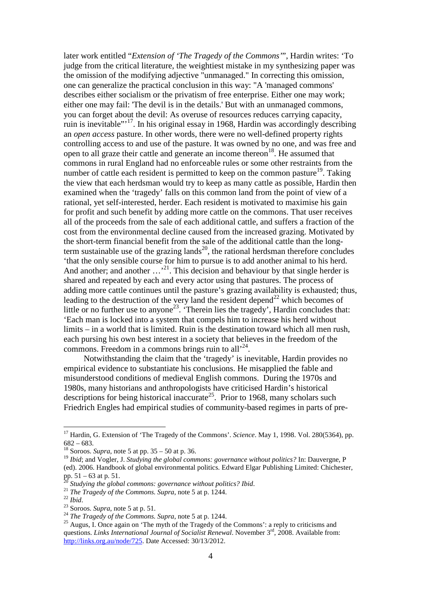later work entitled "*Extension of 'The Tragedy of the Commons'*", Hardin writes: 'To judge from the critical literature, the weightiest mistake in my synthesizing paper was the omission of the modifying adjective "unmanaged." In correcting this omission, one can generalize the practical conclusion in this way: "A 'managed commons' describes either socialism or the privatism of free enterprise. Either one may work; either one may fail: 'The devil is in the details.' But with an unmanaged commons, you can forget about the devil: As overuse of resources reduces carrying capacity, ruin is inevitable"'<sup>17</sup>. In his original essay in 1968, Hardin was accordingly describing an *open access* pasture. In other words, there were no well-defined property rights controlling access to and use of the pasture. It was owned by no one, and was free and open to all graze their cattle and generate an income thereon<sup>18</sup>. He assumed that commons in rural England had no enforceable rules or some other restraints from the number of cattle each resident is permitted to keep on the common pasture<sup>19</sup>. Taking the view that each herdsman would try to keep as many cattle as possible, Hardin then examined when the 'tragedy' falls on this common land from the point of view of a rational, yet self-interested, herder. Each resident is motivated to maximise his gain for profit and such benefit by adding more cattle on the commons. That user receives all of the proceeds from the sale of each additional cattle, and suffers a fraction of the cost from the environmental decline caused from the increased grazing. Motivated by the short-term financial benefit from the sale of the additional cattle than the longterm sustainable use of the grazing lands<sup>20</sup>, the rational herdsman therefore concludes 'that the only sensible course for him to pursue is to add another animal to his herd. And another; and another  $\dots$ <sup>21</sup>. This decision and behaviour by that single herder is shared and repeated by each and every actor using that pastures. The process of adding more cattle continues until the pasture's grazing availability is exhausted; thus, leading to the destruction of the very land the resident depend<sup>22</sup> which becomes of little or no further use to anyone<sup>23</sup>. Therein lies the tragedy', Hardin concludes that: 'Each man is locked into a system that compels him to increase his herd without limits – in a world that is limited. Ruin is the destination toward which all men rush, each pursing his own best interest in a society that believes in the freedom of the commons. Freedom in a commons brings ruin to all $^{24}$ .

Notwithstanding the claim that the 'tragedy' is inevitable, Hardin provides no empirical evidence to substantiate his conclusions. He misapplied the fable and misunderstood conditions of medieval English commons. During the 1970s and 1980s, many historians and anthropologists have criticised Hardin's historical descriptions for being historical inaccurate<sup>25</sup>. Prior to 1968, many scholars such Friedrich Engles had empirical studies of community-based regimes in parts of pre-

<sup>&</sup>lt;sup>17</sup> Hardin, G. Extension of 'The Tragedy of the Commons'. *Science*. May 1, 1998. Vol. 280(5364), pp. 682 – 683.

<sup>&</sup>lt;sup>18</sup> Soroos. *Supra*, note 5 at pp.  $35 - 50$  at p. 36.

<sup>&</sup>lt;sup>19</sup> *Ibid*; and Vogler, J. *Studying the global commons: governance without politics?* In: Dauvergne, P (ed). 2006. Handbook of global environmental politics. Edward Elgar Publishing Limited: Chichester, pp. 51 – 63 at p. 51.

<sup>20</sup> *Studying the global commons: governance without politics? Ibid*.

<sup>21</sup> *The Tragedy of the Commons*. *Supra*, note 5 at p. 1244.

<sup>22</sup> *Ibid*.

<sup>23</sup> Soroos. *Supra*, note 5 at p. 51.

<sup>24</sup> *The Tragedy of the Commons*. *Supra*, note 5 at p. 1244.

<sup>&</sup>lt;sup>25</sup> Augus, I. Once again on 'The myth of the Tragedy of the Commons': a reply to criticisms and questions. *Links International Journal of Socialist Renewal*. November 3<sup>rd</sup>, 2008. Available from: http://links.org.au/node/725. Date Accessed: 30/13/2012.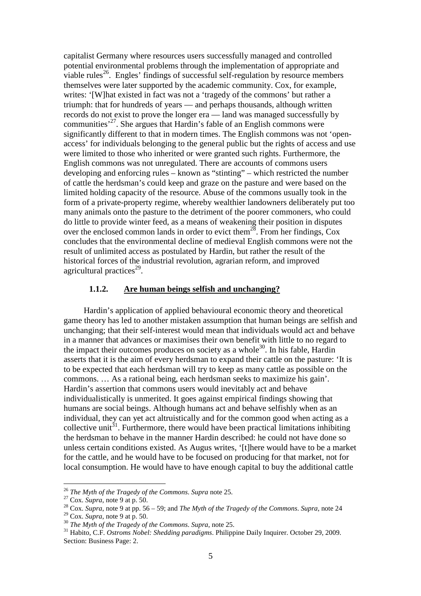capitalist Germany where resources users successfully managed and controlled potential environmental problems through the implementation of appropriate and viable rules<sup>26</sup>. Engles' findings of successful self-regulation by resource members themselves were later supported by the academic community. Cox, for example, writes: '[W]hat existed in fact was not a 'tragedy of the commons' but rather a triumph: that for hundreds of years — and perhaps thousands, although written records do not exist to prove the longer era — land was managed successfully by communities'<sup>27</sup>. She argues that Hardin's fable of an English commons were significantly different to that in modern times. The English commons was not 'openaccess' for individuals belonging to the general public but the rights of access and use were limited to those who inherited or were granted such rights. Furthermore, the English commons was not unregulated. There are accounts of commons users developing and enforcing rules – known as "stinting" – which restricted the number of cattle the herdsman's could keep and graze on the pasture and were based on the limited holding capacity of the resource. Abuse of the commons usually took in the form of a private-property regime, whereby wealthier landowners deliberately put too many animals onto the pasture to the detriment of the poorer commoners, who could do little to provide winter feed, as a means of weakening their position in disputes over the enclosed common lands in order to evict them<sup>28</sup>. From her findings,  $Cox$ concludes that the environmental decline of medieval English commons were not the result of unlimited access as postulated by Hardin, but rather the result of the historical forces of the industrial revolution, agrarian reform, and improved agricultural practices<sup>29</sup>.

### **1.1.2. Are human beings selfish and unchanging?**

Hardin's application of applied behavioural economic theory and theoretical game theory has led to another mistaken assumption that human beings are selfish and unchanging; that their self-interest would mean that individuals would act and behave in a manner that advances or maximises their own benefit with little to no regard to the impact their outcomes produces on society as a whole<sup>30</sup>. In his fable, Hardin asserts that it is the aim of every herdsman to expand their cattle on the pasture: 'It is to be expected that each herdsman will try to keep as many cattle as possible on the commons. … As a rational being, each herdsman seeks to maximize his gain'. Hardin's assertion that commons users would inevitably act and behave individualistically is unmerited. It goes against empirical findings showing that humans are social beings. Although humans act and behave selfishly when as an individual, they can yet act altruistically and for the common good when acting as a collective unit<sup>31</sup>. Furthermore, there would have been practical limitations inhibiting the herdsman to behave in the manner Hardin described: he could not have done so unless certain conditions existed. As Augus writes, '[t]here would have to be a market for the cattle, and he would have to be focused on producing for that market, not for local consumption. He would have to have enough capital to buy the additional cattle

<sup>26</sup> *The Myth of the Tragedy of the Commons*. *Supra* note 25.

<sup>27</sup> Cox. *Supra*, note 9 at p. 50.

<sup>28</sup> Cox. *Supra*, note 9 at pp. 56 – 59; and *The Myth of the Tragedy of the Commons*. *Supra*, note 24

<sup>29</sup> Cox. *Supra*, note 9 at p. 50.

<sup>30</sup> *The Myth of the Tragedy of the Commons*. *Supra*, note 25.

<sup>31</sup> Habito, C.F. *Ostroms Nobel: Shedding paradigms*. Philippine Daily Inquirer. October 29, 2009. Section: Business Page: 2.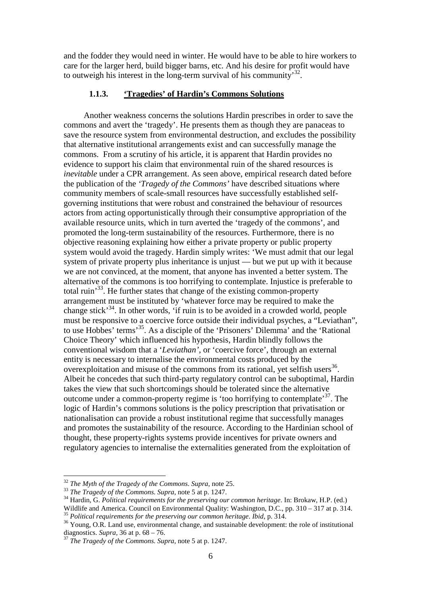and the fodder they would need in winter. He would have to be able to hire workers to care for the larger herd, build bigger barns, etc. And his desire for profit would have to outweigh his interest in the long-term survival of his community<sup>32</sup>.

# **1.1.3. 'Tragedies' of Hardin's Commons Solutions**

Another weakness concerns the solutions Hardin prescribes in order to save the commons and avert the 'tragedy'. He presents them as though they are panaceas to save the resource system from environmental destruction, and excludes the possibility that alternative institutional arrangements exist and can successfully manage the commons. From a scrutiny of his article, it is apparent that Hardin provides no evidence to support his claim that environmental ruin of the shared resources is *inevitable* under a CPR arrangement. As seen above, empirical research dated before the publication of the *'Tragedy of the Commons'* have described situations where community members of scale-small resources have successfully established selfgoverning institutions that were robust and constrained the behaviour of resources actors from acting opportunistically through their consumptive appropriation of the available resource units, which in turn averted the 'tragedy of the commons', and promoted the long-term sustainability of the resources. Furthermore, there is no objective reasoning explaining how either a private property or public property system would avoid the tragedy. Hardin simply writes: 'We must admit that our legal system of private property plus inheritance is unjust — but we put up with it because we are not convinced, at the moment, that anyone has invented a better system. The alternative of the commons is too horrifying to contemplate. Injustice is preferable to total ruin'<sup>33</sup>. He further states that change of the existing common-property arrangement must be instituted by 'whatever force may be required to make the change stick'<sup>34</sup>. In other words, 'if ruin is to be avoided in a crowded world, people must be responsive to a coercive force outside their individual psyches, a "Leviathan", to use Hobbes' terms'<sup>35</sup>. As a disciple of the 'Prisoners' Dilemma' and the 'Rational Choice Theory' which influenced his hypothesis, Hardin blindly follows the conventional wisdom that a '*Leviathan'*, or 'coercive force', through an external entity is necessary to internalise the environmental costs produced by the overexploitation and misuse of the commons from its rational, yet selfish users $^{36}$ . Albeit he concedes that such third-party regulatory control can be suboptimal, Hardin takes the view that such shortcomings should be tolerated since the alternative outcome under a common-property regime is 'too horrifying to contemplate'<sup>37</sup>. The logic of Hardin's commons solutions is the policy prescription that privatisation or nationalisation can provide a robust institutional regime that successfully manages and promotes the sustainability of the resource. According to the Hardinian school of thought, these property-rights systems provide incentives for private owners and regulatory agencies to internalise the externalities generated from the exploitation of

<sup>32</sup> *The Myth of the Tragedy of the Commons*. *Supra*, note 25.

<sup>33</sup> *The Tragedy of the Commons*. *Supra*, note 5 at p. 1247.

<sup>34</sup> Hardin, G. *Political requirements for the preserving our common heritage*. In: Brokaw, H.P. (ed.) Wildlife and America. Council on Environmental Quality: Washington, D.C., pp. 310 – 317 at p. 314.

<sup>35</sup> *Political requirements for the preserving our common heritage*. *Ibid*, p. 314.

<sup>&</sup>lt;sup>36</sup> Young, O.R. Land use, environmental change, and sustainable development: the role of institutional diagnostics. *Supra,* 36 at p. 68 – 76.

<sup>37</sup> *The Tragedy of the Commons*. *Supra*, note 5 at p. 1247.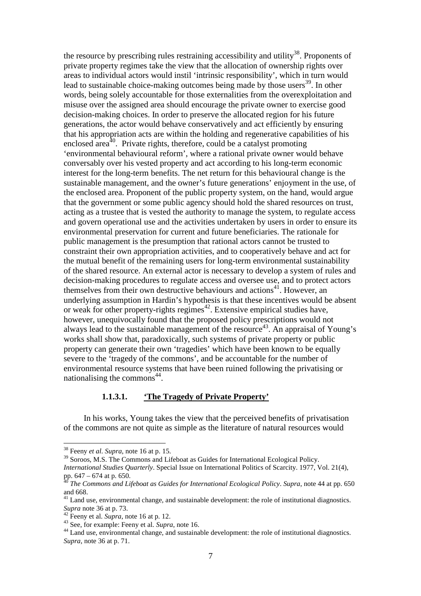the resource by prescribing rules restraining accessibility and utility<sup>38</sup>. Proponents of private property regimes take the view that the allocation of ownership rights over areas to individual actors would instil 'intrinsic responsibility', which in turn would lead to sustainable choice-making outcomes being made by those users<sup>39</sup>. In other words, being solely accountable for those externalities from the overexploitation and misuse over the assigned area should encourage the private owner to exercise good decision-making choices. In order to preserve the allocated region for his future generations, the actor would behave conservatively and act efficiently by ensuring that his appropriation acts are within the holding and regenerative capabilities of his enclosed area<sup>40</sup>. Private rights, therefore, could be a catalyst promoting 'environmental behavioural reform', where a rational private owner would behave conversably over his vested property and act according to his long-term economic interest for the long-term benefits. The net return for this behavioural change is the sustainable management, and the owner's future generations' enjoyment in the use, of the enclosed area. Proponent of the public property system, on the hand, would argue that the government or some public agency should hold the shared resources on trust, acting as a trustee that is vested the authority to manage the system, to regulate access and govern operational use and the activities undertaken by users in order to ensure its environmental preservation for current and future beneficiaries. The rationale for public management is the presumption that rational actors cannot be trusted to constraint their own appropriation activities, and to cooperatively behave and act for the mutual benefit of the remaining users for long-term environmental sustainability of the shared resource. An external actor is necessary to develop a system of rules and decision-making procedures to regulate access and oversee use, and to protect actors themselves from their own destructive behaviours and actions<sup>41</sup>. However, an underlying assumption in Hardin's hypothesis is that these incentives would be absent or weak for other property-rights regimes $42$ . Extensive empirical studies have, however, unequivocally found that the proposed policy prescriptions would not always lead to the sustainable management of the resource<sup>43</sup>. An appraisal of Young's works shall show that, paradoxically, such systems of private property or public property can generate their own 'tragedies' which have been known to be equally severe to the 'tragedy of the commons', and be accountable for the number of environmental resource systems that have been ruined following the privatising or nationalising the commons<sup>44</sup>.

### **1.1.3.1. 'The Tragedy of Private Property'**

In his works, Young takes the view that the perceived benefits of privatisation of the commons are not quite as simple as the literature of natural resources would

<sup>38</sup> Feeny *et al*. *Supra*, note 16 at p. 15.

<sup>&</sup>lt;sup>39</sup> Soroos, M.S. The Commons and Lifeboat as Guides for International Ecological Policy.

*International Studies Quarterly*. Special Issue on International Politics of Scarcity. 1977, Vol. 21(4), pp.  $647 - 674$  at p. 650.

<sup>&</sup>lt;sup>5</sup> The Commons and Lifeboat as Guides for International Ecological Policy. *Supra*, note 44 at pp. 650 and 668.

 $41$  Land use, environmental change, and sustainable development: the role of institutional diagnostics. *Supra* note 36 at p. 73.

<sup>42</sup> Feeny et al. *Supra*, note 16 at p. 12.

<sup>&</sup>lt;sup>43</sup> See, for example: Feeny et al. *Supra*, note 16.

<sup>&</sup>lt;sup>44</sup> Land use, environmental change, and sustainable development: the role of institutional diagnostics. *Supra*, note 36 at p. 71.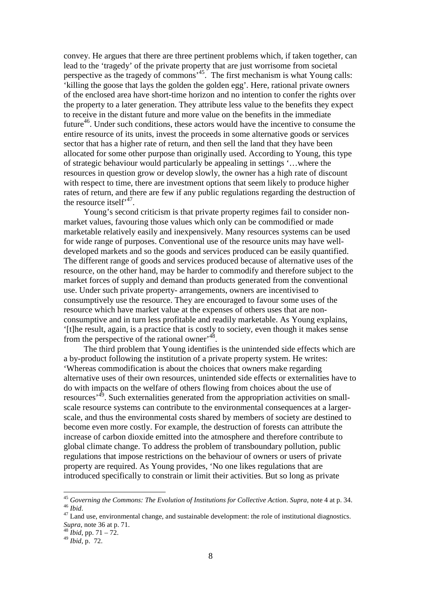convey. He argues that there are three pertinent problems which, if taken together, can lead to the 'tragedy' of the private property that are just worrisome from societal perspective as the tragedy of commons'<sup>45</sup>. The first mechanism is what Young calls: 'killing the goose that lays the golden the golden egg'. Here, rational private owners of the enclosed area have short-time horizon and no intention to confer the rights over the property to a later generation. They attribute less value to the benefits they expect to receive in the distant future and more value on the benefits in the immediate future<sup>46</sup>. Under such conditions, these actors would have the incentive to consume the entire resource of its units, invest the proceeds in some alternative goods or services sector that has a higher rate of return, and then sell the land that they have been allocated for some other purpose than originally used. According to Young, this type of strategic behaviour would particularly be appealing in settings '…where the resources in question grow or develop slowly, the owner has a high rate of discount with respect to time, there are investment options that seem likely to produce higher rates of return, and there are few if any public regulations regarding the destruction of the resource itself<sup> $147$ </sup>.

Young's second criticism is that private property regimes fail to consider nonmarket values, favouring those values which only can be commodified or made marketable relatively easily and inexpensively. Many resources systems can be used for wide range of purposes. Conventional use of the resource units may have welldeveloped markets and so the goods and services produced can be easily quantified. The different range of goods and services produced because of alternative uses of the resource, on the other hand, may be harder to commodify and therefore subject to the market forces of supply and demand than products generated from the conventional use. Under such private property- arrangements, owners are incentivised to consumptively use the resource. They are encouraged to favour some uses of the resource which have market value at the expenses of others uses that are nonconsumptive and in turn less profitable and readily marketable. As Young explains, '[t]he result, again, is a practice that is costly to society, even though it makes sense from the perspective of the rational owner<sup>, 48</sup>.

The third problem that Young identifies is the unintended side effects which are a by-product following the institution of a private property system. He writes: 'Whereas commodification is about the choices that owners make regarding alternative uses of their own resources, unintended side effects or externalities have to do with impacts on the welfare of others flowing from choices about the use of resources<sup> $49$ </sup>. Such externalities generated from the appropriation activities on smallscale resource systems can contribute to the environmental consequences at a largerscale, and thus the environmental costs shared by members of society are destined to become even more costly. For example, the destruction of forests can attribute the increase of carbon dioxide emitted into the atmosphere and therefore contribute to global climate change. To address the problem of transboundary pollution, public regulations that impose restrictions on the behaviour of owners or users of private property are required. As Young provides, 'No one likes regulations that are introduced specifically to constrain or limit their activities. But so long as private

<sup>45</sup> *Governing the Commons: The Evolution of Institutions for Collective Action*. *Supra*, note 4 at p. 34. <sup>46</sup> *Ibid*.

<sup>&</sup>lt;sup>47</sup> Land use, environmental change, and sustainable development: the role of institutional diagnostics. *Supra*, note 36 at p. 71.

 $48$  *Ibid*, pp. 71 – 72.

<sup>49</sup> *Ibid*, p. 72.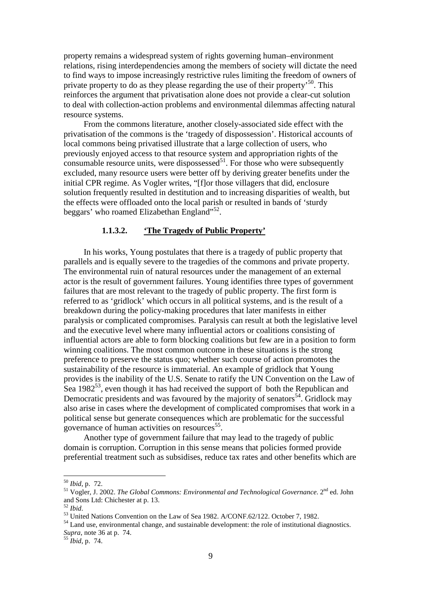property remains a widespread system of rights governing human–environment relations, rising interdependencies among the members of society will dictate the need to find ways to impose increasingly restrictive rules limiting the freedom of owners of private property to do as they please regarding the use of their property<sup>50</sup>. This reinforces the argument that privatisation alone does not provide a clear-cut solution to deal with collection-action problems and environmental dilemmas affecting natural resource systems.

From the commons literature, another closely-associated side effect with the privatisation of the commons is the 'tragedy of dispossession'. Historical accounts of local commons being privatised illustrate that a large collection of users, who previously enjoyed access to that resource system and appropriation rights of the consumable resource units, were dispossessed<sup>51</sup>. For those who were subsequently excluded, many resource users were better off by deriving greater benefits under the initial CPR regime. As Vogler writes, "[f]or those villagers that did, enclosure solution frequently resulted in destitution and to increasing disparities of wealth, but the effects were offloaded onto the local parish or resulted in bands of 'sturdy beggars' who roamed Elizabethan England"<sup>52</sup>.

#### **1.1.3.2. 'The Tragedy of Public Property'**

In his works, Young postulates that there is a tragedy of public property that parallels and is equally severe to the tragedies of the commons and private property. The environmental ruin of natural resources under the management of an external actor is the result of government failures. Young identifies three types of government failures that are most relevant to the tragedy of public property. The first form is referred to as 'gridlock' which occurs in all political systems, and is the result of a breakdown during the policy-making procedures that later manifests in either paralysis or complicated compromises. Paralysis can result at both the legislative level and the executive level where many influential actors or coalitions consisting of influential actors are able to form blocking coalitions but few are in a position to form winning coalitions. The most common outcome in these situations is the strong preference to preserve the status quo; whether such course of action promotes the sustainability of the resource is immaterial. An example of gridlock that Young provides is the inability of the U.S. Senate to ratify the UN Convention on the Law of Sea  $1982^{53}$ , even though it has had received the support of both the Republican and Democratic presidents and was favoured by the majority of senators<sup>54</sup>. Gridlock may also arise in cases where the development of complicated compromises that work in a political sense but generate consequences which are problematic for the successful governance of human activities on resources<sup>55</sup>.

Another type of government failure that may lead to the tragedy of public domain is corruption. Corruption in this sense means that policies formed provide preferential treatment such as subsidises, reduce tax rates and other benefits which are

<sup>50</sup> *Ibid*, p. 72.

<sup>&</sup>lt;sup>51</sup> Vogler, J. 2002. *The Global Commons: Environmental and Technological Governance*. 2<sup>nd</sup> ed. John and Sons Ltd: Chichester at p. 13.

<sup>52</sup> *Ibid*.

<sup>53</sup> United Nations Convention on the Law of Sea 1982. A/CONF.62/122. October 7, 1982.

<sup>&</sup>lt;sup>54</sup> Land use, environmental change, and sustainable development: the role of institutional diagnostics. *Supra*, note 36 at p. 74.

<sup>55</sup> *Ibid*, p. 74.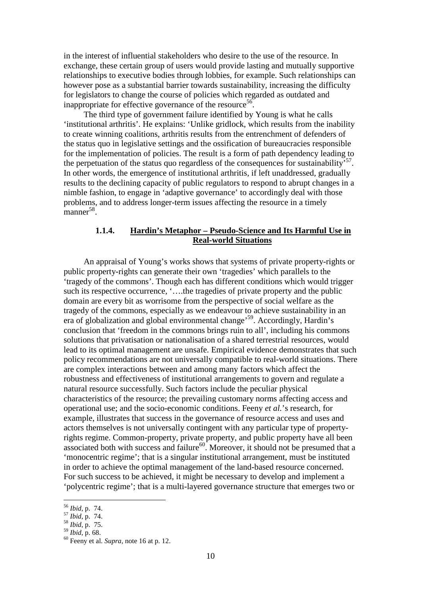in the interest of influential stakeholders who desire to the use of the resource. In exchange, these certain group of users would provide lasting and mutually supportive relationships to executive bodies through lobbies, for example. Such relationships can however pose as a substantial barrier towards sustainability, increasing the difficulty for legislators to change the course of policies which regarded as outdated and inappropriate for effective governance of the resource<sup>56</sup>.

The third type of government failure identified by Young is what he calls 'institutional arthritis'. He explains: 'Unlike gridlock, which results from the inability to create winning coalitions, arthritis results from the entrenchment of defenders of the status quo in legislative settings and the ossification of bureaucracies responsible for the implementation of policies. The result is a form of path dependency leading to the perpetuation of the status quo regardless of the consequences for sustainability<sup>57</sup>. In other words, the emergence of institutional arthritis, if left unaddressed, gradually results to the declining capacity of public regulators to respond to abrupt changes in a nimble fashion, to engage in 'adaptive governance' to accordingly deal with those problems, and to address longer-term issues affecting the resource in a timely  $manner^{58}$ .

# **1.1.4. Hardin's Metaphor – Pseudo-Science and Its Harmful Use in Real-world Situations**

An appraisal of Young's works shows that systems of private property-rights or public property-rights can generate their own 'tragedies' which parallels to the 'tragedy of the commons'. Though each has different conditions which would trigger such its respective occurrence, '….the tragedies of private property and the public domain are every bit as worrisome from the perspective of social welfare as the tragedy of the commons, especially as we endeavour to achieve sustainability in an era of globalization and global environmental change'<sup>59</sup>. Accordingly, Hardin's conclusion that 'freedom in the commons brings ruin to all', including his commons solutions that privatisation or nationalisation of a shared terrestrial resources, would lead to its optimal management are unsafe. Empirical evidence demonstrates that such policy recommendations are not universally compatible to real-world situations. There are complex interactions between and among many factors which affect the robustness and effectiveness of institutional arrangements to govern and regulate a natural resource successfully. Such factors include the peculiar physical characteristics of the resource; the prevailing customary norms affecting access and operational use; and the socio-economic conditions. Feeny *et al.*'s research, for example, illustrates that success in the governance of resource access and uses and actors themselves is not universally contingent with any particular type of propertyrights regime. Common-property, private property, and public property have all been associated both with success and failure<sup>60</sup>. Moreover, it should not be presumed that a 'monocentric regime'; that is a singular institutional arrangement, must be instituted in order to achieve the optimal management of the land-based resource concerned. For such success to be achieved, it might be necessary to develop and implement a 'polycentric regime'; that is a multi-layered governance structure that emerges two or

<sup>56</sup> *Ibid*, p. 74.

<sup>57</sup> *Ibid*, p. 74.

<sup>58</sup> *Ibid*, p. 75.

<sup>59</sup> *Ibid*, p. 68.

<sup>60</sup> Feeny et al. *Supra*, note 16 at p. 12.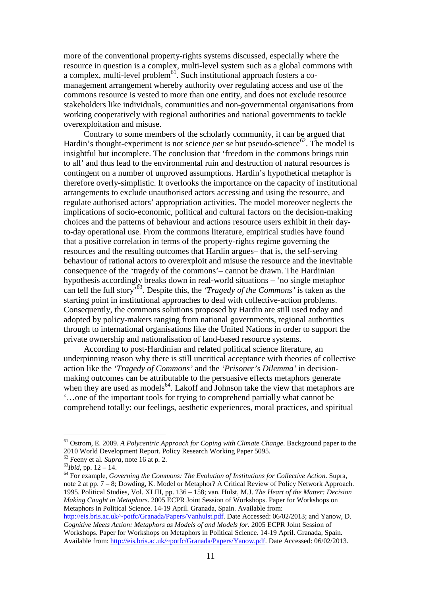more of the conventional property-rights systems discussed, especially where the resource in question is a complex, multi-level system such as a global commons with a complex, multi-level problem<sup>61</sup>. Such institutional approach fosters a comanagement arrangement whereby authority over regulating access and use of the commons resource is vested to more than one entity, and does not exclude resource stakeholders like individuals, communities and non-governmental organisations from working cooperatively with regional authorities and national governments to tackle overexploitation and misuse.

Contrary to some members of the scholarly community, it can be argued that Hardin's thought-experiment is not science *per se* but pseudo-science<sup>62</sup>. The model is insightful but incomplete. The conclusion that 'freedom in the commons brings ruin to all' and thus lead to the environmental ruin and destruction of natural resources is contingent on a number of unproved assumptions. Hardin's hypothetical metaphor is therefore overly-simplistic. It overlooks the importance on the capacity of institutional arrangements to exclude unauthorised actors accessing and using the resource, and regulate authorised actors' appropriation activities. The model moreover neglects the implications of socio-economic, political and cultural factors on the decision-making choices and the patterns of behaviour and actions resource users exhibit in their dayto-day operational use. From the commons literature, empirical studies have found that a positive correlation in terms of the property-rights regime governing the resources and the resulting outcomes that Hardin argues– that is, the self-serving behaviour of rational actors to overexploit and misuse the resource and the inevitable consequence of the 'tragedy of the commons'– cannot be drawn. The Hardinian hypothesis accordingly breaks down in real-world situations – 'no single metaphor can tell the full story'<sup>63</sup>. Despite this, the *'Tragedy of the Commons'* is taken as the starting point in institutional approaches to deal with collective-action problems. Consequently, the commons solutions proposed by Hardin are still used today and adopted by policy-makers ranging from national governments, regional authorities through to international organisations like the United Nations in order to support the private ownership and nationalisation of land-based resource systems.

According to post-Hardinian and related political science literature, an underpinning reason why there is still uncritical acceptance with theories of collective action like the *'Tragedy of Commons'* and the *'Prisoner's Dilemma'* in decisionmaking outcomes can be attributable to the persuasive effects metaphors generate when they are used as models<sup>64</sup>. Lakoff and Johnson take the view that metaphors are '…one of the important tools for trying to comprehend partially what cannot be comprehend totally: our feelings, aesthetic experiences, moral practices, and spiritual

 $\overline{a}$ 

<sup>64</sup> For example, *Governing the Commons: The Evolution of Institutions for Collective Action*. Supra, note 2 at pp. 7 – 8; Dowding, K. Model or Metaphor? A Critical Review of Policy Network Approach. 1995. Political Studies, Vol. XLIII, pp. 136 – 158; van. Hulst, M.J. *The Heart of the Matter: Decision Making Caught in Metaphors*. 2005 ECPR Joint Session of Workshops. Paper for Workshops on Metaphors in Political Science. 14-19 April. Granada, Spain. Available from: http://eis.bris.ac.uk/~potfc/Granada/Papers/Vanhulst.pdf. Date Accessed: 06/02/2013; and Yanow, D.

<sup>61</sup> Ostrom, E. 2009. *A Polycentric Approach for Coping with Climate Change*. Background paper to the 2010 World Development Report. Policy Research Working Paper 5095.

<sup>62</sup> Feeny et al. *Supra*, note 16 at p. 2.

<sup>63</sup>*Ibid*, pp. 12 – 14.

*Cognitive Meets Action: Metaphors as Models of and Models for*. 2005 ECPR Joint Session of Workshops. Paper for Workshops on Metaphors in Political Science. 14-19 April. Granada, Spain. Available from: http://eis.bris.ac.uk/~potfc/Granada/Papers/Yanow.pdf. Date Accessed: 06/02/2013.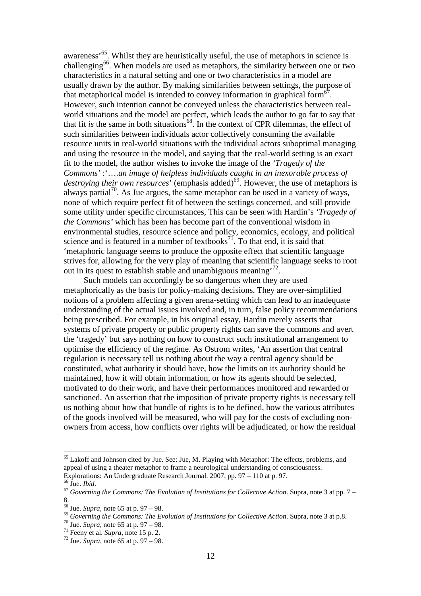awareness'<sup>65</sup>. Whilst they are heuristically useful, the use of metaphors in science is challenging<sup>66</sup>. When models are used as metaphors, the similarity between one or two characteristics in a natural setting and one or two characteristics in a model are usually drawn by the author. By making similarities between settings, the purpose of that metaphorical model is intended to convey information in graphical form<sup>67</sup>. However, such intention cannot be conveyed unless the characteristics between realworld situations and the model are perfect, which leads the author to go far to say that that fit *is* the same in both situations<sup>68</sup>. In the context of CPR dilemmas, the effect of such similarities between individuals actor collectively consuming the available resource units in real-world situations with the individual actors suboptimal managing and using the resource in the model, and saying that the real-world setting is an exact fit to the model, the author wishes to invoke the image of the *'Tragedy of the Commons'* :'….*an image of helpless individuals caught in an inexorable process of destroying their own resources*<sup>†</sup> (emphasis added)<sup>69</sup>. However, the use of metaphors is always partial<sup>70</sup>. As Jue argues, the same metaphor can be used in a variety of ways, none of which require perfect fit of between the settings concerned, and still provide some utility under specific circumstances, This can be seen with Hardin's *'Tragedy of the Commons'* which has been has become part of the conventional wisdom in environmental studies, resource science and policy, economics, ecology, and political science and is featured in a number of textbooks<sup>71</sup>. To that end, it is said that 'metaphoric language seems to produce the opposite effect that scientific language strives for, allowing for the very play of meaning that scientific language seeks to root out in its quest to establish stable and unambiguous meaning<sup>72</sup>.

Such models can accordingly be so dangerous when they are used metaphorically as the basis for policy-making decisions. They are over-simplified notions of a problem affecting a given arena-setting which can lead to an inadequate understanding of the actual issues involved and, in turn, false policy recommendations being prescribed. For example, in his original essay, Hardin merely asserts that systems of private property or public property rights can save the commons and avert the 'tragedy' but says nothing on how to construct such institutional arrangement to optimise the efficiency of the regime. As Ostrom writes, 'An assertion that central regulation is necessary tell us nothing about the way a central agency should be constituted, what authority it should have, how the limits on its authority should be maintained, how it will obtain information, or how its agents should be selected, motivated to do their work, and have their performances monitored and rewarded or sanctioned. An assertion that the imposition of private property rights is necessary tell us nothing about how that bundle of rights is to be defined, how the various attributes of the goods involved will be measured, who will pay for the costs of excluding nonowners from access, how conflicts over rights will be adjudicated, or how the residual

<sup>&</sup>lt;sup>65</sup> Lakoff and Johnson cited by Jue. See: Jue, M. Playing with Metaphor: The effects, problems, and appeal of using a theater metaphor to frame a neurological understanding of consciousness. Explorations: An Undergraduate Research Journal. 2007, pp. 97 – 110 at p. 97.

<sup>66</sup> Jue. *Ibid*.

<sup>67</sup> *Governing the Commons: The Evolution of Institutions for Collective Action*. Supra, note 3 at pp. 7 – 8.

<sup>68</sup> Jue. *Supra*, note 65 at p. 97 – 98.

<sup>69</sup> *Governing the Commons: The Evolution of Institutions for Collective Action*. Supra, note 3 at p.8.

<sup>70</sup> Jue. *Supra*, note 65 at p. 97 – 98.

<sup>71</sup> Feeny et al. *Supra*, note 15 p. 2.

<sup>72</sup> Jue. *Supra*, note 65 at p. 97 – 98.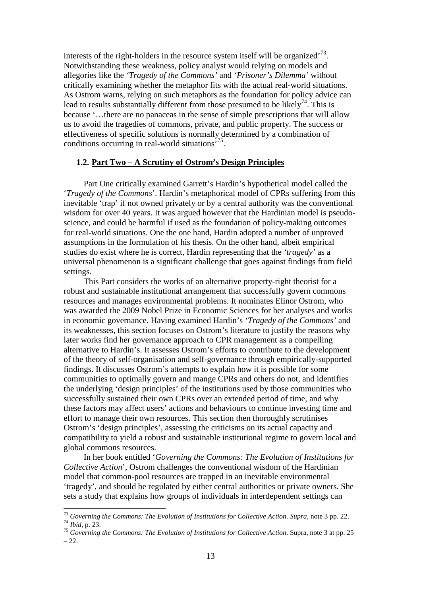interests of the right-holders in the resource system itself will be organized<sup> $73$ </sup>. Notwithstanding these weakness, policy analyst would relying on models and allegories like the *'Tragedy of the Commons'* and *'Prisoner's Dilemma'* without critically examining whether the metaphor fits with the actual real-world situations. As Ostrom warns, relying on such metaphors as the foundation for policy advice can lead to results substantially different from those presumed to be likely<sup>74</sup>. This is because '…there are no panaceas in the sense of simple prescriptions that will allow us to avoid the tragedies of commons, private, and public property. The success or effectiveness of specific solutions is normally determined by a combination of conditions occurring in real-world situations<sup>75</sup>.

# **1.2. Part Two – A Scrutiny of Ostrom's Design Principles**

Part One critically examined Garrett's Hardin's hypothetical model called the '*Tragedy of the Commons*'. Hardin's metaphorical model of CPRs suffering from this inevitable 'trap' if not owned privately or by a central authority was the conventional wisdom for over 40 years. It was argued however that the Hardinian model is pseudoscience, and could be harmful if used as the foundation of policy-making outcomes for real-world situations. One the one hand, Hardin adopted a number of unproved assumptions in the formulation of his thesis. On the other hand, albeit empirical studies do exist where he is correct, Hardin representing that the *'tragedy'* as a universal phenomenon is a significant challenge that goes against findings from field settings.

This Part considers the works of an alternative property-right theorist for a robust and sustainable institutional arrangement that successfully govern commons resources and manages environmental problems. It nominates Elinor Ostrom, who was awarded the 2009 Nobel Prize in Economic Sciences for her analyses and works in economic governance. Having examined Hardin's *'Tragedy of the Commons'* and its weaknesses, this section focuses on Ostrom's literature to justify the reasons why later works find her governance approach to CPR management as a compelling alternative to Hardin's. It assesses Ostrom's efforts to contribute to the development of the theory of self-organisation and self-governance through empirically-supported findings. It discusses Ostrom's attempts to explain how it is possible for some communities to optimally govern and mange CPRs and others do not, and identifies the underlying 'design principles' of the institutions used by those communities who successfully sustained their own CPRs over an extended period of time, and why these factors may affect users' actions and behaviours to continue investing time and effort to manage their own resources. This section then thoroughly scrutinises Ostrom's 'design principles', assessing the criticisms on its actual capacity and compatibility to yield a robust and sustainable institutional regime to govern local and global commons resources.

In her book entitled '*Governing the Commons: The Evolution of Institutions for Collective Action*', Ostrom challenges the conventional wisdom of the Hardinian model that common-pool resources are trapped in an inevitable environmental 'tragedy', and should be regulated by either central authorities or private owners. She sets a study that explains how groups of individuals in interdependent settings can

<sup>73</sup> *Governing the Commons: The Evolution of Institutions for Collective Action*. *Supra*, note 3 pp. 22. <sup>74</sup> *Ibid,* p. 23.

<sup>75</sup> *Governing the Commons: The Evolution of Institutions for Collective Action*. Supra, note 3 at pp. 25  $-22.$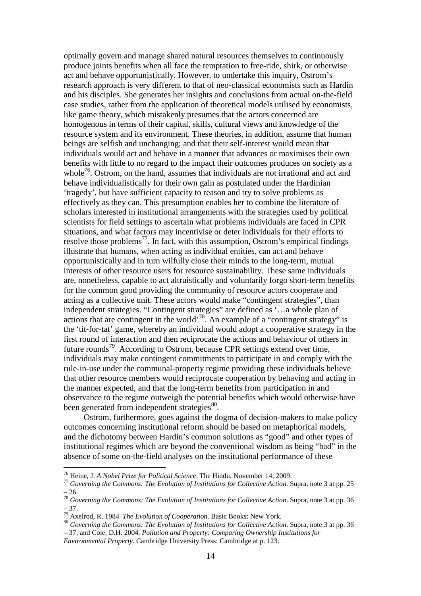optimally govern and manage shared natural resources themselves to continuously produce joints benefits when all face the temptation to free-ride, shirk, or otherwise act and behave opportunistically. However, to undertake this inquiry, Ostrom's research approach is very different to that of neo-classical economists such as Hardin and his disciples. She generates her insights and conclusions from actual on-the-field case studies, rather from the application of theoretical models utilised by economists, like game theory, which mistakenly presumes that the actors concerned are homogenous in terms of their capital, skills, cultural views and knowledge of the resource system and its environment. These theories, in addition, assume that human beings are selfish and unchanging; and that their self-interest would mean that individuals would act and behave in a manner that advances or maximises their own benefits with little to no regard to the impact their outcomes produces on society as a whole<sup>76</sup>. Ostrom, on the hand, assumes that individuals are not irrational and act and behave individualistically for their own gain as postulated under the Hardinian 'tragedy', but have sufficient capacity to reason and try to solve problems as effectively as they can. This presumption enables her to combine the literature of scholars interested in institutional arrangements with the strategies used by political scientists for field settings to ascertain what problems individuals are faced in CPR situations, and what factors may incentivise or deter individuals for their efforts to resolve those problems<sup>77</sup>. In fact, with this assumption, Ostrom's empirical findings illustrate that humans, when acting as individual entities, can act and behave opportunistically and in turn wilfully close their minds to the long-term, mutual interests of other resource users for resource sustainability. These same individuals are, nonetheless, capable to act altruistically and voluntarily forgo short-term benefits for the common good providing the community of resource actors cooperate and acting as a collective unit. These actors would make "contingent strategies", than independent strategies. "Contingent strategies" are defined as '…a whole plan of actions that are contingent in the world<sup>78</sup>. An example of a "contingent strategy" is the 'tit-for-tat' game, whereby an individual would adopt a cooperative strategy in the first round of interaction and then reciprocate the actions and behaviour of others in future rounds<sup>79</sup>. According to Ostrom, because CPR settings extend over time, individuals may make contingent commitments to participate in and comply with the rule-in-use under the communal-property regime providing these individuals believe that other resource members would reciprocate cooperation by behaving and acting in the manner expected, and that the long-term benefits from participation in and observance to the regime outweigh the potential benefits which would otherwise have been generated from independent strategies<sup>80</sup>.

Ostrom, furthermore, goes against the dogma of decision-makers to make policy outcomes concerning institutional reform should be based on metaphorical models, and the dichotomy between Hardin's common solutions as "good" and other types of institutional regimes which are beyond the conventional wisdom as being "bad" in the absence of some on-the-field analyses on the institutional performance of these

<sup>76</sup> Heine, J. *A Nobel Prize for Political Science*. The Hindu. November 14, 2009.

<sup>77</sup> *Governing the Commons: The Evolution of Institutions for Collective Action*. Supra, note 3 at pp. 25  $-26.$ 

<sup>78</sup> *Governing the Commons: The Evolution of Institutions for Collective Action*. Supra, note 3 at pp. 36 – 37.

<sup>79</sup> Axelrod, R. 1984. *The Evolution of Cooperation*. Basic Books: New York.

<sup>80</sup> *Governing the Commons: The Evolution of Institutions for Collective Action*. Supra, note 3 at pp. 36 – 37; and Cole, D.H. 2004. *Pollution and Property: Comparing Ownership Institutions for* 

*Environmental Property*. Cambridge University Press: Cambridge at p. 123.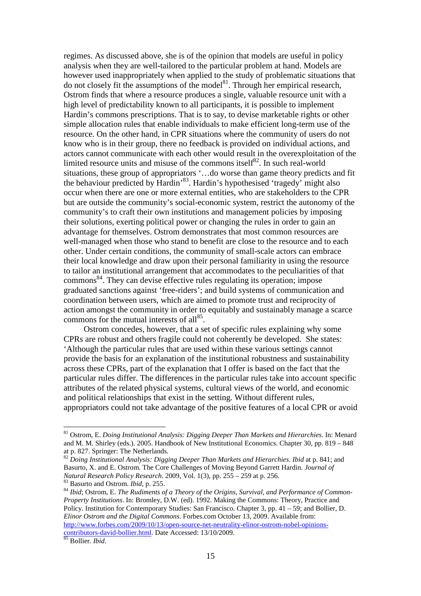regimes. As discussed above, she is of the opinion that models are useful in policy analysis when they are well-tailored to the particular problem at hand. Models are however used inappropriately when applied to the study of problematic situations that do not closely fit the assumptions of the model<sup>81</sup>. Through her empirical research, Ostrom finds that where a resource produces a single, valuable resource unit with a high level of predictability known to all participants, it is possible to implement Hardin's commons prescriptions. That is to say, to devise marketable rights or other simple allocation rules that enable individuals to make efficient long-term use of the resource. On the other hand, in CPR situations where the community of users do not know who is in their group, there no feedback is provided on individual actions, and actors cannot communicate with each other would result in the overexploitation of the limited resource units and misuse of the commons itself $^{82}$ . In such real-world situations, these group of appropriators '…do worse than game theory predicts and fit the behaviour predicted by Hardin'<sup>83</sup>. Hardin's hypothesised 'tragedy' might also occur when there are one or more external entities, who are stakeholders to the CPR but are outside the community's social-economic system, restrict the autonomy of the community's to craft their own institutions and management policies by imposing their solutions, exerting political power or changing the rules in order to gain an advantage for themselves. Ostrom demonstrates that most common resources are well-managed when those who stand to benefit are close to the resource and to each other. Under certain conditions, the community of small-scale actors can embrace their local knowledge and draw upon their personal familiarity in using the resource to tailor an institutional arrangement that accommodates to the peculiarities of that commons<sup>84</sup>. They can devise effective rules regulating its operation; impose graduated sanctions against 'free-riders'; and build systems of communication and coordination between users, which are aimed to promote trust and reciprocity of action amongst the community in order to equitably and sustainably manage a scarce commons for the mutual interests of all $^{85}$ .

Ostrom concedes, however, that a set of specific rules explaining why some CPRs are robust and others fragile could not coherently be developed. She states: 'Although the particular rules that are used within these various settings cannot provide the basis for an explanation of the institutional robustness and sustainability across these CPRs, part of the explanation that I offer is based on the fact that the particular rules differ. The differences in the particular rules take into account specific attributes of the related physical systems, cultural views of the world, and economic and political relationships that exist in the setting. Without different rules, appropriators could not take advantage of the positive features of a local CPR or avoid

<sup>81</sup> Ostrom, E. *Doing Institutional Analysis: Digging Deeper Than Markets and Hierarchies*. In: Menard and M. M. Shirley (eds.). 2005. Handbook of New Institutional Economics. Chapter 30, pp. 819 – 848 at p. 827. Springer: The Netherlands.

<sup>82</sup> *Doing Institutional Analysis: Digging Deeper Than Markets and Hierarchies*. *Ibid* at p. 841; and Basurto, X. and E. Ostrom. The Core Challenges of Moving Beyond Garrett Hardin. *Journal of Natural Research Policy Research*. 2009, Vol. 1(3), pp. 255 – 259 at p. 256. <sup>83</sup> Basurto and Ostrom. *Ibid*, p. 255.

<sup>84</sup> *Ibid*; Ostrom, E. *The Rudiments of a Theory of the Origins, Survival, and Performance of Common-Property Institutions*. In: Bromley, D.W. (ed). 1992. Making the Commons: Theory, Practice and Policy. Institution for Contemporary Studies: San Francisco. Chapter 3, pp. 41 – 59; and Bollier, D. *Elinor Ostrom and the Digital Commons*. Forbes.com October 13, 2009. Available from: http://www.forbes.com/2009/10/13/open-source-net-neutrality-elinor-ostrom-nobel-opinionscontributors-david-bollier.html. Date Accessed: 13/10/2009.

<sup>85</sup> Bollier. *Ibid*.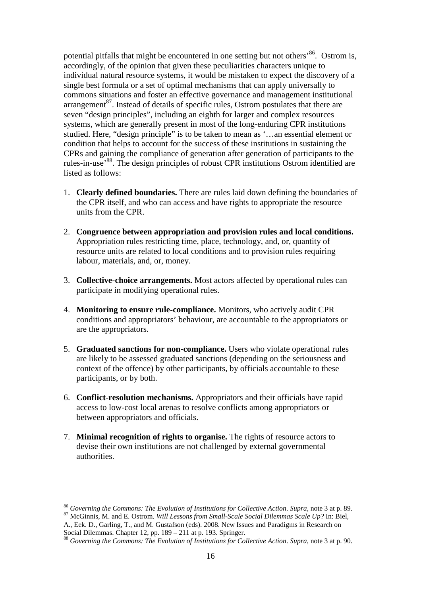potential pitfalls that might be encountered in one setting but not others<sup>86</sup>. Ostrom is, accordingly, of the opinion that given these peculiarities characters unique to individual natural resource systems, it would be mistaken to expect the discovery of a single best formula or a set of optimal mechanisms that can apply universally to commons situations and foster an effective governance and management institutional arrangement<sup>87</sup>. Instead of details of specific rules, Ostrom postulates that there are seven "design principles", including an eighth for larger and complex resources systems, which are generally present in most of the long-enduring CPR institutions studied. Here, "design principle" is to be taken to mean as '…an essential element or condition that helps to account for the success of these institutions in sustaining the CPRs and gaining the compliance of generation after generation of participants to the rules-in-use'<sup>88</sup>. The design principles of robust CPR institutions Ostrom identified are listed as follows:

- 1. **Clearly defined boundaries.** There are rules laid down defining the boundaries of the CPR itself, and who can access and have rights to appropriate the resource units from the CPR.
- 2. **Congruence between appropriation and provision rules and local conditions.** Appropriation rules restricting time, place, technology, and, or, quantity of resource units are related to local conditions and to provision rules requiring labour, materials, and, or, money.
- 3. **Collective-choice arrangements.** Most actors affected by operational rules can participate in modifying operational rules.
- 4. **Monitoring to ensure rule-compliance.** Monitors, who actively audit CPR conditions and appropriators' behaviour, are accountable to the appropriators or are the appropriators.
- 5. **Graduated sanctions for non-compliance.** Users who violate operational rules are likely to be assessed graduated sanctions (depending on the seriousness and context of the offence) by other participants, by officials accountable to these participants, or by both.
- 6. **Conflict-resolution mechanisms.** Appropriators and their officials have rapid access to low-cost local arenas to resolve conflicts among appropriators or between appropriators and officials.
- 7. **Minimal recognition of rights to organise.** The rights of resource actors to devise their own institutions are not challenged by external governmental authorities.

<sup>86</sup> *Governing the Commons: The Evolution of Institutions for Collective Action*. *Supra*, note 3 at p. 89. <sup>87</sup> McGinnis, M. and E. Ostrom. *Will Lessons from Small-Scale Social Dilemmas Scale Up?* In: Biel,

A., Eek. D., Garling, T., and M. Gustafson (eds). 2008. New Issues and Paradigms in Research on Social Dilemmas. Chapter 12, pp. 189 – 211 at p. 193. Springer.

<sup>88</sup> *Governing the Commons: The Evolution of Institutions for Collective Action*. *Supra*, note 3 at p. 90.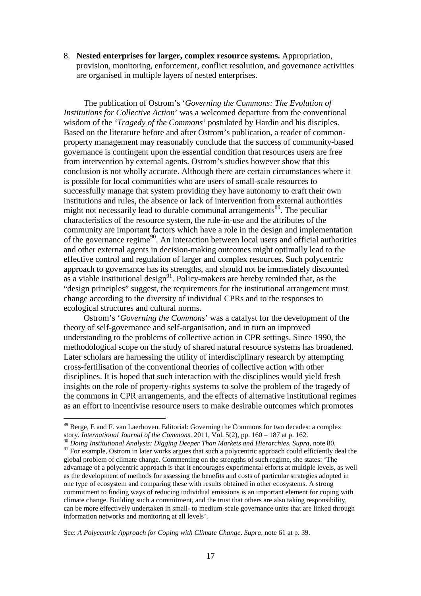8. **Nested enterprises for larger, complex resource systems.** Appropriation, provision, monitoring, enforcement, conflict resolution, and governance activities are organised in multiple layers of nested enterprises.

The publication of Ostrom's '*Governing the Commons: The Evolution of Institutions for Collective Action*' was a welcomed departure from the conventional wisdom of the *'Tragedy of the Commons'* postulated by Hardin and his disciples. Based on the literature before and after Ostrom's publication, a reader of commonproperty management may reasonably conclude that the success of community-based governance is contingent upon the essential condition that resources users are free from intervention by external agents. Ostrom's studies however show that this conclusion is not wholly accurate. Although there are certain circumstances where it is possible for local communities who are users of small-scale resources to successfully manage that system providing they have autonomy to craft their own institutions and rules, the absence or lack of intervention from external authorities might not necessarily lead to durable communal arrangements<sup>89</sup>. The peculiar characteristics of the resource system, the rule-in-use and the attributes of the community are important factors which have a role in the design and implementation of the governance regime<sup>90</sup>. An interaction between local users and official authorities and other external agents in decision-making outcomes might optimally lead to the effective control and regulation of larger and complex resources. Such polycentric approach to governance has its strengths, and should not be immediately discounted as a viable institutional design<sup>91</sup>. Policy-makers are hereby reminded that, as the "design principles" suggest, the requirements for the institutional arrangement must change according to the diversity of individual CPRs and to the responses to ecological structures and cultural norms.

Ostrom's '*Governing the Commons*' was a catalyst for the development of the theory of self-governance and self-organisation, and in turn an improved understanding to the problems of collective action in CPR settings. Since 1990, the methodological scope on the study of shared natural resource systems has broadened. Later scholars are harnessing the utility of interdisciplinary research by attempting cross-fertilisation of the conventional theories of collective action with other disciplines. It is hoped that such interaction with the disciplines would yield fresh insights on the role of property-rights systems to solve the problem of the tragedy of the commons in CPR arrangements, and the effects of alternative institutional regimes as an effort to incentivise resource users to make desirable outcomes which promotes

 $\overline{a}$ 

See: *A Polycentric Approach for Coping with Climate Change*. *Supra*, note 61 at p. 39.

<sup>&</sup>lt;sup>89</sup> Berge, E and F. van Laerhoven. Editorial: Governing the Commons for two decades: a complex story. *International Journal of the Commons*. 2011, Vol. 5(2), pp. 160 – 187 at p. 162.

<sup>90</sup> *Doing Institutional Analysis: Digging Deeper Than Markets and Hierarchies*. *Supra*, note 80. <sup>91</sup> For example, Ostrom in later works argues that such a polycentric approach could efficiently deal the global problem of climate change. Commenting on the strengths of such regime, she states: 'The advantage of a polycentric approach is that it encourages experimental efforts at multiple levels, as well as the development of methods for assessing the benefits and costs of particular strategies adopted in one type of ecosystem and comparing these with results obtained in other ecosystems. A strong commitment to finding ways of reducing individual emissions is an important element for coping with climate change. Building such a commitment, and the trust that others are also taking responsibility, can be more effectively undertaken in small- to medium-scale governance units that are linked through information networks and monitoring at all levels'.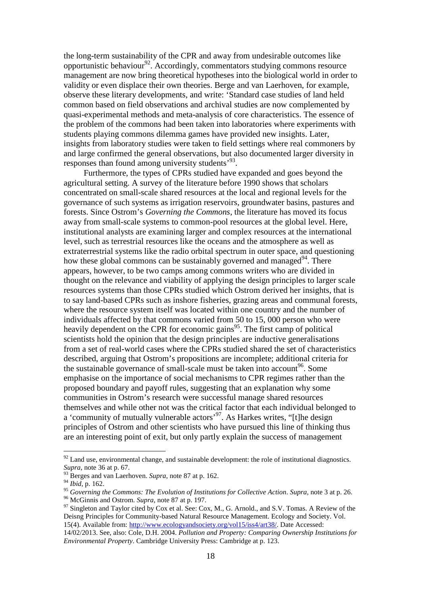the long-term sustainability of the CPR and away from undesirable outcomes like opportunistic behaviour<sup>92</sup>. Accordingly, commentators studying commons resource management are now bring theoretical hypotheses into the biological world in order to validity or even displace their own theories. Berge and van Laerhoven, for example, observe these literary developments, and write: 'Standard case studies of land held common based on field observations and archival studies are now complemented by quasi-experimental methods and meta-analysis of core characteristics. The essence of the problem of the commons had been taken into laboratories where experiments with students playing commons dilemma games have provided new insights. Later, insights from laboratory studies were taken to field settings where real commoners by and large confirmed the general observations, but also documented larger diversity in responses than found among university students<sup>'93</sup>.

Furthermore, the types of CPRs studied have expanded and goes beyond the agricultural setting. A survey of the literature before 1990 shows that scholars concentrated on small-scale shared resources at the local and regional levels for the governance of such systems as irrigation reservoirs, groundwater basins, pastures and forests. Since Ostrom's *Governing the Commons*, the literature has moved its focus away from small-scale systems to common-pool resources at the global level. Here, institutional analysts are examining larger and complex resources at the international level, such as terrestrial resources like the oceans and the atmosphere as well as extraterrestrial systems like the radio orbital spectrum in outer space, and questioning how these global commons can be sustainably governed and managed<sup>94</sup>. There appears, however, to be two camps among commons writers who are divided in thought on the relevance and viability of applying the design principles to larger scale resources systems than those CPRs studied which Ostrom derived her insights, that is to say land-based CPRs such as inshore fisheries, grazing areas and communal forests, where the resource system itself was located within one country and the number of individuals affected by that commons varied from 50 to 15, 000 person who were heavily dependent on the CPR for economic gains<sup>95</sup>. The first camp of political scientists hold the opinion that the design principles are inductive generalisations from a set of real-world cases where the CPRs studied shared the set of characteristics described, arguing that Ostrom's propositions are incomplete; additional criteria for the sustainable governance of small-scale must be taken into account<sup>96</sup>. Some emphasise on the importance of social mechanisms to CPR regimes rather than the proposed boundary and payoff rules, suggesting that an explanation why some communities in Ostrom's research were successful manage shared resources themselves and while other not was the critical factor that each individual belonged to a 'community of mutually vulnerable actors'<sup>97</sup>. As Harkes writes, "[t]he design principles of Ostrom and other scientists who have pursued this line of thinking thus are an interesting point of exit, but only partly explain the success of management

 $92$  Land use, environmental change, and sustainable development: the role of institutional diagnostics. *Supra*, note 36 at p. 67.

<sup>&</sup>lt;sup>93</sup> Berges and van Laerhoven. *Supra*, note 87 at p. 162.

<sup>94</sup> *Ibid*, p. 162.

<sup>95</sup> *Governing the Commons: The Evolution of Institutions for Collective Action*. *Supra*, note 3 at p. 26.

<sup>96</sup> McGinnis and Ostrom. *Supra*, note 87 at p. 197.

 $97$  Singleton and Taylor cited by Cox et al. See: Cox, M., G. Arnold., and S.V. Tomas. A Review of the Deisng Principles for Community-based Natural Resource Management. Ecology and Society. Vol. 15(4). Available from: http://www.ecologyandsociety.org/vol15/iss4/art38/. Date Accessed:

<sup>14/02/2013.</sup> See, also: Cole, D.H. 2004. *Pollution and Property: Comparing Ownership Institutions for Environmental Property*. Cambridge University Press: Cambridge at p. 123.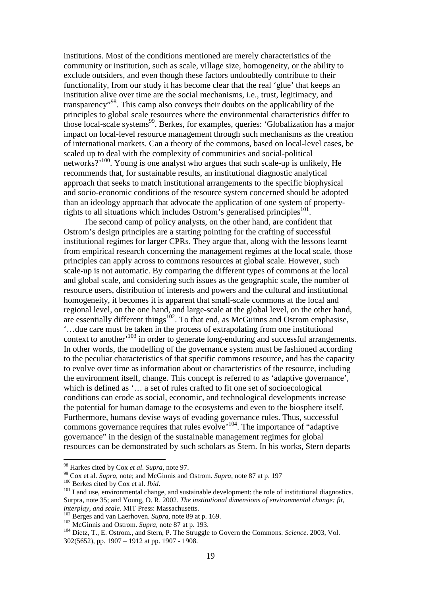institutions. Most of the conditions mentioned are merely characteristics of the community or institution, such as scale, village size, homogeneity, or the ability to exclude outsiders, and even though these factors undoubtedly contribute to their functionality, from our study it has become clear that the real 'glue' that keeps an institution alive over time are the social mechanisms, i.e., trust, legitimacy, and transparency"<sup>98</sup>. This camp also conveys their doubts on the applicability of the principles to global scale resources where the environmental characteristics differ to those local-scale systems<sup>99</sup>. Berkes, for examples, queries: 'Globalization has a major impact on local-level resource management through such mechanisms as the creation of international markets. Can a theory of the commons, based on local-level cases, be scaled up to deal with the complexity of communities and social-political networks? $\cdot^{100}$ . Young is one analyst who argues that such scale-up is unlikely, He recommends that, for sustainable results, an institutional diagnostic analytical approach that seeks to match institutional arrangements to the specific biophysical and socio-economic conditions of the resource system concerned should be adopted than an ideology approach that advocate the application of one system of propertyrights to all situations which includes Ostrom's generalised principles $^{101}$ .

The second camp of policy analysts, on the other hand, are confident that Ostrom's design principles are a starting pointing for the crafting of successful institutional regimes for larger CPRs. They argue that, along with the lessons learnt from empirical research concerning the management regimes at the local scale, those principles can apply across to commons resources at global scale. However, such scale-up is not automatic. By comparing the different types of commons at the local and global scale, and considering such issues as the geographic scale, the number of resource users, distribution of interests and powers and the cultural and institutional homogeneity, it becomes it is apparent that small-scale commons at the local and regional level, on the one hand, and large-scale at the global level, on the other hand, are essentially different things<sup>102</sup>. To that end, as McGuinns and Ostrom emphasise, '…due care must be taken in the process of extrapolating from one institutional context to another'<sup>103</sup> in order to generate long-enduring and successful arrangements. In other words, the modelling of the governance system must be fashioned according to the peculiar characteristics of that specific commons resource, and has the capacity to evolve over time as information about or characteristics of the resource, including the environment itself, change. This concept is referred to as 'adaptive governance', which is defined as '… a set of rules crafted to fit one set of socioecological conditions can erode as social, economic, and technological developments increase the potential for human damage to the ecosystems and even to the biosphere itself. Furthermore, humans devise ways of evading governance rules. Thus, successful commons governance requires that rules evolve<sup> $104$ </sup>. The importance of "adaptive" governance" in the design of the sustainable management regimes for global resources can be demonstrated by such scholars as Stern. In his works, Stern departs

<sup>98</sup> Harkes cited by Cox *et al*. *Supra*, note 97.

<sup>99</sup> Cox et al. *Supra*, note; and McGinnis and Ostrom. *Supra*, note 87 at p. 197 <sup>100</sup> Berkes cited by Cox et al. *Ibid*.

<sup>&</sup>lt;sup>101</sup> Land use, environmental change, and sustainable development: the role of institutional diagnostics. Surpra, note 35; and Young, O. R. 2002. *The institutional dimensions of environmental change: fit, interplay, and scale.* MIT Press: Massachusetts.

<sup>102</sup> Berges and van Laerhoven. *Supra*, note 89 at p. 169.

<sup>103</sup> McGinnis and Ostrom. *Supra*, note 87 at p. 193.

<sup>104</sup> Dietz, T., E. Ostrom., and Stern, P. The Struggle to Govern the Commons. *Science*. 2003, Vol. 302(5652), pp. 1907 – 1912 at pp. 1907 - 1908.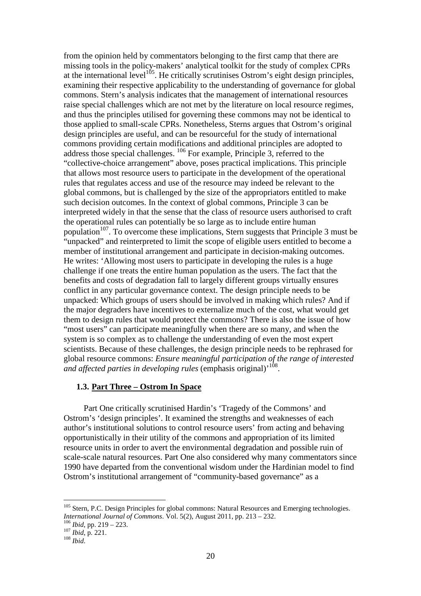from the opinion held by commentators belonging to the first camp that there are missing tools in the policy-makers' analytical toolkit for the study of complex CPRs at the international level<sup>105</sup>. He critically scrutinises Ostrom's eight design principles, examining their respective applicability to the understanding of governance for global commons. Stern's analysis indicates that the management of international resources raise special challenges which are not met by the literature on local resource regimes, and thus the principles utilised for governing these commons may not be identical to those applied to small-scale CPRs. Nonetheless, Sterns argues that Ostrom's original design principles are useful, and can be resourceful for the study of international commons providing certain modifications and additional principles are adopted to address those special challenges. <sup>106</sup> For example, Principle 3, referred to the "collective-choice arrangement" above, poses practical implications. This principle that allows most resource users to participate in the development of the operational rules that regulates access and use of the resource may indeed be relevant to the global commons, but is challenged by the size of the appropriators entitled to make such decision outcomes. In the context of global commons, Principle 3 can be interpreted widely in that the sense that the class of resource users authorised to craft the operational rules can potentially be so large as to include entire human population<sup>107</sup>. To overcome these implications, Stern suggests that Principle 3 must be "unpacked" and reinterpreted to limit the scope of eligible users entitled to become a member of institutional arrangement and participate in decision-making outcomes. He writes: 'Allowing most users to participate in developing the rules is a huge challenge if one treats the entire human population as the users. The fact that the benefits and costs of degradation fall to largely different groups virtually ensures conflict in any particular governance context. The design principle needs to be unpacked: Which groups of users should be involved in making which rules? And if the major degraders have incentives to externalize much of the cost, what would get them to design rules that would protect the commons? There is also the issue of how "most users" can participate meaningfully when there are so many, and when the system is so complex as to challenge the understanding of even the most expert scientists. Because of these challenges, the design principle needs to be rephrased for global resource commons: *Ensure meaningful participation of the range of interested*  and affected parties in developing rules (emphasis original)<sup>, 108</sup>.

# **1.3. Part Three – Ostrom In Space**

Part One critically scrutinised Hardin's 'Tragedy of the Commons' and Ostrom's 'design principles'. It examined the strengths and weaknesses of each author's institutional solutions to control resource users' from acting and behaving opportunistically in their utility of the commons and appropriation of its limited resource units in order to avert the environmental degradation and possible ruin of scale-scale natural resources. Part One also considered why many commentators since 1990 have departed from the conventional wisdom under the Hardinian model to find Ostrom's institutional arrangement of "community-based governance" as a

<sup>&</sup>lt;sup>105</sup> Stern, P.C. Design Principles for global commons: Natural Resources and Emerging technologies. *International Journal of Commons*. Vol. 5(2), August 2011, pp. 213 – 232.

<sup>106</sup> *Ibid*, pp. 219 – 223.

<sup>107</sup> *Ibid*, p. 221.

<sup>108</sup> *Ibid*.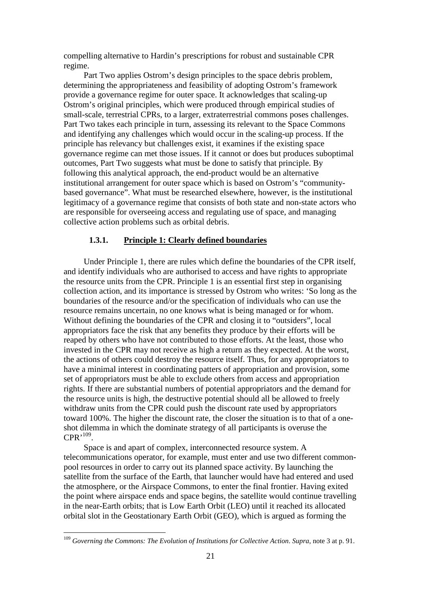compelling alternative to Hardin's prescriptions for robust and sustainable CPR regime.

Part Two applies Ostrom's design principles to the space debris problem, determining the appropriateness and feasibility of adopting Ostrom's framework provide a governance regime for outer space. It acknowledges that scaling-up Ostrom's original principles, which were produced through empirical studies of small-scale, terrestrial CPRs, to a larger, extraterrestrial commons poses challenges. Part Two takes each principle in turn, assessing its relevant to the Space Commons and identifying any challenges which would occur in the scaling-up process. If the principle has relevancy but challenges exist, it examines if the existing space governance regime can met those issues. If it cannot or does but produces suboptimal outcomes, Part Two suggests what must be done to satisfy that principle. By following this analytical approach, the end-product would be an alternative institutional arrangement for outer space which is based on Ostrom's "communitybased governance". What must be researched elsewhere, however, is the institutional legitimacy of a governance regime that consists of both state and non-state actors who are responsible for overseeing access and regulating use of space, and managing collective action problems such as orbital debris.

#### **1.3.1. Principle 1: Clearly defined boundaries**

Under Principle 1, there are rules which define the boundaries of the CPR itself, and identify individuals who are authorised to access and have rights to appropriate the resource units from the CPR. Principle 1 is an essential first step in organising collection action, and its importance is stressed by Ostrom who writes: 'So long as the boundaries of the resource and/or the specification of individuals who can use the resource remains uncertain, no one knows what is being managed or for whom. Without defining the boundaries of the CPR and closing it to "outsiders", local appropriators face the risk that any benefits they produce by their efforts will be reaped by others who have not contributed to those efforts. At the least, those who invested in the CPR may not receive as high a return as they expected. At the worst, the actions of others could destroy the resource itself. Thus, for any appropriators to have a minimal interest in coordinating patters of appropriation and provision, some set of appropriators must be able to exclude others from access and appropriation rights. If there are substantial numbers of potential appropriators and the demand for the resource units is high, the destructive potential should all be allowed to freely withdraw units from the CPR could push the discount rate used by appropriators toward 100%. The higher the discount rate, the closer the situation is to that of a oneshot dilemma in which the dominate strategy of all participants is overuse the  $CPR^{,109}$ .

Space is and apart of complex, interconnected resource system. A telecommunications operator, for example, must enter and use two different commonpool resources in order to carry out its planned space activity. By launching the satellite from the surface of the Earth, that launcher would have had entered and used the atmosphere, or the Airspace Commons, to enter the final frontier. Having exited the point where airspace ends and space begins, the satellite would continue travelling in the near-Earth orbits; that is Low Earth Orbit (LEO) until it reached its allocated orbital slot in the Geostationary Earth Orbit (GEO), which is argued as forming the

<sup>109</sup> *Governing the Commons: The Evolution of Institutions for Collective Action*. *Supra*, note 3 at p. 91.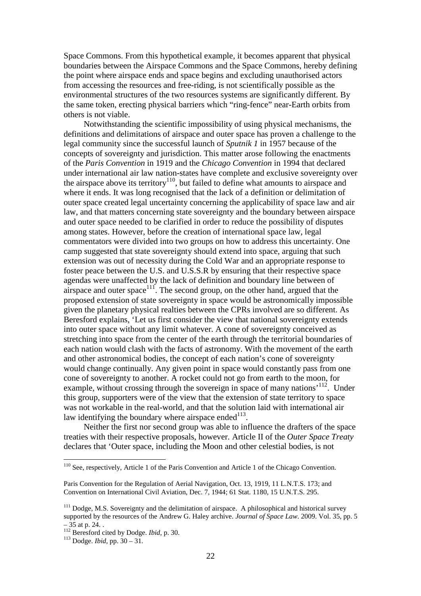Space Commons. From this hypothetical example, it becomes apparent that physical boundaries between the Airspace Commons and the Space Commons, hereby defining the point where airspace ends and space begins and excluding unauthorised actors from accessing the resources and free-riding, is not scientifically possible as the environmental structures of the two resources systems are significantly different. By the same token, erecting physical barriers which "ring-fence" near-Earth orbits from others is not viable.

Notwithstanding the scientific impossibility of using physical mechanisms, the definitions and delimitations of airspace and outer space has proven a challenge to the legal community since the successful launch of *Sputnik 1* in 1957 because of the concepts of sovereignty and jurisdiction. This matter arose following the enactments of the *Paris Convention* in 1919 and the *Chicago Convention* in 1994 that declared under international air law nation-states have complete and exclusive sovereignty over the airspace above its territory<sup>110</sup>, but failed to define what amounts to airspace and where it ends. It was long recognised that the lack of a definition or delimitation of outer space created legal uncertainty concerning the applicability of space law and air law, and that matters concerning state sovereignty and the boundary between airspace and outer space needed to be clarified in order to reduce the possibility of disputes among states. However, before the creation of international space law, legal commentators were divided into two groups on how to address this uncertainty. One camp suggested that state sovereignty should extend into space, arguing that such extension was out of necessity during the Cold War and an appropriate response to foster peace between the U.S. and U.S.S.R by ensuring that their respective space agendas were unaffected by the lack of definition and boundary line between of airspace and outer space<sup>111</sup>. The second group, on the other hand, argued that the proposed extension of state sovereignty in space would be astronomically impossible given the planetary physical realties between the CPRs involved are so different. As Beresford explains, 'Let us first consider the view that national sovereignty extends into outer space without any limit whatever. A cone of sovereignty conceived as stretching into space from the center of the earth through the territorial boundaries of each nation would clash with the facts of astronomy. With the movement of the earth and other astronomical bodies, the concept of each nation's cone of sovereignty would change continually. Any given point in space would constantly pass from one cone of sovereignty to another. A rocket could not go from earth to the moon, for example, without crossing through the sovereign in space of many nations'<sup>112</sup>. Under this group, supporters were of the view that the extension of state territory to space was not workable in the real-world, and that the solution laid with international air law identifying the boundary where airspace ended $113$ .

Neither the first nor second group was able to influence the drafters of the space treaties with their respective proposals, however. Article II of the *Outer Space Treaty* declares that 'Outer space, including the Moon and other celestial bodies, is not

<sup>&</sup>lt;sup>110</sup> See, respectively, Article 1 of the Paris Convention and Article 1 of the Chicago Convention.

Paris Convention for the Regulation of Aerial Navigation, Oct. 13, 1919, 11 L.N.T.S. 173; and Convention on International Civil Aviation, Dec. 7, 1944; 61 Stat. 1180, 15 U.N.T.S. 295.

<sup>&</sup>lt;sup>111</sup> Dodge, M.S. Sovereignty and the delimitation of airspace. A philosophical and historical survey supported by the resources of the Andrew G. Haley archive. *Journal of Space Law*. 2009. Vol. 35, pp. 5  $-35$  at p. 24...

<sup>112</sup> Beresford cited by Dodge. *Ibid*, p. 30.

<sup>113</sup> Dodge. *Ibid*, pp. 30 – 31.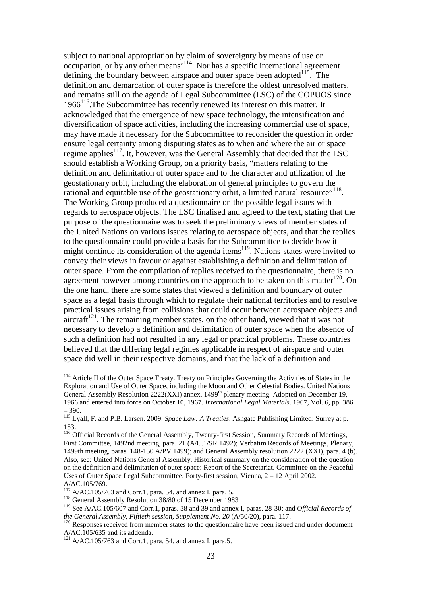subject to national appropriation by claim of sovereignty by means of use or occupation, or by any other means'<sup>114</sup>. Nor has a specific international agreement defining the boundary between airspace and outer space been adopted  $115$ . The definition and demarcation of outer space is therefore the oldest unresolved matters, and remains still on the agenda of Legal Subcommittee (LSC) of the COPUOS since  $1966<sup>116</sup>$ . The Subcommittee has recently renewed its interest on this matter. It acknowledged that the emergence of new space technology, the intensification and diversification of space activities, including the increasing commercial use of space, may have made it necessary for the Subcommittee to reconsider the question in order ensure legal certainty among disputing states as to when and where the air or space regime applies<sup>117</sup>. It, however, was the General Assembly that decided that the LSC should establish a Working Group, on a priority basis, "matters relating to the definition and delimitation of outer space and to the character and utilization of the geostationary orbit, including the elaboration of general principles to govern the rational and equitable use of the geostationary orbit, a limited natural resource"<sup>118</sup>. The Working Group produced a questionnaire on the possible legal issues with regards to aerospace objects. The LSC finalised and agreed to the text, stating that the purpose of the questionnaire was to seek the preliminary views of member states of the United Nations on various issues relating to aerospace objects, and that the replies to the questionnaire could provide a basis for the Subcommittee to decide how it might continue its consideration of the agenda items<sup>119</sup>. Nations-states were invited to convey their views in favour or against establishing a definition and delimitation of outer space. From the compilation of replies received to the questionnaire, there is no agreement however among countries on the approach to be taken on this matter $120$ . On the one hand, there are some states that viewed a definition and boundary of outer space as a legal basis through which to regulate their national territories and to resolve practical issues arising from collisions that could occur between aerospace objects and  $\arctan\left(1^{21} \right)$ . The remaining member states, on the other hand, viewed that it was not necessary to develop a definition and delimitation of outer space when the absence of such a definition had not resulted in any legal or practical problems. These countries believed that the differing legal regimes applicable in respect of airspace and outer space did well in their respective domains, and that the lack of a definition and

<sup>&</sup>lt;sup>114</sup> Article II of the Outer Space Treaty. Treaty on Principles Governing the Activities of States in the Exploration and Use of Outer Space, including the Moon and Other Celestial Bodies. United Nations General Assembly Resolution  $2222(XXI)$  annex. 1499<sup>th</sup> plenary meeting. Adopted on December 19, 1966 and entered into force on October 10, 1967. *International Legal Materials*. 1967, Vol. 6, pp. 386 – 390.

<sup>115</sup> Lyall, F. and P.B. Larsen. 2009. *Space Law: A Treaties*. Ashgate Publishing Limited: Surrey at p. 153.

<sup>&</sup>lt;sup>116</sup> Official Records of the General Assembly, Twenty-first Session, Summary Records of Meetings, First Committee, 1492nd meeting, para. 21 (A/C.1/SR.1492); Verbatim Records of Meetings, Plenary, 1499th meeting, paras. 148-150 A/PV.1499); and General Assembly resolution 2222 (XXI), para. 4 (b). Also, see: United Nations General Assembly. Historical summary on the consideration of the question on the definition and delimitation of outer space: Report of the Secretariat. Committee on the Peaceful Uses of Outer Space Legal Subcommittee. Forty-first session, Vienna, 2 – 12 April 2002. A/AC.105/769.

 $117$  A/AC.105/763 and Corr.1, para. 54, and annex I, para. 5.

<sup>&</sup>lt;sup>118</sup> General Assembly Resolution 38/80 of 15 December 1983

<sup>119</sup> See A/AC.105/607 and Corr.1, paras. 38 and 39 and annex I, paras. 28-30; and *Official Records of the General Assembly, Fiftieth session, Supplement No. 20* (A/50/20), para. 117.

<sup>&</sup>lt;sup>120</sup> Responses received from member states to the questionnaire have been issued and under document A/AC.105/635 and its addenda.

 $121$  A/AC.105/763 and Corr.1, para. 54, and annex I, para.5.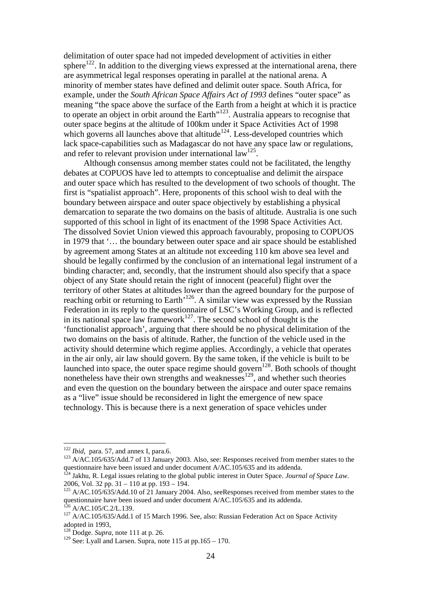delimitation of outer space had not impeded development of activities in either sphere<sup>122</sup>. In addition to the diverging views expressed at the international arena, there are asymmetrical legal responses operating in parallel at the national arena. A minority of member states have defined and delimit outer space. South Africa, for example, under the *South African Space Affairs Act of 1993* defines "outer space" as meaning "the space above the surface of the Earth from a height at which it is practice to operate an object in orbit around the Earth<sup>"123</sup>. Australia appears to recognise that outer space begins at the altitude of 100km under it Space Activities Act of 1998 which governs all launches above that altitude<sup>124</sup>. Less-developed countries which lack space-capabilities such as Madagascar do not have any space law or regulations, and refer to relevant provision under international law<sup>125</sup>.

Although consensus among member states could not be facilitated, the lengthy debates at COPUOS have led to attempts to conceptualise and delimit the airspace and outer space which has resulted to the development of two schools of thought. The first is "spatialist approach". Here, proponents of this school wish to deal with the boundary between airspace and outer space objectively by establishing a physical demarcation to separate the two domains on the basis of altitude. Australia is one such supported of this school in light of its enactment of the 1998 Space Activities Act. The dissolved Soviet Union viewed this approach favourably, proposing to COPUOS in 1979 that '… the boundary between outer space and air space should be established by agreement among States at an altitude not exceeding 110 km above sea level and should be legally confirmed by the conclusion of an international legal instrument of a binding character; and, secondly, that the instrument should also specify that a space object of any State should retain the right of innocent (peaceful) flight over the territory of other States at altitudes lower than the agreed boundary for the purpose of reaching orbit or returning to Earth<sup>126</sup>. A similar view was expressed by the Russian Federation in its reply to the questionnaire of LSC's Working Group, and is reflected in its national space law framework<sup>127</sup>. The second school of thought is the 'functionalist approach', arguing that there should be no physical delimitation of the two domains on the basis of altitude. Rather, the function of the vehicle used in the activity should determine which regime applies. Accordingly, a vehicle that operates in the air only, air law should govern. By the same token, if the vehicle is built to be launched into space, the outer space regime should govern<sup>128</sup>. Both schools of thought nonetheless have their own strengths and weaknesses<sup>129</sup>, and whether such theories and even the question on the boundary between the airspace and outer space remains as a "live" issue should be reconsidered in light the emergence of new space technology. This is because there is a next generation of space vehicles under

<sup>&</sup>lt;sup>122</sup> *Ibid*, para. 57, and annex I, para.6.

<sup>&</sup>lt;sup>123</sup> A/AC.105/635/Add.7 of 13 January 2003. Also, see: Responses received from member states to the questionnaire have been issued and under document A/AC.105/635 and its addenda.

<sup>124</sup> Jakhu, R. Legal issues relating to the global public interest in Outer Space. *Journal of Space Law*. 2006, Vol. 32 pp. 31 – 110 at pp. 193 – 194.

 $125$  A/AC.105/635/Add.10 of 21 January 2004. Also, seeResponses received from member states to the questionnaire have been issued and under document A/AC.105/635 and its addenda.  $126$  A/AC.105/C.2/L.139.

<sup>&</sup>lt;sup>127</sup> A/AC.105/635/Add.1 of 15 March 1996. See, also: Russian Federation Act on Space Activity adopted in 1993,

<sup>128</sup> Dodge. *Supra*, note 111 at p. 26.

<sup>&</sup>lt;sup>129</sup> See: Lyall and Larsen. Supra, note 115 at pp.165 – 170.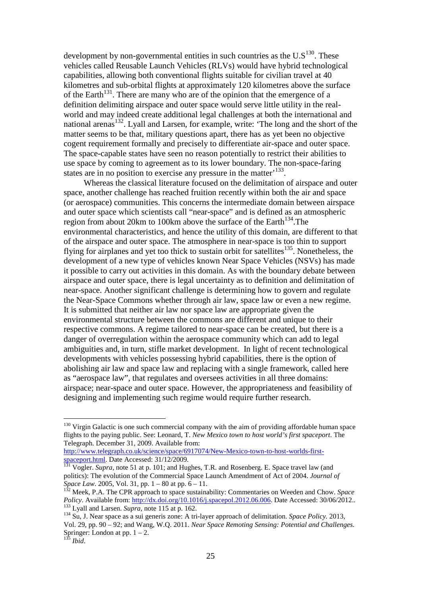development by non-governmental entities in such countries as the  $U.S^{130}$ . These vehicles called Reusable Launch Vehicles (RLVs) would have hybrid technological capabilities, allowing both conventional flights suitable for civilian travel at 40 kilometres and sub-orbital flights at approximately 120 kilometres above the surface of the Earth<sup>131</sup>. There are many who are of the opinion that the emergence of a definition delimiting airspace and outer space would serve little utility in the realworld and may indeed create additional legal challenges at both the international and national arenas<sup>132</sup>. Lyall and Larsen, for example, write: 'The long and the short of the matter seems to be that, military questions apart, there has as yet been no objective cogent requirement formally and precisely to differentiate air-space and outer space. The space-capable states have seen no reason potentially to restrict their abilities to use space by coming to agreement as to its lower boundary. The non-space-faring states are in no position to exercise any pressure in the matter<sup>, 133</sup>.

Whereas the classical literature focused on the delimitation of airspace and outer space, another challenge has reached fruition recently within both the air and space (or aerospace) communities. This concerns the intermediate domain between airspace and outer space which scientists call "near-space" and is defined as an atmospheric region from about 20km to 100km above the surface of the Earth<sup>134</sup>. The environmental characteristics, and hence the utility of this domain, are different to that of the airspace and outer space. The atmosphere in near-space is too thin to support flying for airplanes and yet too thick to sustain orbit for satellites<sup>135</sup>. Nonetheless, the development of a new type of vehicles known Near Space Vehicles (NSVs) has made it possible to carry out activities in this domain. As with the boundary debate between airspace and outer space, there is legal uncertainty as to definition and delimitation of near-space. Another significant challenge is determining how to govern and regulate the Near-Space Commons whether through air law, space law or even a new regime. It is submitted that neither air law nor space law are appropriate given the environmental structure between the commons are different and unique to their respective commons. A regime tailored to near-space can be created, but there is a danger of overregulation within the aerospace community which can add to legal ambiguities and, in turn, stifle market development. In light of recent technological developments with vehicles possessing hybrid capabilities, there is the option of abolishing air law and space law and replacing with a single framework, called here as "aerospace law", that regulates and oversees activities in all three domains: airspace; near-space and outer space. However, the appropriateness and feasibility of designing and implementing such regime would require further research.

http://www.telegraph.co.uk/science/space/6917074/New-Mexico-town-to-host-worlds-firstspaceport.html. Date Accessed: 31/12/2009.

 $130$  Virgin Galactic is one such commercial company with the aim of providing affordable human space flights to the paying public. See: Leonard, T. *New Mexico town to host world's first spaceport*. The Telegraph. December 31, 2009. Available from:

<sup>&</sup>lt;sup>131</sup> Vogler. *Supra*, note 51 at p. 101; and Hughes, T.R. and Rosenberg. E. Space travel law (and politics): The evolution of the Commercial Space Launch Amendment of Act of 2004. *Journal of Space Law*. 2005, Vol. 31, pp. 1 – 80 at pp. 6 – 11.

<sup>132</sup> Meek, P.A. The CPR approach to space sustainability: Commentaries on Weeden and Chow. *Space Policy*. Available from: http://dx.doi.org/10.1016/j.spacepol.2012.06.006. Date Accessed: 30/06/2012.. <sup>133</sup> Lyall and Larsen. *Supra*, note 115 at p. 162.

<sup>134</sup> Su, J. Near space as a sui generis zone: A tri-layer approach of delimitation. *Space Policy.* 2013, Vol. 29, pp. 90 – 92; and Wang, W.Q. 2011. *Near Space Remoting Sensing: Potential and Challenges*. Springer: London at pp.  $1 - 2$ .

<sup>135</sup> *Ibid*.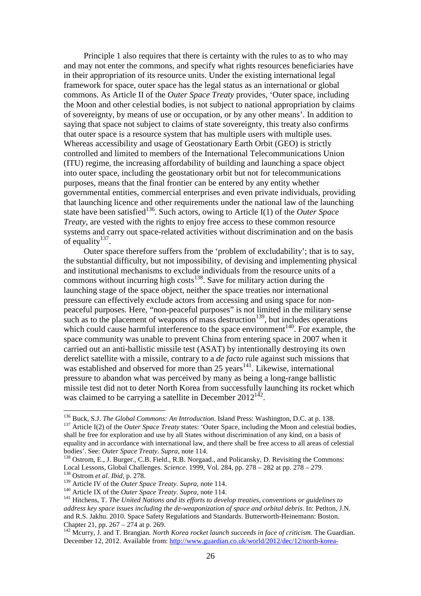Principle 1 also requires that there is certainty with the rules to as to who may and may not enter the commons, and specify what rights resources beneficiaries have in their appropriation of its resource units. Under the existing international legal framework for space, outer space has the legal status as an international or global commons. As Article II of the *Outer Space Treaty* provides, 'Outer space, including the Moon and other celestial bodies, is not subject to national appropriation by claims of sovereignty, by means of use or occupation, or by any other means'. In addition to saying that space not subject to claims of state sovereignty, this treaty also confirms that outer space is a resource system that has multiple users with multiple uses. Whereas accessibility and usage of Geostationary Earth Orbit (GEO) is strictly controlled and limited to members of the International Telecommunications Union (ITU) regime, the increasing affordability of building and launching a space object into outer space, including the geostationary orbit but not for telecommunications purposes, means that the final frontier can be entered by any entity whether governmental entities, commercial enterprises and even private individuals, providing that launching licence and other requirements under the national law of the launching state have been satisfied<sup>136</sup>. Such actors, owing to Article I(1) of the *Outer Space Treaty*, are vested with the rights to enjoy free access to these common resource systems and carry out space-related activities without discrimination and on the basis of equality $137$ .

Outer space therefore suffers from the 'problem of excludability'; that is to say, the substantial difficulty, but not impossibility, of devising and implementing physical and institutional mechanisms to exclude individuals from the resource units of a commons without incurring high costs<sup>138</sup>. Save for military action during the launching stage of the space object, neither the space treaties nor international pressure can effectively exclude actors from accessing and using space for nonpeaceful purposes. Here, "non-peaceful purposes" is not limited in the military sense such as to the placement of weapons of mass destruction<sup>139</sup>, but includes operations which could cause harmful interference to the space environment<sup>140</sup>. For example, the space community was unable to prevent China from entering space in 2007 when it carried out an anti-ballistic missile test (ASAT) by intentionally destroying its own derelict satellite with a missile, contrary to a *de facto* rule against such missions that was established and observed for more than 25 years<sup>141</sup>. Likewise, international pressure to abandon what was perceived by many as being a long-range ballistic missile test did not to deter North Korea from successfully launching its rocket which was claimed to be carrying a satellite in December  $2012^{142}$ .

<sup>136</sup> Buck, S.J. *The Global Commons: An Introduction*. Island Press: Washington, D.C. at p. 138. <sup>137</sup> Article I(2) of the *Outer Space Treaty* states: 'Outer Space, including the Moon and celestial bodies, shall be free for exploration and use by all States without discrimination of any kind, on a basis of equality and in accordance with international law, and there shall be free access to all areas of celestial bodies'. See: *Outer Space Treaty. Supra*, note 114.

<sup>&</sup>lt;sup>138</sup> Ostrom, E., J. Burger., C.B. Field., R.B. Norgaad., and Policansky, D. Revisiting the Commons: Local Lessons, Global Challenges. *Science*. 1999, Vol. 284, pp. 278 – 282 at pp. 278 – 279. <sup>138</sup> Ostrom *et al*. *Ibid*, p. 278.

<sup>139</sup> Article IV of the *Outer Space Treaty*. *Supra*, note 114.

<sup>140</sup> Article IX of the *Outer Space Treaty*. *Supra*, note 114.

<sup>141</sup> Hitchens, T. *The United Nations and its efforts to develop treaties, conventions or guidelines to address key space issues including the de-weaponization of space and orbital debris*. In: Petlton, J.N. and R.S. Jakhu. 2010. Space Safety Regulations and Standards. Butterworth-Heinemann: Boston. Chapter 21, pp. 267 – 274 at p. 269.

<sup>142</sup> Mcurry, J. and T. Brangian. *North Korea rocket launch succeeds in face of criticism*. The Guardian. December 12, 2012. Available from: http://www.guardian.co.uk/world/2012/dec/12/north-korea-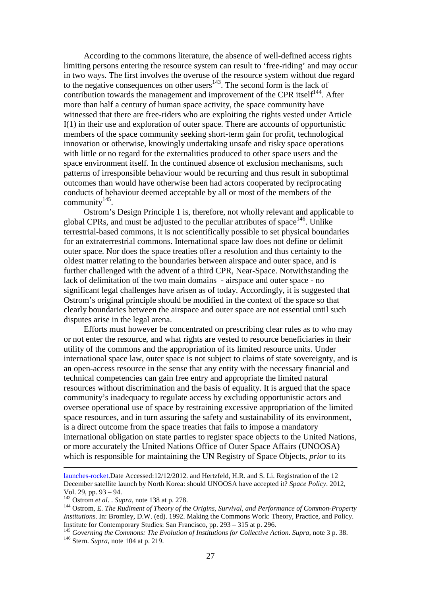According to the commons literature, the absence of well-defined access rights limiting persons entering the resource system can result to 'free-riding' and may occur in two ways. The first involves the overuse of the resource system without due regard to the negative consequences on other users<sup>143</sup>. The second form is the lack of contribution towards the management and improvement of the CPR itself $^{144}$ . After more than half a century of human space activity, the space community have witnessed that there are free-riders who are exploiting the rights vested under Article I(1) in their use and exploration of outer space. There are accounts of opportunistic members of the space community seeking short-term gain for profit, technological innovation or otherwise, knowingly undertaking unsafe and risky space operations with little or no regard for the externalities produced to other space users and the space environment itself. In the continued absence of exclusion mechanisms, such patterns of irresponsible behaviour would be recurring and thus result in suboptimal outcomes than would have otherwise been had actors cooperated by reciprocating conducts of behaviour deemed acceptable by all or most of the members of the community $145$ .

Ostrom's Design Principle 1 is, therefore, not wholly relevant and applicable to global CPRs, and must be adjusted to the peculiar attributes of space<sup>146</sup>. Unlike terrestrial-based commons, it is not scientifically possible to set physical boundaries for an extraterrestrial commons. International space law does not define or delimit outer space. Nor does the space treaties offer a resolution and thus certainty to the oldest matter relating to the boundaries between airspace and outer space, and is further challenged with the advent of a third CPR, Near-Space. Notwithstanding the lack of delimitation of the two main domains - airspace and outer space - no significant legal challenges have arisen as of today. Accordingly, it is suggested that Ostrom's original principle should be modified in the context of the space so that clearly boundaries between the airspace and outer space are not essential until such disputes arise in the legal arena.

Efforts must however be concentrated on prescribing clear rules as to who may or not enter the resource, and what rights are vested to resource beneficiaries in their utility of the commons and the appropriation of its limited resource units. Under international space law, outer space is not subject to claims of state sovereignty, and is an open-access resource in the sense that any entity with the necessary financial and technical competencies can gain free entry and appropriate the limited natural resources without discrimination and the basis of equality. It is argued that the space community's inadequacy to regulate access by excluding opportunistic actors and oversee operational use of space by restraining excessive appropriation of the limited space resources, and in turn assuring the safety and sustainability of its environment, is a direct outcome from the space treaties that fails to impose a mandatory international obligation on state parties to register space objects to the United Nations, or more accurately the United Nations Office of Outer Space Affairs (UNOOSA) which is responsible for maintaining the UN Registry of Space Objects, *prior* to its

launches-rocket.Date Accessed:12/12/2012. and Hertzfeld, H.R. and S. Li. Registration of the 12 December satellite launch by North Korea: should UNOOSA have accepted it? *Space Policy*. 2012, Vol. 29, pp. 93 – 94.

<sup>143</sup> Ostrom *et al*. . *Supra*, note 138 at p. 278.

<sup>144</sup> Ostrom, E. *The Rudiment of Theory of the Origins, Survival, and Performance of Common-Property Institutions*. In: Bromley, D.W. (ed). 1992. Making the Commons Work: Theory, Practice, and Policy. Institute for Contemporary Studies: San Francisco, pp. 293 – 315 at p. 296.

<sup>145</sup> *Governing the Commons: The Evolution of Institutions for Collective Action*. *Supra*, note 3 p. 38. <sup>146</sup> Stern. *Supra*, note 104 at p. 219.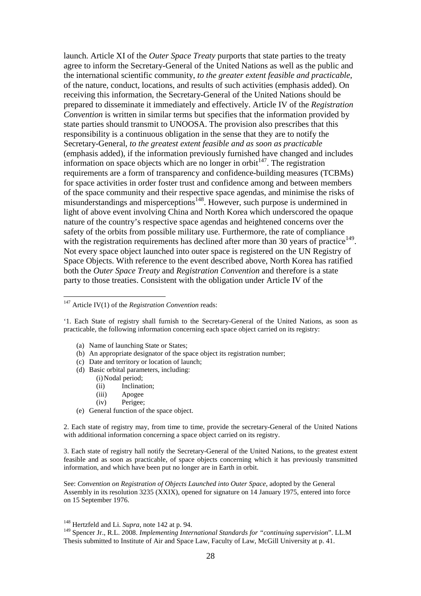launch. Article XI of the *Outer Space Treaty* purports that state parties to the treaty agree to inform the Secretary-General of the United Nations as well as the public and the international scientific community, *to the greater extent feasible and practicable*, of the nature, conduct, locations, and results of such activities (emphasis added). On receiving this information, the Secretary-General of the United Nations should be prepared to disseminate it immediately and effectively. Article IV of the *Registration Convention* is written in similar terms but specifies that the information provided by state parties should transmit to UNOOSA. The provision also prescribes that this responsibility is a continuous obligation in the sense that they are to notify the Secretary-General, *to the greatest extent feasible and as soon as practicable*  (emphasis added), if the information previously furnished have changed and includes information on space objects which are no longer in orbit<sup> $147$ </sup>. The registration requirements are a form of transparency and confidence-building measures (TCBMs) for space activities in order foster trust and confidence among and between members of the space community and their respective space agendas, and minimise the risks of misunderstandings and misperceptions<sup>148</sup>. However, such purpose is undermined in light of above event involving China and North Korea which underscored the opaque nature of the country's respective space agendas and heightened concerns over the safety of the orbits from possible military use. Furthermore, the rate of compliance with the registration requirements has declined after more than 30 years of practice $149$ . Not every space object launched into outer space is registered on the UN Registry of Space Objects. With reference to the event described above, North Korea has ratified both the *Outer Space Treaty* and *Registration Convention* and therefore is a state party to those treaties. Consistent with the obligation under Article IV of the

'1. Each State of registry shall furnish to the Secretary-General of the United Nations, as soon as practicable, the following information concerning each space object carried on its registry:

- (a) Name of launching State or States;
- (b) An appropriate designator of the space object its registration number;
- (c) Date and territory or location of launch;
- (d) Basic orbital parameters, including:
	- (i) Nodal period;

 $\overline{a}$ 

- (ii) Inclination;
- (iii) Apogee
- (iv) Perigee;
- (e) General function of the space object.

2. Each state of registry may, from time to time, provide the secretary-General of the United Nations with additional information concerning a space object carried on its registry.

3. Each state of registry hall notify the Secretary-General of the United Nations, to the greatest extent feasible and as soon as practicable, of space objects concerning which it has previously transmitted information, and which have been put no longer are in Earth in orbit.

See: *Convention on Registration of Objects Launched into Outer Space*, adopted by the General Assembly in its resolution 3235 (XXIX), opened for signature on 14 January 1975, entered into force on 15 September 1976.

<sup>147</sup> Article IV(1) of the *Registration Convention* reads:

<sup>148</sup> Hertzfeld and Li. *Supra*, note 142 at p. 94.

<sup>149</sup> Spencer Jr., R.L. 2008. *Implementing International Standards for "continuing supervision*". LL.M Thesis submitted to Institute of Air and Space Law, Faculty of Law, McGill University at p. 41.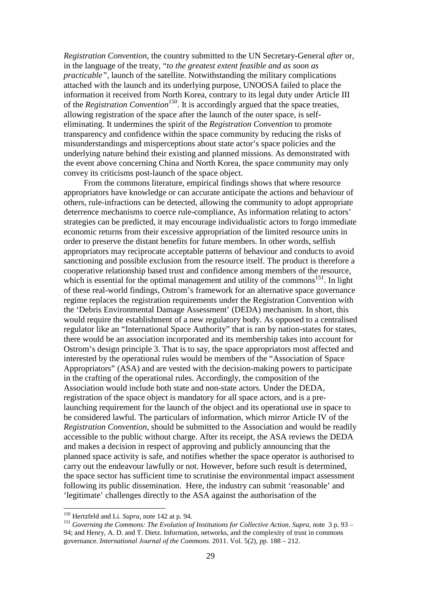*Registration Convention*, the country submitted to the UN Secretary-General *after* or, in the language of the treaty, "*to the greatest extent feasible and as soon as practicable"*, launch of the satellite. Notwithstanding the military complications attached with the launch and its underlying purpose, UNOOSA failed to place the information it received from North Korea, contrary to its legal duty under Article III of the *Registration Convention*<sup>150</sup>. It is accordingly argued that the space treaties, allowing registration of the space after the launch of the outer space, is selfeliminating. It undermines the spirit of the *Registration Convention* to promote transparency and confidence within the space community by reducing the risks of misunderstandings and misperceptions about state actor's space policies and the underlying nature behind their existing and planned missions. As demonstrated with the event above concerning China and North Korea, the space community may only convey its criticisms post-launch of the space object.

From the commons literature, empirical findings shows that where resource appropriators have knowledge or can accurate anticipate the actions and behaviour of others, rule-infractions can be detected, allowing the community to adopt appropriate deterrence mechanisms to coerce rule-compliance, As information relating to actors' strategies can be predicted, it may encourage individualistic actors to forgo immediate economic returns from their excessive appropriation of the limited resource units in order to preserve the distant benefits for future members. In other words, selfish appropriators may reciprocate acceptable patterns of behaviour and conducts to avoid sanctioning and possible exclusion from the resource itself. The product is therefore a cooperative relationship based trust and confidence among members of the resource, which is essential for the optimal management and utility of the commons<sup>151</sup>. In light of these real-world findings, Ostrom's framework for an alternative space governance regime replaces the registration requirements under the Registration Convention with the 'Debris Environmental Damage Assessment' (DEDA) mechanism. In short, this would require the establishment of a new regulatory body. As opposed to a centralised regulator like an "International Space Authority" that is ran by nation-states for states, there would be an association incorporated and its membership takes into account for Ostrom's design principle 3. That is to say, the space appropriators most affected and interested by the operational rules would be members of the "Association of Space Appropriators" (ASA) and are vested with the decision-making powers to participate in the crafting of the operational rules. Accordingly, the composition of the Association would include both state and non-state actors. Under the DEDA, registration of the space object is mandatory for all space actors, and is a prelaunching requirement for the launch of the object and its operational use in space to be considered lawful. The particulars of information, which mirror Article IV of the *Registration Convention*, should be submitted to the Association and would be readily accessible to the public without charge. After its receipt, the ASA reviews the DEDA and makes a decision in respect of approving and publicly announcing that the planned space activity is safe, and notifies whether the space operator is authorised to carry out the endeavour lawfully or not. However, before such result is determined, the space sector has sufficient time to scrutinise the environmental impact assessment following its public dissemination. Here, the industry can submit 'reasonable' and 'legitimate' challenges directly to the ASA against the authorisation of the

<sup>150</sup> Hertzfeld and Li. *Supra*, note 142 at p. 94.

<sup>151</sup> *Governing the Commons: The Evolution of Institutions for Collective Action*. *Supra*, note 3 p. 93 – 94; and Henry, A. D. and T. Dietz. Information, networks, and the complexity of trust in commons governance. *International Journal of the Commons*. 2011. Vol. 5(2), pp. 188 – 212.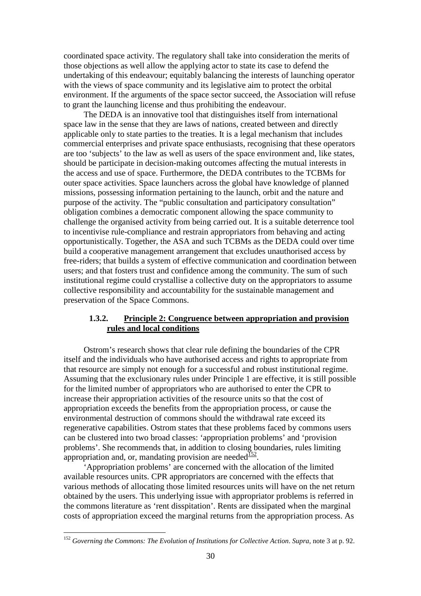coordinated space activity. The regulatory shall take into consideration the merits of those objections as well allow the applying actor to state its case to defend the undertaking of this endeavour; equitably balancing the interests of launching operator with the views of space community and its legislative aim to protect the orbital environment. If the arguments of the space sector succeed, the Association will refuse to grant the launching license and thus prohibiting the endeavour.

The DEDA is an innovative tool that distinguishes itself from international space law in the sense that they are laws of nations, created between and directly applicable only to state parties to the treaties. It is a legal mechanism that includes commercial enterprises and private space enthusiasts, recognising that these operators are too 'subjects' to the law as well as users of the space environment and, like states, should be participate in decision-making outcomes affecting the mutual interests in the access and use of space. Furthermore, the DEDA contributes to the TCBMs for outer space activities. Space launchers across the global have knowledge of planned missions, possessing information pertaining to the launch, orbit and the nature and purpose of the activity. The "public consultation and participatory consultation" obligation combines a democratic component allowing the space community to challenge the organised activity from being carried out. It is a suitable deterrence tool to incentivise rule-compliance and restrain appropriators from behaving and acting opportunistically. Together, the ASA and such TCBMs as the DEDA could over time build a cooperative management arrangement that excludes unauthorised access by free-riders; that builds a system of effective communication and coordination between users; and that fosters trust and confidence among the community. The sum of such institutional regime could crystallise a collective duty on the appropriators to assume collective responsibility and accountability for the sustainable management and preservation of the Space Commons.

# **1.3.2. Principle 2: Congruence between appropriation and provision rules and local conditions**

Ostrom's research shows that clear rule defining the boundaries of the CPR itself and the individuals who have authorised access and rights to appropriate from that resource are simply not enough for a successful and robust institutional regime. Assuming that the exclusionary rules under Principle 1 are effective, it is still possible for the limited number of appropriators who are authorised to enter the CPR to increase their appropriation activities of the resource units so that the cost of appropriation exceeds the benefits from the appropriation process, or cause the environmental destruction of commons should the withdrawal rate exceed its regenerative capabilities. Ostrom states that these problems faced by commons users can be clustered into two broad classes: 'appropriation problems' and 'provision problems'. She recommends that, in addition to closing boundaries, rules limiting appropriation and, or, mandating provision are needed $\frac{152}{2}$ .

 'Appropriation problems' are concerned with the allocation of the limited available resources units. CPR appropriators are concerned with the effects that various methods of allocating those limited resources units will have on the net return obtained by the users. This underlying issue with appropriator problems is referred in the commons literature as 'rent disspitation'. Rents are dissipated when the marginal costs of appropriation exceed the marginal returns from the appropriation process. As

<sup>152</sup> *Governing the Commons: The Evolution of Institutions for Collective Action*. *Supra*, note 3 at p. 92.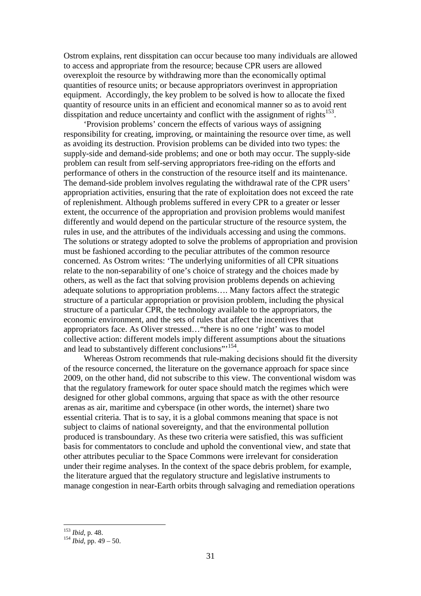Ostrom explains, rent disspitation can occur because too many individuals are allowed to access and appropriate from the resource; because CPR users are allowed overexploit the resource by withdrawing more than the economically optimal quantities of resource units; or because appropriators overinvest in appropriation equipment. Accordingly, the key problem to be solved is how to allocate the fixed quantity of resource units in an efficient and economical manner so as to avoid rent disspitation and reduce uncertainty and conflict with the assignment of rights $153$ .

'Provision problems' concern the effects of various ways of assigning responsibility for creating, improving, or maintaining the resource over time, as well as avoiding its destruction. Provision problems can be divided into two types: the supply-side and demand-side problems; and one or both may occur. The supply-side problem can result from self-serving appropriators free-riding on the efforts and performance of others in the construction of the resource itself and its maintenance. The demand-side problem involves regulating the withdrawal rate of the CPR users' appropriation activities, ensuring that the rate of exploitation does not exceed the rate of replenishment. Although problems suffered in every CPR to a greater or lesser extent, the occurrence of the appropriation and provision problems would manifest differently and would depend on the particular structure of the resource system, the rules in use, and the attributes of the individuals accessing and using the commons. The solutions or strategy adopted to solve the problems of appropriation and provision must be fashioned according to the peculiar attributes of the common resource concerned. As Ostrom writes: 'The underlying uniformities of all CPR situations relate to the non-separability of one's choice of strategy and the choices made by others, as well as the fact that solving provision problems depends on achieving adequate solutions to appropriation problems…. Many factors affect the strategic structure of a particular appropriation or provision problem, including the physical structure of a particular CPR, the technology available to the appropriators, the economic environment, and the sets of rules that affect the incentives that appropriators face. As Oliver stressed…"there is no one 'right' was to model collective action: different models imply different assumptions about the situations and lead to substantively different conclusions"<sup>154</sup>.

Whereas Ostrom recommends that rule-making decisions should fit the diversity of the resource concerned, the literature on the governance approach for space since 2009, on the other hand, did not subscribe to this view. The conventional wisdom was that the regulatory framework for outer space should match the regimes which were designed for other global commons, arguing that space as with the other resource arenas as air, maritime and cyberspace (in other words, the internet) share two essential criteria. That is to say, it is a global commons meaning that space is not subject to claims of national sovereignty, and that the environmental pollution produced is transboundary. As these two criteria were satisfied, this was sufficient basis for commentators to conclude and uphold the conventional view, and state that other attributes peculiar to the Space Commons were irrelevant for consideration under their regime analyses. In the context of the space debris problem, for example, the literature argued that the regulatory structure and legislative instruments to manage congestion in near-Earth orbits through salvaging and remediation operations

<sup>153</sup> *Ibid*, p. 48.

<sup>154</sup> *Ibid,* pp. 49 – 50.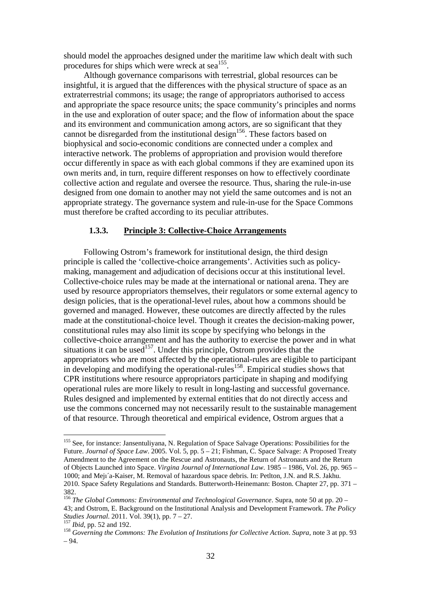should model the approaches designed under the maritime law which dealt with such procedures for ships which were wreck at sea<sup>155</sup>.

Although governance comparisons with terrestrial, global resources can be insightful, it is argued that the differences with the physical structure of space as an extraterrestrial commons; its usage; the range of appropriators authorised to access and appropriate the space resource units; the space community's principles and norms in the use and exploration of outer space; and the flow of information about the space and its environment and communication among actors, are so significant that they cannot be disregarded from the institutional design<sup>156</sup>. These factors based on biophysical and socio-economic conditions are connected under a complex and interactive network. The problems of appropriation and provision would therefore occur differently in space as with each global commons if they are examined upon its own merits and, in turn, require different responses on how to effectively coordinate collective action and regulate and oversee the resource. Thus, sharing the rule-in-use designed from one domain to another may not yield the same outcomes and is not an appropriate strategy. The governance system and rule-in-use for the Space Commons must therefore be crafted according to its peculiar attributes.

# **1.3.3. Principle 3: Collective-Choice Arrangements**

Following Ostrom's framework for institutional design, the third design principle is called the 'collective-choice arrangements'. Activities such as policymaking, management and adjudication of decisions occur at this institutional level. Collective-choice rules may be made at the international or national arena. They are used by resource appropriators themselves, their regulators or some external agency to design policies, that is the operational-level rules, about how a commons should be governed and managed. However, these outcomes are directly affected by the rules made at the constitutional-choice level. Though it creates the decision-making power, constitutional rules may also limit its scope by specifying who belongs in the collective-choice arrangement and has the authority to exercise the power and in what situations it can be used<sup>157</sup>. Under this principle, Ostrom provides that the appropriators who are most affected by the operational-rules are eligible to participant in developing and modifying the operational-rules<sup>158</sup>. Empirical studies shows that CPR institutions where resource appropriators participate in shaping and modifying operational rules are more likely to result in long-lasting and successful governance. Rules designed and implemented by external entities that do not directly access and use the commons concerned may not necessarily result to the sustainable management of that resource. Through theoretical and empirical evidence, Ostrom argues that a

<sup>&</sup>lt;sup>155</sup> See, for instance: Jansentuliyana, N. Regulation of Space Salvage Operations: Possibilities for the Future. *Journal of Space Law*. 2005. Vol. 5, pp. 5 – 21; Fishman, C. Space Salvage: A Proposed Treaty Amendment to the Agreement on the Rescue and Astronauts, the Return of Astronauts and the Return of Objects Launched into Space. *Virgina Journal of International Law*. 1985 – 1986, Vol. 26, pp. 965 – 1000; and Mejı´a-Kaiser, M. Removal of hazardous space debris. In: Petlton, J.N. and R.S. Jakhu. 2010. Space Safety Regulations and Standards. Butterworth-Heinemann: Boston. Chapter 27, pp. 371 – 382.

<sup>156</sup> *The Global Commons: Environmental and Technological Governance*. Supra, note 50 at pp. 20 – 43; and Ostrom, E. Background on the Institutional Analysis and Development Framework. *The Policy Studies Journal*. 2011. Vol. 39(1), pp. 7 – 27.

<sup>&</sup>lt;sup>157</sup> *Ibid*, pp. 52 and 192.

<sup>158</sup> *Governing the Commons: The Evolution of Institutions for Collective Action*. *Supra*, note 3 at pp. 93 – 94.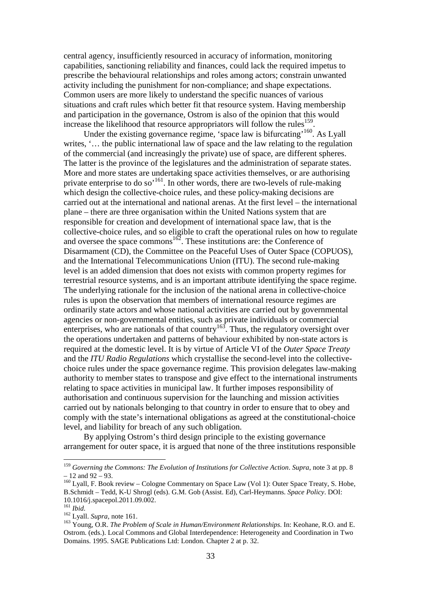central agency, insufficiently resourced in accuracy of information, monitoring capabilities, sanctioning reliability and finances, could lack the required impetus to prescribe the behavioural relationships and roles among actors; constrain unwanted activity including the punishment for non-compliance; and shape expectations. Common users are more likely to understand the specific nuances of various situations and craft rules which better fit that resource system. Having membership and participation in the governance, Ostrom is also of the opinion that this would increase the likelihood that resource appropriators will follow the rules<sup>159</sup>.

Under the existing governance regime, 'space law is bifurcating'<sup>160</sup>. As Lyall writes, '... the public international law of space and the law relating to the regulation of the commercial (and increasingly the private) use of space, are different spheres. The latter is the province of the legislatures and the administration of separate states. More and more states are undertaking space activities themselves, or are authorising private enterprise to do so'<sup>161</sup>. In other words, there are two-levels of rule-making which design the collective-choice rules, and these policy-making decisions are carried out at the international and national arenas. At the first level – the international plane – there are three organisation within the United Nations system that are responsible for creation and development of international space law, that is the collective-choice rules, and so eligible to craft the operational rules on how to regulate and oversee the space commons<sup>162</sup>. These institutions are: the Conference of Disarmament (CD), the Committee on the Peaceful Uses of Outer Space (COPUOS), and the International Telecommunications Union (ITU). The second rule-making level is an added dimension that does not exists with common property regimes for terrestrial resource systems, and is an important attribute identifying the space regime. The underlying rationale for the inclusion of the national arena in collective-choice rules is upon the observation that members of international resource regimes are ordinarily state actors and whose national activities are carried out by governmental agencies or non-governmental entities, such as private individuals or commercial enterprises, who are nationals of that country<sup>163</sup>. Thus, the regulatory oversight over the operations undertaken and patterns of behaviour exhibited by non-state actors is required at the domestic level. It is by virtue of Article VI of the *Outer Space Treaty*  and the *ITU Radio Regulations* which crystallise the second-level into the collectivechoice rules under the space governance regime. This provision delegates law-making authority to member states to transpose and give effect to the international instruments relating to space activities in municipal law. It further imposes responsibility of authorisation and continuous supervision for the launching and mission activities carried out by nationals belonging to that country in order to ensure that to obey and comply with the state's international obligations as agreed at the constitutional-choice level, and liability for breach of any such obligation.

By applying Ostrom's third design principle to the existing governance arrangement for outer space, it is argued that none of the three institutions responsible

<sup>159</sup> *Governing the Commons: The Evolution of Institutions for Collective Action*. *Supra*, note 3 at pp. 8  $-12$  and  $92 - 93$ .

<sup>&</sup>lt;sup>160</sup> Lyall, F. Book review – Cologne Commentary on Space Law (Vol 1): Outer Space Treaty, S. Hobe, B.Schmidt – Tedd, K-U Shrogl (eds). G.M. Gob (Assist. Ed), Carl-Heymanns. *Space Policy*. DOI: 10.1016/j.spacepol.2011.09.002.

<sup>161</sup> *Ibid*.

<sup>162</sup> Lyall. *Supra,* note 161.

<sup>163</sup> Young, O.R. *The Problem of Scale in Human/Environment Relationships*. In: Keohane, R.O. and E. Ostrom. (eds.). Local Commons and Global Interdependence: Heterogeneity and Coordination in Two Domains. 1995. SAGE Publications Ltd: London. Chapter 2 at p. 32.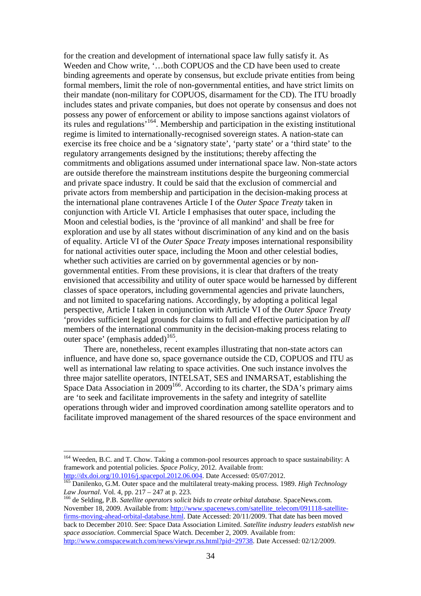for the creation and development of international space law fully satisfy it. As Weeden and Chow write, '…both COPUOS and the CD have been used to create binding agreements and operate by consensus, but exclude private entities from being formal members, limit the role of non-governmental entities, and have strict limits on their mandate (non-military for COPUOS, disarmament for the CD). The ITU broadly includes states and private companies, but does not operate by consensus and does not possess any power of enforcement or ability to impose sanctions against violators of its rules and regulations'<sup>164</sup>. Membership and participation in the existing institutional regime is limited to internationally-recognised sovereign states. A nation-state can exercise its free choice and be a 'signatory state', 'party state' or a 'third state' to the regulatory arrangements designed by the institutions; thereby affecting the commitments and obligations assumed under international space law. Non-state actors are outside therefore the mainstream institutions despite the burgeoning commercial and private space industry. It could be said that the exclusion of commercial and private actors from membership and participation in the decision-making process at the international plane contravenes Article I of the *Outer Space Treaty* taken in conjunction with Article VI. Article I emphasises that outer space, including the Moon and celestial bodies, is the 'province of all mankind' and shall be free for exploration and use by all states without discrimination of any kind and on the basis of equality. Article VI of the *Outer Space Treaty* imposes international responsibility for national activities outer space, including the Moon and other celestial bodies, whether such activities are carried on by governmental agencies or by nongovernmental entities. From these provisions, it is clear that drafters of the treaty envisioned that accessibility and utility of outer space would be harnessed by different classes of space operators, including governmental agencies and private launchers, and not limited to spacefaring nations. Accordingly, by adopting a political legal perspective, Article I taken in conjunction with Article VI of the *Outer Space Treaty* 'provides sufficient legal grounds for claims to full and effective participation by *all* members of the international community in the decision-making process relating to outer space' (emphasis added) $165$ .

There are, nonetheless, recent examples illustrating that non-state actors can influence, and have done so, space governance outside the CD, COPUOS and ITU as well as international law relating to space activities. One such instance involves the three major satellite operators, INTELSAT, SES and INMARSAT, establishing the Space Data Association in 2009<sup>166</sup>. According to its charter, the SDA's primary aims are 'to seek and facilitate improvements in the safety and integrity of satellite operations through wider and improved coordination among satellite operators and to facilitate improved management of the shared resources of the space environment and

 $\overline{a}$ 

<sup>166</sup> de Selding, P.B. *Satellite operators solicit bids to create orbital database*. SpaceNews.com. November 18, 2009. Available from: http://www.spacenews.com/satellite\_telecom/091118-satellitefirms-moving-ahead-orbital-database.html. Date Accessed: 20/11/2009. That date has been moved back to December 2010. See: Space Data Association Limited. *Satellite industry leaders establish new space association*. Commercial Space Watch. December 2, 2009. Available from: http://www.comspacewatch.com/news/viewpr.rss.html?pid=29738. Date Accessed: 02/12/2009.

<sup>&</sup>lt;sup>164</sup> Weeden, B.C. and T. Chow. Taking a common-pool resources approach to space sustainability: A framework and potential policies. *Space Policy*, 2012. Available from: http://dx.doi.org/10.1016/j.spacepol.2012.06.004. Date Accessed: 05/07/2012.

<sup>165</sup> Danilenko, G.M. Outer space and the multilateral treaty-making process. 1989. *High Technology Law Journal*. Vol. 4, pp. 217 – 247 at p. 223.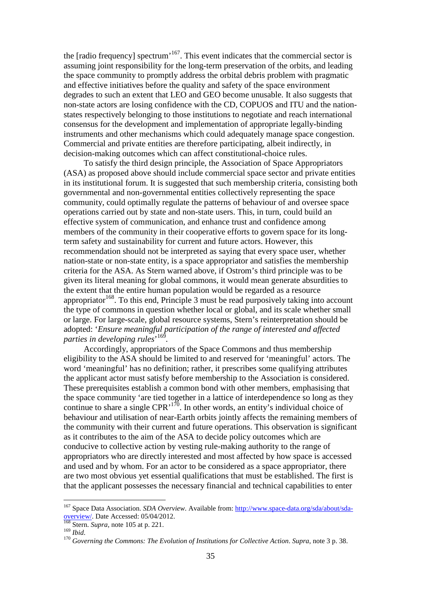the  $[radio frequency]$  spectrum<sup> $167$ </sup>. This event indicates that the commercial sector is assuming joint responsibility for the long-term preservation of the orbits, and leading the space community to promptly address the orbital debris problem with pragmatic and effective initiatives before the quality and safety of the space environment degrades to such an extent that LEO and GEO become unusable. It also suggests that non-state actors are losing confidence with the CD, COPUOS and ITU and the nationstates respectively belonging to those institutions to negotiate and reach international consensus for the development and implementation of appropriate legally-binding instruments and other mechanisms which could adequately manage space congestion. Commercial and private entities are therefore participating, albeit indirectly, in decision-making outcomes which can affect constitutional-choice rules.

To satisfy the third design principle, the Association of Space Appropriators (ASA) as proposed above should include commercial space sector and private entities in its institutional forum. It is suggested that such membership criteria, consisting both governmental and non-governmental entities collectively representing the space community, could optimally regulate the patterns of behaviour of and oversee space operations carried out by state and non-state users. This, in turn, could build an effective system of communication, and enhance trust and confidence among members of the community in their cooperative efforts to govern space for its longterm safety and sustainability for current and future actors. However, this recommendation should not be interpreted as saying that every space user, whether nation-state or non-state entity, is a space appropriator and satisfies the membership criteria for the ASA. As Stern warned above, if Ostrom's third principle was to be given its literal meaning for global commons, it would mean generate absurdities to the extent that the entire human population would be regarded as a resource appropriator  $168$ . To this end, Principle 3 must be read purposively taking into account the type of commons in question whether local or global, and its scale whether small or large. For large-scale, global resource systems, Stern's reinterpretation should be adopted: '*Ensure meaningful participation of the range of interested and affected parties in developing rules*' 169 *.*

Accordingly, appropriators of the Space Commons and thus membership eligibility to the ASA should be limited to and reserved for 'meaningful' actors. The word 'meaningful' has no definition; rather, it prescribes some qualifying attributes the applicant actor must satisfy before membership to the Association is considered. These prerequisites establish a common bond with other members, emphasising that the space community 'are tied together in a lattice of interdependence so long as they continue to share a single  $CPR$ <sup>170</sup>. In other words, an entity's individual choice of behaviour and utilisation of near-Earth orbits jointly affects the remaining members of the community with their current and future operations. This observation is significant as it contributes to the aim of the ASA to decide policy outcomes which are conducive to collective action by vesting rule-making authority to the range of appropriators who are directly interested and most affected by how space is accessed and used and by whom. For an actor to be considered as a space appropriator, there are two most obvious yet essential qualifications that must be established. The first is that the applicant possesses the necessary financial and technical capabilities to enter

<sup>&</sup>lt;sup>167</sup> Space Data Association. *SDA Overview*. Available from: http://www.space-data.org/sda/about/sdaoverview/. Date Accessed: 05/04/2012.

<sup>168</sup> Stern. *Supra*, note 105 at p. 221.

<sup>169</sup> *Ibid*.

<sup>170</sup> *Governing the Commons: The Evolution of Institutions for Collective Action*. *Supra*, note 3 p. 38.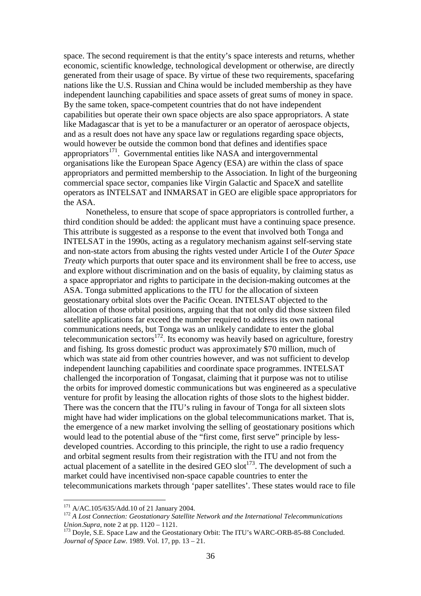space. The second requirement is that the entity's space interests and returns, whether economic, scientific knowledge, technological development or otherwise, are directly generated from their usage of space. By virtue of these two requirements, spacefaring nations like the U.S. Russian and China would be included membership as they have independent launching capabilities and space assets of great sums of money in space. By the same token, space-competent countries that do not have independent capabilities but operate their own space objects are also space appropriators. A state like Madagascar that is yet to be a manufacturer or an operator of aerospace objects, and as a result does not have any space law or regulations regarding space objects, would however be outside the common bond that defines and identifies space appropriators<sup>171</sup>. Governmental entities like NASA and intergovernmental organisations like the European Space Agency (ESA) are within the class of space appropriators and permitted membership to the Association. In light of the burgeoning commercial space sector, companies like Virgin Galactic and SpaceX and satellite operators as INTELSAT and INMARSAT in GEO are eligible space appropriators for the ASA.

 Nonetheless, to ensure that scope of space appropriators is controlled further, a third condition should be added: the applicant must have a continuing space presence. This attribute is suggested as a response to the event that involved both Tonga and INTELSAT in the 1990s, acting as a regulatory mechanism against self-serving state and non-state actors from abusing the rights vested under Article I of the *Outer Space Treaty* which purports that outer space and its environment shall be free to access, use and explore without discrimination and on the basis of equality, by claiming status as a space appropriator and rights to participate in the decision-making outcomes at the ASA. Tonga submitted applications to the ITU for the allocation of sixteen geostationary orbital slots over the Pacific Ocean. INTELSAT objected to the allocation of those orbital positions, arguing that that not only did those sixteen filed satellite applications far exceed the number required to address its own national communications needs, but Tonga was an unlikely candidate to enter the global telecommunication sectors $172$ . Its economy was heavily based on agriculture, forestry and fishing. Its gross domestic product was approximately \$70 million, much of which was state aid from other countries however, and was not sufficient to develop independent launching capabilities and coordinate space programmes. INTELSAT challenged the incorporation of Tongasat, claiming that it purpose was not to utilise the orbits for improved domestic communications but was engineered as a speculative venture for profit by leasing the allocation rights of those slots to the highest bidder. There was the concern that the ITU's ruling in favour of Tonga for all sixteen slots might have had wider implications on the global telecommunications market. That is, the emergence of a new market involving the selling of geostationary positions which would lead to the potential abuse of the "first come, first serve" principle by lessdeveloped countries. According to this principle, the right to use a radio frequency and orbital segment results from their registration with the ITU and not from the  $\alpha$  actual placement of a satellite in the desired GEO slot<sup>173</sup>. The development of such a market could have incentivised non-space capable countries to enter the telecommunications markets through 'paper satellites'. These states would race to file

 $171$  A/AC.105/635/Add.10 of 21 January 2004.

<sup>172</sup> *A Lost Connection: Geostationary Satellite Network and the International Telecommunications Union*.*Supra*, note 2 at pp. 1120 – 1121.

<sup>&</sup>lt;sup>173</sup> Doyle, S.E. Space Law and the Geostationary Orbit: The ITU's WARC-ORB-85-88 Concluded. *Journal of Space Law*. 1989. Vol. 17, pp. 13 – 21.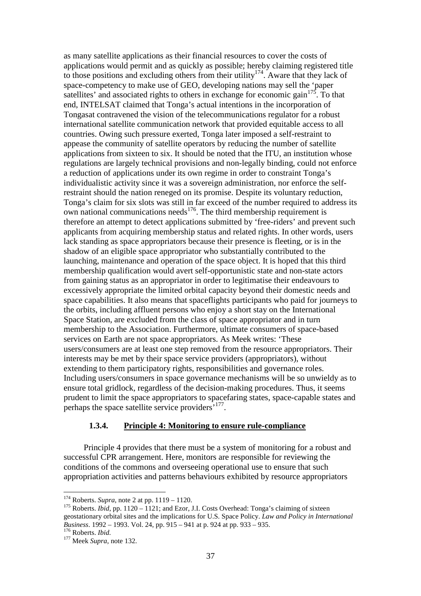as many satellite applications as their financial resources to cover the costs of applications would permit and as quickly as possible; hereby claiming registered title to those positions and excluding others from their utility<sup>174</sup>. Aware that they lack of space-competency to make use of GEO, developing nations may sell the 'paper satellites' and associated rights to others in exchange for economic gain<sup>175</sup>. To that end, INTELSAT claimed that Tonga's actual intentions in the incorporation of Tongasat contravened the vision of the telecommunications regulator for a robust international satellite communication network that provided equitable access to all countries. Owing such pressure exerted, Tonga later imposed a self-restraint to appease the community of satellite operators by reducing the number of satellite applications from sixteen to six. It should be noted that the ITU, an institution whose regulations are largely technical provisions and non-legally binding, could not enforce a reduction of applications under its own regime in order to constraint Tonga's individualistic activity since it was a sovereign administration, nor enforce the selfrestraint should the nation reneged on its promise. Despite its voluntary reduction, Tonga's claim for six slots was still in far exceed of the number required to address its own national communications needs<sup>176</sup>. The third membership requirement is therefore an attempt to detect applications submitted by 'free-riders' and prevent such applicants from acquiring membership status and related rights. In other words, users lack standing as space appropriators because their presence is fleeting, or is in the shadow of an eligible space appropriator who substantially contributed to the launching, maintenance and operation of the space object. It is hoped that this third membership qualification would avert self-opportunistic state and non-state actors from gaining status as an appropriator in order to legitimatise their endeavours to excessively appropriate the limited orbital capacity beyond their domestic needs and space capabilities. It also means that spaceflights participants who paid for journeys to the orbits, including affluent persons who enjoy a short stay on the International Space Station, are excluded from the class of space appropriator and in turn membership to the Association. Furthermore, ultimate consumers of space-based services on Earth are not space appropriators. As Meek writes: 'These users/consumers are at least one step removed from the resource appropriators. Their interests may be met by their space service providers (appropriators), without extending to them participatory rights, responsibilities and governance roles. Including users/consumers in space governance mechanisms will be so unwieldy as to ensure total gridlock, regardless of the decision-making procedures. Thus, it seems prudent to limit the space appropriators to spacefaring states, space-capable states and perhaps the space satellite service providers<sup>, 177</sup>.

# **1.3.4. Principle 4: Monitoring to ensure rule-compliance**

Principle 4 provides that there must be a system of monitoring for a robust and successful CPR arrangement. Here, monitors are responsible for reviewing the conditions of the commons and overseeing operational use to ensure that such appropriation activities and patterns behaviours exhibited by resource appropriators

<sup>174</sup> Roberts. *Supra*, note 2 at pp. 1119 – 1120.

<sup>&</sup>lt;sup>175</sup> Roberts. *Ibid*, pp. 1120 – 1121; and Ezor, J.I. Costs Overhead: Tonga's claiming of sixteen geostationary orbital sites and the implications for U.S. Space Policy. *Law and Policy in International Business*. 1992 – 1993. Vol. 24, pp. 915 – 941 at p. 924 at pp. 933 – 935. <sup>176</sup> Roberts. *Ibid.* 

<sup>177</sup> Meek *Supra*, note 132.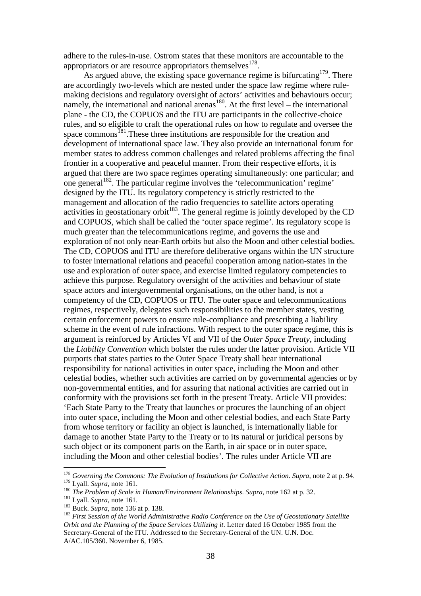adhere to the rules-in-use. Ostrom states that these monitors are accountable to the appropriators or are resource appropriators themselves  $178$ .

As argued above, the existing space governance regime is bifurcating  $179$ . There are accordingly two-levels which are nested under the space law regime where rulemaking decisions and regulatory oversight of actors' activities and behaviours occur; namely, the international and national arenas<sup>180</sup>. At the first level – the international plane - the CD, the COPUOS and the ITU are participants in the collective-choice rules, and so eligible to craft the operational rules on how to regulate and oversee the space commons<sup>181</sup>. These three institutions are responsible for the creation and development of international space law. They also provide an international forum for member states to address common challenges and related problems affecting the final frontier in a cooperative and peaceful manner. From their respective efforts, it is argued that there are two space regimes operating simultaneously: one particular; and one general<sup>182</sup>. The particular regime involves the 'telecommunication' regime' designed by the ITU. Its regulatory competency is strictly restricted to the management and allocation of the radio frequencies to satellite actors operating activities in geostationary orbit<sup>183</sup>. The general regime is jointly developed by the CD and COPUOS, which shall be called the 'outer space regime'. Its regulatory scope is much greater than the telecommunications regime, and governs the use and exploration of not only near-Earth orbits but also the Moon and other celestial bodies. The CD, COPUOS and ITU are therefore deliberative organs within the UN structure to foster international relations and peaceful cooperation among nation-states in the use and exploration of outer space, and exercise limited regulatory competencies to achieve this purpose. Regulatory oversight of the activities and behaviour of state space actors and intergovernmental organisations, on the other hand, is not a competency of the CD, COPUOS or ITU. The outer space and telecommunications regimes, respectively, delegates such responsibilities to the member states, vesting certain enforcement powers to ensure rule-compliance and prescribing a liability scheme in the event of rule infractions. With respect to the outer space regime, this is argument is reinforced by Articles VI and VII of the *Outer Space Treaty*, including the *Liability Convention* which bolster the rules under the latter provision. Article VII purports that states parties to the Outer Space Treaty shall bear international responsibility for national activities in outer space, including the Moon and other celestial bodies, whether such activities are carried on by governmental agencies or by non-governmental entities, and for assuring that national activities are carried out in conformity with the provisions set forth in the present Treaty. Article VII provides: 'Each State Party to the Treaty that launches or procures the launching of an object into outer space, including the Moon and other celestial bodies, and each State Party from whose territory or facility an object is launched, is internationally liable for damage to another State Party to the Treaty or to its natural or juridical persons by such object or its component parts on the Earth, in air space or in outer space, including the Moon and other celestial bodies'. The rules under Article VII are

<sup>178</sup> *Governing the Commons: The Evolution of Institutions for Collective Action*. *Supra*, note 2 at p. 94. <sup>179</sup> Lyall. *Supra*, note 161.

<sup>180</sup> *The Problem of Scale in Human/Environment Relationships*. *Supra*, note 162 at p. 32.

<sup>181</sup> Lyall. *Supra,* note 161.

<sup>182</sup> Buck. *Supra*, note 136 at p. 138.

<sup>183</sup> *First Session of the World Administrative Radio Conference on the Use of Geostationary Satellite Orbit and the Planning of the Space Services Utilizing it*. Letter dated 16 October 1985 from the Secretary-General of the ITU. Addressed to the Secretary-General of the UN. U.N. Doc. A/AC.105/360. November 6, 1985.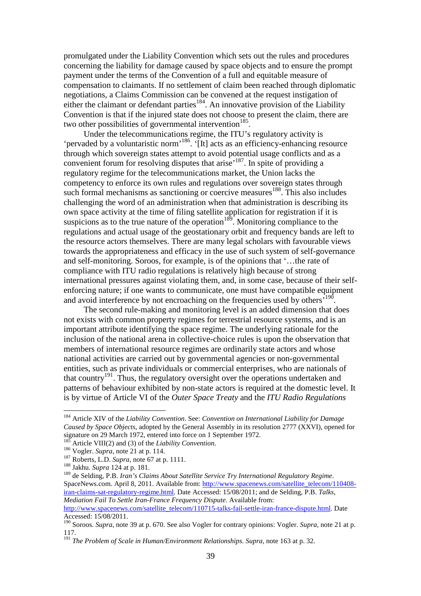promulgated under the Liability Convention which sets out the rules and procedures concerning the liability for damage caused by space objects and to ensure the prompt payment under the terms of the Convention of a full and equitable measure of compensation to claimants. If no settlement of claim been reached through diplomatic negotiations, a Claims Commission can be convened at the request instigation of either the claimant or defendant parties<sup>184</sup>. An innovative provision of the Liability Convention is that if the injured state does not choose to present the claim, there are two other possibilities of governmental intervention<sup>185</sup>.

Under the telecommunications regime, the ITU's regulatory activity is 'pervaded by a voluntaristic norm'<sup>186</sup>. '[It] acts as an efficiency-enhancing resource through which sovereign states attempt to avoid potential usage conflicts and as a convenient forum for resolving disputes that arise'<sup>187</sup>. In spite of providing a regulatory regime for the telecommunications market, the Union lacks the competency to enforce its own rules and regulations over sovereign states through such formal mechanisms as sanctioning or coercive measures<sup>188</sup>. This also includes challenging the word of an administration when that administration is describing its own space activity at the time of filing satellite application for registration if it is suspicions as to the true nature of the operation<sup>189</sup>. Monitoring compliance to the regulations and actual usage of the geostationary orbit and frequency bands are left to the resource actors themselves. There are many legal scholars with favourable views towards the appropriateness and efficacy in the use of such system of self-governance and self-monitoring. Soroos, for example, is of the opinions that '…the rate of compliance with ITU radio regulations is relatively high because of strong international pressures against violating them, and, in some case, because of their selfenforcing nature; if one wants to communicate, one must have compatible equipment and avoid interference by not encroaching on the frequencies used by others<sup> $190$ </sup>.

The second rule-making and monitoring level is an added dimension that does not exists with common property regimes for terrestrial resource systems, and is an important attribute identifying the space regime. The underlying rationale for the inclusion of the national arena in collective-choice rules is upon the observation that members of international resource regimes are ordinarily state actors and whose national activities are carried out by governmental agencies or non-governmental entities, such as private individuals or commercial enterprises, who are nationals of that country<sup>191</sup>. Thus, the regulatory oversight over the operations undertaken and patterns of behaviour exhibited by non-state actors is required at the domestic level. It is by virtue of Article VI of the *Outer Space Treaty* and the *ITU Radio Regulations*

<sup>184</sup> Article XIV of the *Liability Convention*. See: *Convention on International Liability for Damage Caused by Space Objects*, adopted by the General Assembly in its resolution 2777 (XXVI), opened for signature on 29 March 1972, entered into force on 1 September 1972.

Article VIII(2) and (3) of the *Liability Convention*.

<sup>186</sup> Vogler. *Supra*, note 21 at p. 114.

<sup>187</sup> Roberts, L.D. *Supra*, note 67 at p. 1111.

<sup>188</sup> Jakhu. *Supra* 124 at p. 181.

<sup>189</sup> de Selding, P.B. *Iran's Claims About Satellite Service Try International Regulatory Regime*. SpaceNews.com. April 8, 2011. Available from: http://www.spacenews.com/satellite\_telecom/110408 iran-claims-sat-regulatory-regime.html. Date Accessed: 15/08/2011; and de Selding, P.B. *Talks, Mediation Fail To Settle Iran-France Frequency Dispute*. Available from:

http://www.spacenews.com/satellite\_telecom/110715-talks-fail-settle-iran-france-dispute.html. Date Accessed: 15/08/2011.

<sup>190</sup> Soroos. *Supra*, note 39 at p. 670. See also Vogler for contrary opinions: Vogler. *Supra*, note 21 at p. 117.

<sup>191</sup> *The Problem of Scale in Human/Environment Relationships*. *Supra*, note 163 at p. 32.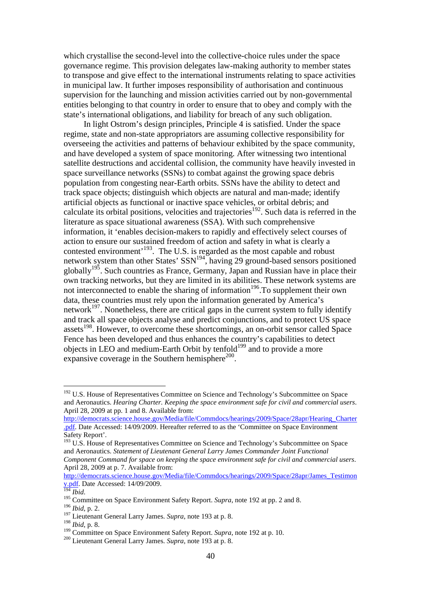which crystallise the second-level into the collective-choice rules under the space governance regime. This provision delegates law-making authority to member states to transpose and give effect to the international instruments relating to space activities in municipal law. It further imposes responsibility of authorisation and continuous supervision for the launching and mission activities carried out by non-governmental entities belonging to that country in order to ensure that to obey and comply with the state's international obligations, and liability for breach of any such obligation.

In light Ostrom's design principles, Principle 4 is satisfied. Under the space regime, state and non-state appropriators are assuming collective responsibility for overseeing the activities and patterns of behaviour exhibited by the space community, and have developed a system of space monitoring. After witnessing two intentional satellite destructions and accidental collision, the community have heavily invested in space surveillance networks (SSNs) to combat against the growing space debris population from congesting near-Earth orbits. SSNs have the ability to detect and track space objects; distinguish which objects are natural and man-made; identify artificial objects as functional or inactive space vehicles, or orbital debris; and calculate its orbital positions, velocities and trajectories<sup>192</sup>. Such data is referred in the literature as space situational awareness (SSA). With such comprehensive information, it 'enables decision-makers to rapidly and effectively select courses of action to ensure our sustained freedom of action and safety in what is clearly a contested environment<sup>193</sup>. The U.S. is regarded as the most capable and robust network system than other States' SSN<sup>194</sup>, having 29 ground-based sensors positioned globally<sup>195</sup>. Such countries as France, Germany, Japan and Russian have in place their own tracking networks, but they are limited in its abilities. These network systems are not interconnected to enable the sharing of information<sup>196</sup>. To supplement their own data, these countries must rely upon the information generated by America's network<sup>197</sup>. Nonetheless, there are critical gaps in the current system to fully identify and track all space objects analyse and predict conjunctions, and to protect US space assets<sup>198</sup>. However, to overcome these shortcomings, an on-orbit sensor called Space Fence has been developed and thus enhances the country's capabilities to detect objects in LEO and medium-Earth Orbit by tenfold<sup>199</sup> and to provide a more expansive coverage in the Southern hemisphere $^{200}$ .

http://democrats.science.house.gov/Media/file/Commdocs/hearings/2009/Space/28apr/James\_Testimon y.pdf. Date Accessed: 14/09/2009.

 $\overline{a}$ 

<sup>198</sup> *Ibid*, p. 8.

 $192$  U.S. House of Representatives Committee on Science and Technology's Subcommittee on Space and Aeronautics. *Hearing Charter. Keeping the space environment safe for civil and commercial users*. April 28, 2009 at pp. 1 and 8. Available from:

http://democrats.science.house.gov/Media/file/Commdocs/hearings/2009/Space/28apr/Hearing\_Charter .pdf. Date Accessed: 14/09/2009. Hereafter referred to as the 'Committee on Space Environment Safety Report'.

<sup>&</sup>lt;sup>193</sup> U.S. House of Representatives Committee on Science and Technology's Subcommittee on Space and Aeronautics. *Statement of Lieutenant General Larry James Commander Joint Functional Component Command for space on keeping the space environment safe for civil and commercial users*. April 28, 2009 at p. 7. Available from:

<sup>194</sup> *Ibid*.

<sup>&</sup>lt;sup>195</sup> Committee on Space Environment Safety Report. *Supra*, note 192 at pp. 2 and 8. <sup>196</sup> *Ibid*, p. 2.

<sup>197</sup> Lieutenant General Larry James. *Supra*, note 193 at p. 8.

<sup>&</sup>lt;sup>199</sup> Committee on Space Environment Safety Report. *Supra*, note 192 at p. 10.

<sup>200</sup> Lieutenant General Larry James. *Supra*, note 193 at p. 8.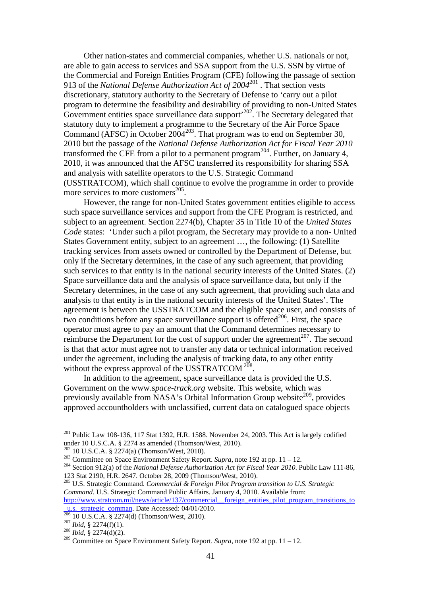Other nation-states and commercial companies, whether U.S. nationals or not, are able to gain access to services and SSA support from the U.S. SSN by virtue of the Commercial and Foreign Entities Program (CFE) following the passage of section 913 of the *National Defense Authorization Act of 2004*<sup>201</sup> . That section vests discretionary, statutory authority to the Secretary of Defense to 'carry out a pilot program to determine the feasibility and desirability of providing to non-United States Government entities space surveillance data support<sup>202</sup>. The Secretary delegated that statutory duty to implement a programme to the Secretary of the Air Force Space Command (AFSC) in October  $2004^{203}$ . That program was to end on September 30, 2010 but the passage of the *National Defense Authorization Act for Fiscal Year 2010* transformed the CFE from a pilot to a permanent program<sup>204</sup>. Further, on January 4, 2010, it was announced that the AFSC transferred its responsibility for sharing SSA and analysis with satellite operators to the U.S. Strategic Command (USSTRATCOM), which shall continue to evolve the programme in order to provide more services to more customers $^{205}$ .

However, the range for non-United States government entities eligible to access such space surveillance services and support from the CFE Program is restricted, and subject to an agreement. Section 2274(b), Chapter 35 in Title 10 of the *United States Code* states: 'Under such a pilot program, the Secretary may provide to a non- United States Government entity, subject to an agreement …, the following: (1) Satellite tracking services from assets owned or controlled by the Department of Defense, but only if the Secretary determines, in the case of any such agreement, that providing such services to that entity is in the national security interests of the United States. (2) Space surveillance data and the analysis of space surveillance data, but only if the Secretary determines, in the case of any such agreement, that providing such data and analysis to that entity is in the national security interests of the United States'. The agreement is between the USSTRATCOM and the eligible space user, and consists of two conditions before any space surveillance support is offered $^{206}$ . First, the space operator must agree to pay an amount that the Command determines necessary to reimburse the Department for the cost of support under the agreement<sup>207</sup>. The second is that that actor must agree not to transfer any data or technical information received under the agreement, including the analysis of tracking data, to any other entity without the express approval of the USSTRATCOM<sup>208</sup>.

In addition to the agreement, space surveillance data is provided the U.S. Government on the www.s*pace-track.org* website. This website, which was previously available from NASA's Orbital Information Group website<sup>209</sup>, provides approved accountholders with unclassified, current data on catalogued space objects

 $201$  Public Law 108-136, 117 Stat 1392, H.R. 1588. November 24, 2003. This Act is largely codified under 10 U.S.C.A. § 2274 as amended (Thomson/West, 2010).

 $202$  10 U.S.C.A. § 2274(a) (Thomson/West, 2010).

<sup>203</sup> Committee on Space Environment Safety Report. *Supra*, note 192 at pp. 11 – 12.

<sup>204</sup> Section 912(a) of the *National Defense Authorization Act for Fiscal Year 2010*. Public Law 111-86, 123 Stat 2190, H.R. 2647. October 28, 2009 (Thomson/West, 2010).

<sup>205</sup> U.S. Strategic Command. *Commercial & Foreign Pilot Program transition to U.S. Strategic Command*. U.S. Strategic Command Public Affairs. January 4, 2010. Available from: http://www.stratcom.mil/news/article/137/commercial\_foreign\_entities\_pilot\_program\_transitions\_to u.s. strategic\_comman. Date Accessed: 04/01/2010.

 $206$  10 U.S.C.A. § 2274(d) (Thomson/West, 2010).

<sup>207</sup> *Ibid*, § 2274(f)(1).

<sup>208</sup> *Ibid*, § 2274(d)(2).

<sup>&</sup>lt;sup>209</sup> Committee on Space Environment Safety Report. *Supra*, note 192 at pp. 11 – 12.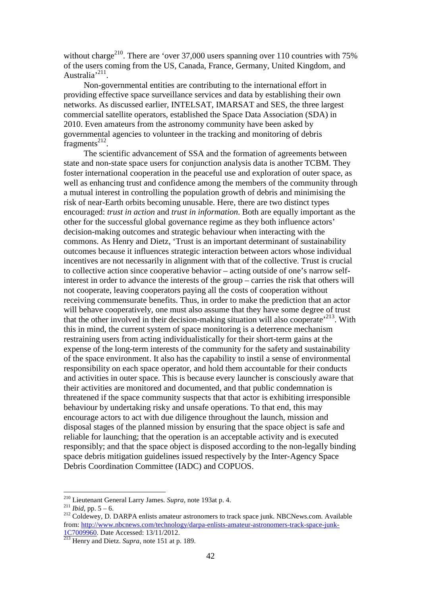without charge<sup>210</sup>. There are 'over 37,000 users spanning over 110 countries with  $75\%$ of the users coming from the US, Canada, France, Germany, United Kingdom, and Australia<sup>, 211</sup>.

Non-governmental entities are contributing to the international effort in providing effective space surveillance services and data by establishing their own networks. As discussed earlier, INTELSAT, IMARSAT and SES, the three largest commercial satellite operators, established the Space Data Association (SDA) in 2010. Even amateurs from the astronomy community have been asked by governmental agencies to volunteer in the tracking and monitoring of debris  ${\rm fragments}^{212}$ .

The scientific advancement of SSA and the formation of agreements between state and non-state space users for conjunction analysis data is another TCBM. They foster international cooperation in the peaceful use and exploration of outer space, as well as enhancing trust and confidence among the members of the community through a mutual interest in controlling the population growth of debris and minimising the risk of near-Earth orbits becoming unusable. Here, there are two distinct types encouraged: *trust in action* and *trust in information*. Both are equally important as the other for the successful global governance regime as they both influence actors' decision-making outcomes and strategic behaviour when interacting with the commons. As Henry and Dietz, 'Trust is an important determinant of sustainability outcomes because it influences strategic interaction between actors whose individual incentives are not necessarily in alignment with that of the collective. Trust is crucial to collective action since cooperative behavior – acting outside of one's narrow selfinterest in order to advance the interests of the group – carries the risk that others will not cooperate, leaving cooperators paying all the costs of cooperation without receiving commensurate benefits. Thus, in order to make the prediction that an actor will behave cooperatively, one must also assume that they have some degree of trust that the other involved in their decision-making situation will also cooperate<sup> $213$ </sup>. With this in mind, the current system of space monitoring is a deterrence mechanism restraining users from acting individualistically for their short-term gains at the expense of the long-term interests of the community for the safety and sustainability of the space environment. It also has the capability to instil a sense of environmental responsibility on each space operator, and hold them accountable for their conducts and activities in outer space. This is because every launcher is consciously aware that their activities are monitored and documented, and that public condemnation is threatened if the space community suspects that that actor is exhibiting irresponsible behaviour by undertaking risky and unsafe operations. To that end, this may encourage actors to act with due diligence throughout the launch, mission and disposal stages of the planned mission by ensuring that the space object is safe and reliable for launching; that the operation is an acceptable activity and is executed responsibly; and that the space object is disposed according to the non-legally binding space debris mitigation guidelines issued respectively by the Inter-Agency Space Debris Coordination Committee (IADC) and COPUOS.

<sup>210</sup> Lieutenant General Larry James. *Supra*, note 193at p. 4.

 $^{211}$ *Ibid, pp.* 5 – 6.

<sup>&</sup>lt;sup>212</sup> Coldewey, D. DARPA enlists amateur astronomers to track space junk. NBCNews.com. Available from: http://www.nbcnews.com/technology/darpa-enlists-amateur-astronomers-track-space-junk-1C7009960. Date Accessed: 13/11/2012.

<sup>213</sup> Henry and Dietz. *Supra*, note 151 at p. 189.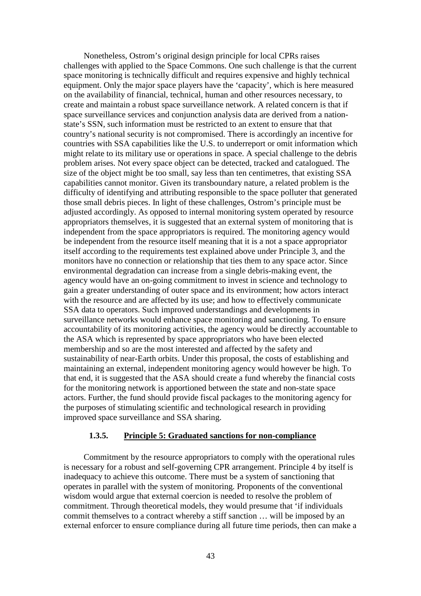Nonetheless, Ostrom's original design principle for local CPRs raises challenges with applied to the Space Commons. One such challenge is that the current space monitoring is technically difficult and requires expensive and highly technical equipment. Only the major space players have the 'capacity', which is here measured on the availability of financial, technical, human and other resources necessary, to create and maintain a robust space surveillance network. A related concern is that if space surveillance services and conjunction analysis data are derived from a nationstate's SSN, such information must be restricted to an extent to ensure that that country's national security is not compromised. There is accordingly an incentive for countries with SSA capabilities like the U.S. to underreport or omit information which might relate to its military use or operations in space. A special challenge to the debris problem arises. Not every space object can be detected, tracked and catalogued. The size of the object might be too small, say less than ten centimetres, that existing SSA capabilities cannot monitor. Given its transboundary nature, a related problem is the difficulty of identifying and attributing responsible to the space polluter that generated those small debris pieces. In light of these challenges, Ostrom's principle must be adjusted accordingly. As opposed to internal monitoring system operated by resource appropriators themselves, it is suggested that an external system of monitoring that is independent from the space appropriators is required. The monitoring agency would be independent from the resource itself meaning that it is a not a space appropriator itself according to the requirements test explained above under Principle 3, and the monitors have no connection or relationship that ties them to any space actor. Since environmental degradation can increase from a single debris-making event, the agency would have an on-going commitment to invest in science and technology to gain a greater understanding of outer space and its environment; how actors interact with the resource and are affected by its use; and how to effectively communicate SSA data to operators. Such improved understandings and developments in surveillance networks would enhance space monitoring and sanctioning. To ensure accountability of its monitoring activities, the agency would be directly accountable to the ASA which is represented by space appropriators who have been elected membership and so are the most interested and affected by the safety and sustainability of near-Earth orbits. Under this proposal, the costs of establishing and maintaining an external, independent monitoring agency would however be high. To that end, it is suggested that the ASA should create a fund whereby the financial costs for the monitoring network is apportioned between the state and non-state space actors. Further, the fund should provide fiscal packages to the monitoring agency for the purposes of stimulating scientific and technological research in providing improved space surveillance and SSA sharing.

#### **1.3.5. Principle 5: Graduated sanctions for non-compliance**

Commitment by the resource appropriators to comply with the operational rules is necessary for a robust and self-governing CPR arrangement. Principle 4 by itself is inadequacy to achieve this outcome. There must be a system of sanctioning that operates in parallel with the system of monitoring. Proponents of the conventional wisdom would argue that external coercion is needed to resolve the problem of commitment. Through theoretical models, they would presume that 'if individuals commit themselves to a contract whereby a stiff sanction … will be imposed by an external enforcer to ensure compliance during all future time periods, then can make a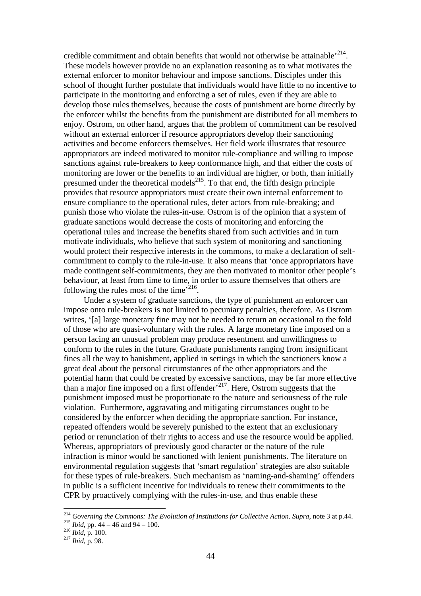credible commitment and obtain benefits that would not otherwise be attainable<sup> $214$ </sup>. These models however provide no an explanation reasoning as to what motivates the external enforcer to monitor behaviour and impose sanctions. Disciples under this school of thought further postulate that individuals would have little to no incentive to participate in the monitoring and enforcing a set of rules, even if they are able to develop those rules themselves, because the costs of punishment are borne directly by the enforcer whilst the benefits from the punishment are distributed for all members to enjoy. Ostrom, on other hand, argues that the problem of commitment can be resolved without an external enforcer if resource appropriators develop their sanctioning activities and become enforcers themselves. Her field work illustrates that resource appropriators are indeed motivated to monitor rule-compliance and willing to impose sanctions against rule-breakers to keep conformance high, and that either the costs of monitoring are lower or the benefits to an individual are higher, or both, than initially presumed under the theoretical models<sup>215</sup>. To that end, the fifth design principle provides that resource appropriators must create their own internal enforcement to ensure compliance to the operational rules, deter actors from rule-breaking; and punish those who violate the rules-in-use. Ostrom is of the opinion that a system of graduate sanctions would decrease the costs of monitoring and enforcing the operational rules and increase the benefits shared from such activities and in turn motivate individuals, who believe that such system of monitoring and sanctioning would protect their respective interests in the commons, to make a declaration of selfcommitment to comply to the rule-in-use. It also means that 'once appropriators have made contingent self-commitments, they are then motivated to monitor other people's behaviour, at least from time to time, in order to assure themselves that others are following the rules most of the time $i^{216}$ .

Under a system of graduate sanctions, the type of punishment an enforcer can impose onto rule-breakers is not limited to pecuniary penalties, therefore. As Ostrom writes, '[a] large monetary fine may not be needed to return an occasional to the fold of those who are quasi-voluntary with the rules. A large monetary fine imposed on a person facing an unusual problem may produce resentment and unwillingness to conform to the rules in the future. Graduate punishments ranging from insignificant fines all the way to banishment, applied in settings in which the sanctioners know a great deal about the personal circumstances of the other appropriators and the potential harm that could be created by excessive sanctions, may be far more effective than a major fine imposed on a first offender<sup> $217$ </sup>. Here, Ostrom suggests that the punishment imposed must be proportionate to the nature and seriousness of the rule violation. Furthermore, aggravating and mitigating circumstances ought to be considered by the enforcer when deciding the appropriate sanction. For instance, repeated offenders would be severely punished to the extent that an exclusionary period or renunciation of their rights to access and use the resource would be applied. Whereas, appropriators of previously good character or the nature of the rule infraction is minor would be sanctioned with lenient punishments. The literature on environmental regulation suggests that 'smart regulation' strategies are also suitable for these types of rule-breakers. Such mechanism as 'naming-and-shaming' offenders in public is a sufficient incentive for individuals to renew their commitments to the CPR by proactively complying with the rules-in-use, and thus enable these

<sup>214</sup> *Governing the Commons: The Evolution of Institutions for Collective Action*. *Supra*, note 3 at p.44. <sup>215</sup> *Ibid,* pp. 44 – 46 and 94 – 100.

<sup>216</sup> *Ibid,* p. 100.

<sup>217</sup> *Ibid,* p. 98.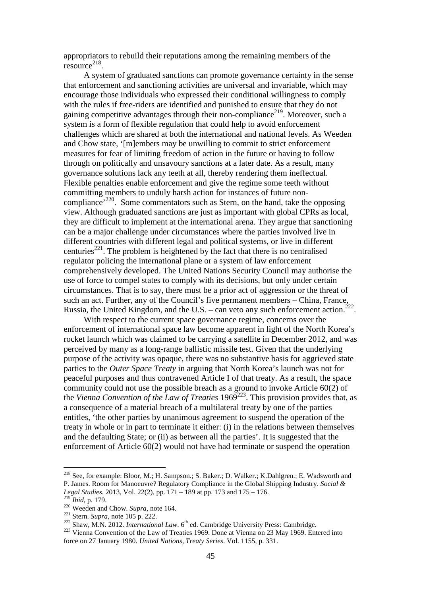appropriators to rebuild their reputations among the remaining members of the  $resource<sup>218</sup>$ .

A system of graduated sanctions can promote governance certainty in the sense that enforcement and sanctioning activities are universal and invariable, which may encourage those individuals who expressed their conditional willingness to comply with the rules if free-riders are identified and punished to ensure that they do not gaining competitive advantages through their non-compliance<sup>219</sup>. Moreover, such a system is a form of flexible regulation that could help to avoid enforcement challenges which are shared at both the international and national levels. As Weeden and Chow state, '[m]embers may be unwilling to commit to strict enforcement measures for fear of limiting freedom of action in the future or having to follow through on politically and unsavoury sanctions at a later date. As a result, many governance solutions lack any teeth at all, thereby rendering them ineffectual. Flexible penalties enable enforcement and give the regime some teeth without committing members to unduly harsh action for instances of future noncompliance<sup>, 220</sup>. Some commentators such as Stern, on the hand, take the opposing view. Although graduated sanctions are just as important with global CPRs as local, they are difficult to implement at the international arena. They argue that sanctioning can be a major challenge under circumstances where the parties involved live in different countries with different legal and political systems, or live in different centuries<sup>221</sup>. The problem is heightened by the fact that there is no centralised regulator policing the international plane or a system of law enforcement comprehensively developed. The United Nations Security Council may authorise the use of force to compel states to comply with its decisions, but only under certain circumstances. That is to say, there must be a prior act of aggression or the threat of such an act. Further, any of the Council's five permanent members – China, France, Russia, the United Kingdom, and the U.S. – can veto any such enforcement action.<sup>2</sup> .

With respect to the current space governance regime, concerns over the enforcement of international space law become apparent in light of the North Korea's rocket launch which was claimed to be carrying a satellite in December 2012, and was perceived by many as a long-range ballistic missile test. Given that the underlying purpose of the activity was opaque, there was no substantive basis for aggrieved state parties to the *Outer Space Treaty* in arguing that North Korea's launch was not for peaceful purposes and thus contravened Article I of that treaty. As a result, the space community could not use the possible breach as a ground to invoke Article 60(2) of the *Vienna Convention of the Law of Treaties* 1969<sup>223</sup>. This provision provides that, as a consequence of a material breach of a multilateral treaty by one of the parties entitles, 'the other parties by unanimous agreement to suspend the operation of the treaty in whole or in part to terminate it either: (i) in the relations between themselves and the defaulting State; or (ii) as between all the parties'. It is suggested that the enforcement of Article 60(2) would not have had terminate or suspend the operation

<sup>218</sup> See, for example: Bloor, M.; H. Sampson.; S. Baker.; D. Walker.; K.Dahlgren.; E. Wadsworth and P. James. Room for Manoeuvre? Regulatory Compliance in the Global Shipping Industry. *Social & Legal Studies.* 2013, Vol. 22(2), pp. 171 – 189 at pp. 173 and 175 – 176.

<sup>219</sup> *Ibid*, p. 179.

<sup>220</sup> Weeden and Chow. *Supra*, note 164.

<sup>221</sup> Stern. *Supra*, note 105 p. 222.

 $222$  Shaw, M.N. 2012. *International Law*.  $6<sup>th</sup>$  ed. Cambridge University Press: Cambridge.

<sup>&</sup>lt;sup>223</sup> Vienna Convention of the Law of Treaties 1969. Done at Vienna on 23 May 1969. Entered into force on 27 January 1980. *United Nations, Treaty Series*. Vol. 1155, p. 331.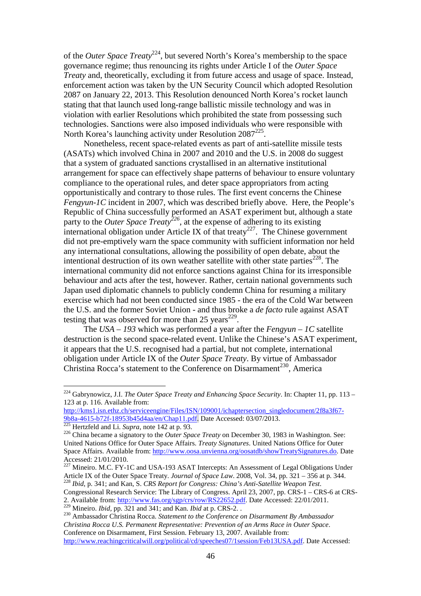of the *Outer Space Treaty*<sup>224</sup>, but severed North's Korea's membership to the space governance regime; thus renouncing its rights under Article I of the *Outer Space Treaty* and, theoretically, excluding it from future access and usage of space. Instead, enforcement action was taken by the UN Security Council which adopted Resolution 2087 on January 22, 2013. This Resolution denounced North Korea's rocket launch stating that that launch used long-range ballistic missile technology and was in violation with earlier Resolutions which prohibited the state from possessing such technologies. Sanctions were also imposed individuals who were responsible with North Korea's launching activity under Resolution 2087<sup>225</sup>.

Nonetheless, recent space-related events as part of anti-satellite missile tests (ASATs) which involved China in 2007 and 2010 and the U.S. in 2008 do suggest that a system of graduated sanctions crystallised in an alternative institutional arrangement for space can effectively shape patterns of behaviour to ensure voluntary compliance to the operational rules, and deter space appropriators from acting opportunistically and contrary to those rules. The first event concerns the Chinese *Fengyun-1C* incident in 2007, which was described briefly above. Here, the People's Republic of China successfully performed an ASAT experiment but, although a state party to the *Outer Space Treaty*<sup>226</sup>, at the expense of adhering to its existing international obligation under Article IX of that treaty<sup>227</sup>. The Chinese government did not pre-emptively warn the space community with sufficient information nor held any international consultations, allowing the possibility of open debate, about the intentional destruction of its own weather satellite with other state parties<sup> $228$ </sup>. The international community did not enforce sanctions against China for its irresponsible behaviour and acts after the test, however. Rather, certain national governments such Japan used diplomatic channels to publicly condemn China for resuming a military exercise which had not been conducted since 1985 - the era of the Cold War between the U.S. and the former Soviet Union - and thus broke a *de facto* rule against ASAT testing that was observed for more than  $25$  years<sup> $229$ </sup>.

The *USA – 193* which was performed a year after the *Fengyun – 1C* satellite destruction is the second space-related event. Unlike the Chinese's ASAT experiment, it appears that the U.S. recognised had a partial, but not complete, international obligation under Article IX of the *Outer Space Treaty*. By virtue of Ambassador Christina Rocca's statement to the Conference on Disarmament<sup>230</sup>, America

 $\overline{a}$ 

Congressional Research Service: The Library of Congress. April 23, 2007, pp. CRS-1 – CRS-6 at CRS-2. Available from: http://www.fas.org/sgp/crs/row/RS22652.pdf. Date Accessed: 22/01/2011. <sup>229</sup> Mineiro. *Ibid,* pp. 321 and 341; and Kan. *Ibid* at p. CRS-2. .

<sup>224</sup> Gabrynowicz, J.I. *The Outer Space Treaty and Enhancing Space Security*. In: Chapter 11, pp. 113 – 123 at p. 116. Available from:

http://kms1.isn.ethz.ch/serviceengine/Files/ISN/109001/ichaptersection\_singledocument/2f8a3f67- 9b8a-4615-b72f-18953b45d4aa/en/Chap11.pdf. Date Accessed: 03/07/2013.

<sup>225</sup> Hertzfeld and Li. *Supra*, note 142 at p. 93.

<sup>&</sup>lt;sup>226</sup> China became a signatory to the *Outer Space Treaty* on December 30, 1983 in Washington. See: United Nations Office for Outer Space Affairs. *Treaty Signatures*. United Nations Office for Outer Space Affairs. Available from: http://www.oosa.unvienna.org/oosatdb/showTreatySignatures.do. Date Accessed: 21/01/2010.

 $^{227}$  Mineiro. M.C. FY-1C and USA-193 ASAT Intercepts: An Assessment of Legal Obligations Under Article IX of the Outer Space Treaty. *Journal of Space Law*. 2008, Vol. 34, pp. 321 – 356 at p. 344. <sup>228</sup> *Ibid*, p. 341; and Kan, S. *CRS Report for Congress: China's Anti-Satellite Weapon Test*.

<sup>230</sup> Ambassador Christina Rocca. *Statement to the Conference on Disarmament By Ambassador Christina Rocca U.S. Permanent Representative: Prevention of an Arms Race in Outer Space*. Conference on Disarmament, First Session. February 13, 2007. Available from: http://www.reachingcriticalwill.org/political/cd/speeches07/1session/Feb13USA.pdf. Date Accessed: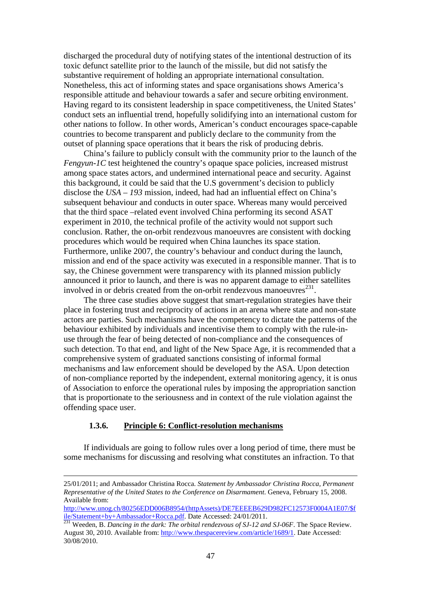discharged the procedural duty of notifying states of the intentional destruction of its toxic defunct satellite prior to the launch of the missile, but did not satisfy the substantive requirement of holding an appropriate international consultation. Nonetheless, this act of informing states and space organisations shows America's responsible attitude and behaviour towards a safer and secure orbiting environment. Having regard to its consistent leadership in space competitiveness, the United States' conduct sets an influential trend, hopefully solidifying into an international custom for other nations to follow. In other words, American's conduct encourages space-capable countries to become transparent and publicly declare to the community from the outset of planning space operations that it bears the risk of producing debris.

China's failure to publicly consult with the community prior to the launch of the *Fengyun-1C* test heightened the country's opaque space policies, increased mistrust among space states actors, and undermined international peace and security. Against this background, it could be said that the U.S government's decision to publicly disclose the *USA – 193* mission, indeed, had had an influential effect on China's subsequent behaviour and conducts in outer space. Whereas many would perceived that the third space –related event involved China performing its second ASAT experiment in 2010, the technical profile of the activity would not support such conclusion. Rather, the on-orbit rendezvous manoeuvres are consistent with docking procedures which would be required when China launches its space station. Furthermore, unlike 2007, the country's behaviour and conduct during the launch, mission and end of the space activity was executed in a responsible manner. That is to say, the Chinese government were transparency with its planned mission publicly announced it prior to launch, and there is was no apparent damage to either satellites involved in or debris created from the on-orbit rendezvous manoeuvres $^{231}$ .

The three case studies above suggest that smart-regulation strategies have their place in fostering trust and reciprocity of actions in an arena where state and non-state actors are parties. Such mechanisms have the competency to dictate the patterns of the behaviour exhibited by individuals and incentivise them to comply with the rule-inuse through the fear of being detected of non-compliance and the consequences of such detection. To that end, and light of the New Space Age, it is recommended that a comprehensive system of graduated sanctions consisting of informal formal mechanisms and law enforcement should be developed by the ASA. Upon detection of non-compliance reported by the independent, external monitoring agency, it is onus of Association to enforce the operational rules by imposing the appropriation sanction that is proportionate to the seriousness and in context of the rule violation against the offending space user.

#### **1.3.6. Principle 6: Conflict-resolution mechanisms**

 $\overline{a}$ 

If individuals are going to follow rules over a long period of time, there must be some mechanisms for discussing and resolving what constitutes an infraction. To that

<sup>25/01/2011;</sup> and Ambassador Christina Rocca. *Statement by Ambassador Christina Rocca, Permanent Representative of the United States to the Conference on Disarmament*. Geneva, February 15, 2008. Available from:

http://www.unog.ch/80256EDD006B8954/(httpAssets)/DE7EEEEB629D982FC12573F0004A1E07/\$f ile/Statement+by+Ambassador+Rocca.pdf. Date Accessed: 24/01/2011.

<sup>231</sup> Weeden, B. *Dancing in the dark: The orbital rendezvous of SJ-12 and SJ-06F*. The Space Review. August 30, 2010. Available from: http://www.thespacereview.com/article/1689/1. Date Accessed: 30/08/2010.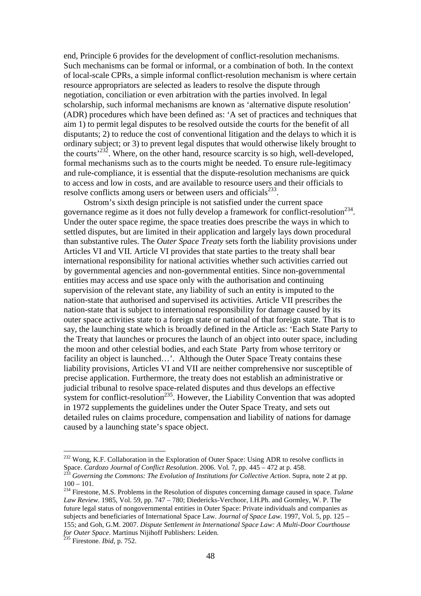end, Principle 6 provides for the development of conflict-resolution mechanisms. Such mechanisms can be formal or informal, or a combination of both. In the context of local-scale CPRs, a simple informal conflict-resolution mechanism is where certain resource appropriators are selected as leaders to resolve the dispute through negotiation, conciliation or even arbitration with the parties involved. In legal scholarship, such informal mechanisms are known as 'alternative dispute resolution' (ADR) procedures which have been defined as: 'A set of practices and techniques that aim 1) to permit legal disputes to be resolved outside the courts for the benefit of all disputants; 2) to reduce the cost of conventional litigation and the delays to which it is ordinary subject; or 3) to prevent legal disputes that would otherwise likely brought to the courts'<sup>232</sup>. Where, on the other hand, resource scarcity is so high, well-developed, formal mechanisms such as to the courts might be needed. To ensure rule-legitimacy and rule-compliance, it is essential that the dispute-resolution mechanisms are quick to access and low in costs, and are available to resource users and their officials to resolve conflicts among users or between users and officials $233$ .

Ostrom's sixth design principle is not satisfied under the current space governance regime as it does not fully develop a framework for conflict-resolution<sup>234</sup>. Under the outer space regime, the space treaties does prescribe the ways in which to settled disputes, but are limited in their application and largely lays down procedural than substantive rules. The *Outer Space Treaty* sets forth the liability provisions under Articles VI and VII. Article VI provides that state parties to the treaty shall bear international responsibility for national activities whether such activities carried out by governmental agencies and non-governmental entities. Since non-governmental entities may access and use space only with the authorisation and continuing supervision of the relevant state, any liability of such an entity is imputed to the nation-state that authorised and supervised its activities. Article VII prescribes the nation-state that is subject to international responsibility for damage caused by its outer space activities state to a foreign state or national of that foreign state. That is to say, the launching state which is broadly defined in the Article as: 'Each State Party to the Treaty that launches or procures the launch of an object into outer space, including the moon and other celestial bodies, and each State Party from whose territory or facility an object is launched...'. Although the Outer Space Treaty contains these liability provisions, Articles VI and VII are neither comprehensive nor susceptible of precise application. Furthermore, the treaty does not establish an administrative or judicial tribunal to resolve space-related disputes and thus develops an effective system for conflict-resolution<sup>235</sup>. However, the Liability Convention that was adopted in 1972 supplements the guidelines under the Outer Space Treaty, and sets out detailed rules on claims procedure, compensation and liability of nations for damage caused by a launching state's space object.

<sup>&</sup>lt;sup>232</sup> Wong, K.F. Collaboration in the Exploration of Outer Space: Using ADR to resolve conflicts in Space. *Cardozo Journal of Conflict Resolution*. 2006. Vol. 7, pp. 445 – 472 at p. 458. <sup>233</sup> *Governing the Commons: The Evolution of Institutions for Collective Action*. Supra, note 2 at pp.

 $100 - 101.$ 

<sup>234</sup> Firestone, M.S. Problems in the Resolution of disputes concerning damage caused in space. *Tulane Law Review*. 1985, Vol. 59, pp. 747 – 780; Diedericks-Verchoor, I.H.Ph. and Gormley, W. P. The future legal status of nongovernmental entities in Outer Space: Private individuals and companies as subjects and beneficiaries of International Space Law. *Journal of Space Law*. 1997, Vol. 5, pp. 125 – 155; and Goh, G.M. 2007. *Dispute Settlement in International Space Law: A Multi-Door Courthouse for Outer Space*. Martinus Nijihoff Publishers: Leiden.

<sup>235</sup> Firestone. *Ibid*, p. 752.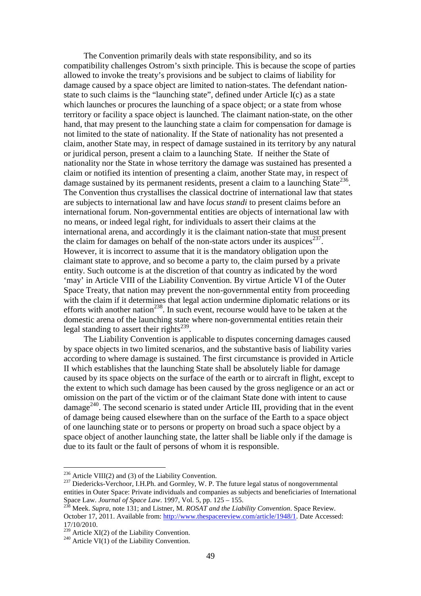The Convention primarily deals with state responsibility, and so its compatibility challenges Ostrom's sixth principle. This is because the scope of parties allowed to invoke the treaty's provisions and be subject to claims of liability for damage caused by a space object are limited to nation-states. The defendant nationstate to such claims is the "launching state", defined under Article I(c) as a state which launches or procures the launching of a space object; or a state from whose territory or facility a space object is launched. The claimant nation-state, on the other hand, that may present to the launching state a claim for compensation for damage is not limited to the state of nationality. If the State of nationality has not presented a claim, another State may, in respect of damage sustained in its territory by any natural or juridical person, present a claim to a launching State. If neither the State of nationality nor the State in whose territory the damage was sustained has presented a claim or notified its intention of presenting a claim, another State may, in respect of damage sustained by its permanent residents, present a claim to a launching State<sup>236</sup>. The Convention thus crystallises the classical doctrine of international law that states are subjects to international law and have *locus standi* to present claims before an international forum. Non-governmental entities are objects of international law with no means, or indeed legal right, for individuals to assert their claims at the international arena, and accordingly it is the claimant nation-state that must present the claim for damages on behalf of the non-state actors under its auspices<sup>237</sup>. However, it is incorrect to assume that it is the mandatory obligation upon the claimant state to approve, and so become a party to, the claim pursed by a private entity. Such outcome is at the discretion of that country as indicated by the word 'may' in Article VIII of the Liability Convention. By virtue Article VI of the Outer Space Treaty, that nation may prevent the non-governmental entity from proceeding with the claim if it determines that legal action undermine diplomatic relations or its efforts with another nation<sup>238</sup>. In such event, recourse would have to be taken at the domestic arena of the launching state where non-governmental entities retain their legal standing to assert their rights<sup>239</sup>.

The Liability Convention is applicable to disputes concerning damages caused by space objects in two limited scenarios, and the substantive basis of liability varies according to where damage is sustained. The first circumstance is provided in Article II which establishes that the launching State shall be absolutely liable for damage caused by its space objects on the surface of the earth or to aircraft in flight, except to the extent to which such damage has been caused by the gross negligence or an act or omission on the part of the victim or of the claimant State done with intent to cause  $\alpha$ damage<sup>240</sup>. The second scenario is stated under Article III, providing that in the event of damage being caused elsewhere than on the surface of the Earth to a space object of one launching state or to persons or property on broad such a space object by a space object of another launching state, the latter shall be liable only if the damage is due to its fault or the fault of persons of whom it is responsible.

 $236$  Article VIII(2) and (3) of the Liability Convention.

<sup>&</sup>lt;sup>237</sup> Diedericks-Verchoor, I.H.Ph. and Gormley, W. P. The future legal status of nongovernmental entities in Outer Space: Private individuals and companies as subjects and beneficiaries of International Space Law. *Journal of Space Law*. 1997, Vol. 5, pp. 125 – 155.<br><sup>238</sup> Maaks Super Law. 1997, Vol. 5, pp. 125 – 155.

<sup>238</sup> Meek. *Supra*, note 131; and Listner, M. *ROSAT and the Liability Convention*. Space Review. October 17, 2011. Available from: http://www.thespacereview.com/article/1948/1. Date Accessed: 17/10/2010.

 $^{239}$  Article XI(2) of the Liability Convention.

 $^{240}$  Article VI(1) of the Liability Convention.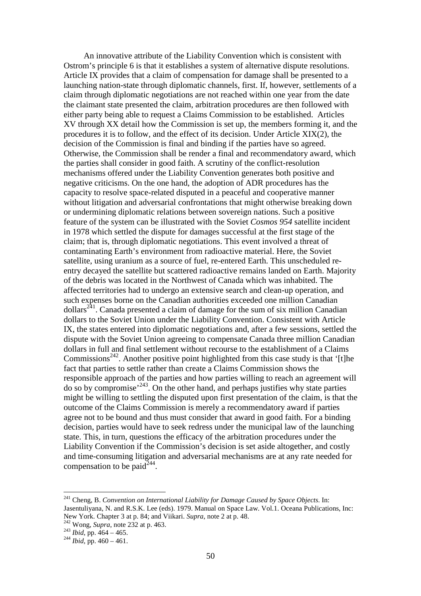An innovative attribute of the Liability Convention which is consistent with Ostrom's principle 6 is that it establishes a system of alternative dispute resolutions. Article IX provides that a claim of compensation for damage shall be presented to a launching nation-state through diplomatic channels, first. If, however, settlements of a claim through diplomatic negotiations are not reached within one year from the date the claimant state presented the claim, arbitration procedures are then followed with either party being able to request a Claims Commission to be established. Articles XV through XX detail how the Commission is set up, the members forming it, and the procedures it is to follow, and the effect of its decision. Under Article XIX(2), the decision of the Commission is final and binding if the parties have so agreed. Otherwise, the Commission shall be render a final and recommendatory award, which the parties shall consider in good faith. A scrutiny of the conflict-resolution mechanisms offered under the Liability Convention generates both positive and negative criticisms. On the one hand, the adoption of ADR procedures has the capacity to resolve space-related disputed in a peaceful and cooperative manner without litigation and adversarial confrontations that might otherwise breaking down or undermining diplomatic relations between sovereign nations. Such a positive feature of the system can be illustrated with the Soviet *Cosmos 954* satellite incident in 1978 which settled the dispute for damages successful at the first stage of the claim; that is, through diplomatic negotiations. This event involved a threat of contaminating Earth's environment from radioactive material. Here, the Soviet satellite, using uranium as a source of fuel, re-entered Earth. This unscheduled reentry decayed the satellite but scattered radioactive remains landed on Earth. Majority of the debris was located in the Northwest of Canada which was inhabited. The affected territories had to undergo an extensive search and clean-up operation, and such expenses borne on the Canadian authorities exceeded one million Canadian  $\text{dollars}^{241}$ . Canada presented a claim of damage for the sum of six million Canadian dollars to the Soviet Union under the Liability Convention. Consistent with Article IX, the states entered into diplomatic negotiations and, after a few sessions, settled the dispute with the Soviet Union agreeing to compensate Canada three million Canadian dollars in full and final settlement without recourse to the establishment of a Claims Commissions<sup>242</sup>. Another positive point highlighted from this case study is that '[t]he fact that parties to settle rather than create a Claims Commission shows the responsible approach of the parties and how parties willing to reach an agreement will  $\frac{1}{2}$  do so by compromise<sup>, 243</sup>. On the other hand, and perhaps justifies why state parties might be willing to settling the disputed upon first presentation of the claim, is that the outcome of the Claims Commission is merely a recommendatory award if parties agree not to be bound and thus must consider that award in good faith. For a binding decision, parties would have to seek redress under the municipal law of the launching state. This, in turn, questions the efficacy of the arbitration procedures under the Liability Convention if the Commission's decision is set aside altogether, and costly and time-consuming litigation and adversarial mechanisms are at any rate needed for compensation to be paid<sup> $244$ </sup>.

<sup>241</sup> Cheng, B. *Convention on International Liability for Damage Caused by Space Objects*. In: Jasentuliyana, N. and R.S.K. Lee (eds). 1979. Manual on Space Law. Vol.1. Oceana Publications, Inc: New York. Chapter 3 at p. 84; and Viikari. *Supra*, note 2 at p. 48.

<sup>242</sup> Wong, *Supra*, note 232 at p. 463.

 $^{243}$  *Ibid*, pp. 464 – 465.

<sup>244</sup> *Ibid,* pp. 460 – 461.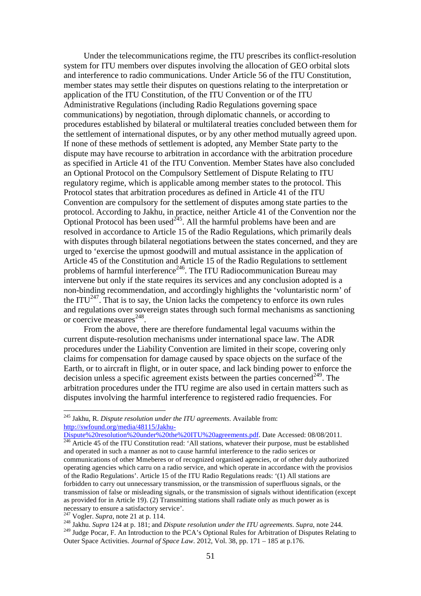Under the telecommunications regime, the ITU prescribes its conflict-resolution system for ITU members over disputes involving the allocation of GEO orbital slots and interference to radio communications. Under Article 56 of the ITU Constitution, member states may settle their disputes on questions relating to the interpretation or application of the ITU Constitution, of the ITU Convention or of the ITU Administrative Regulations (including Radio Regulations governing space communications) by negotiation, through diplomatic channels, or according to procedures established by bilateral or multilateral treaties concluded between them for the settlement of international disputes, or by any other method mutually agreed upon. If none of these methods of settlement is adopted, any Member State party to the dispute may have recourse to arbitration in accordance with the arbitration procedure as specified in Article 41 of the ITU Convention. Member States have also concluded an Optional Protocol on the Compulsory Settlement of Dispute Relating to ITU regulatory regime, which is applicable among member states to the protocol. This Protocol states that arbitration procedures as defined in Article 41 of the ITU Convention are compulsory for the settlement of disputes among state parties to the protocol. According to Jakhu, in practice, neither Article 41 of the Convention nor the Optional Protocol has been used<sup> $245$ </sup>. All the harmful problems have been and are resolved in accordance to Article 15 of the Radio Regulations, which primarily deals with disputes through bilateral negotiations between the states concerned, and they are urged to 'exercise the upmost goodwill and mutual assistance in the application of Article 45 of the Constitution and Article 15 of the Radio Regulations to settlement problems of harmful interference<sup>246</sup>. The ITU Radiocommunication Bureau may intervene but only if the state requires its services and any conclusion adopted is a non-binding recommendation, and accordingly highlights the 'voluntaristic norm' of the ITU $^{247}$ . That is to say, the Union lacks the competency to enforce its own rules and regulations over sovereign states through such formal mechanisms as sanctioning or coercive measures $^{248}$ .

From the above, there are therefore fundamental legal vacuums within the current dispute-resolution mechanisms under international space law. The ADR procedures under the Liability Convention are limited in their scope, covering only claims for compensation for damage caused by space objects on the surface of the Earth, or to aircraft in flight, or in outer space, and lack binding power to enforce the decision unless a specific agreement exists between the parties concerned<sup>249</sup>. The arbitration procedures under the ITU regime are also used in certain matters such as disputes involving the harmful interference to registered radio frequencies. For

<sup>245</sup> Jakhu, R. *Dispute resolution under the ITU agreements*. Available from: http://swfound.org/media/48115/Jakhu-

Dispute%20resolution%20under%20the%20ITU%20agreements.pdf. Date Accessed: 08/08/2011. <sup>246</sup> Article 45 of the ITU Constitution read: 'All stations, whatever their purpose, must be established and operated in such a manner as not to cause harmful interference to the radio serices or communications of other Mmeberes or of recognized organised agencies, or of other duly authorized operating agencies which carru on a radio service, and which operate in accordance with the provisios of the Radio Regulations'. Article 15 of the ITU Radio Regulations reads: '(1) All stations are forbidden to carry out unnecessary transmission, or the transmission of superfluous signals, or the transmission of false or misleading signals, or the transmission of signals without identification (except as provided for in Article 19). (2) Transmitting stations shall radiate only as much power as is necessary to ensure a satisfactory service'.

<sup>247</sup> Vogler. *Supra*, note 21 at p. 114.

<sup>248</sup> Jakhu. *Supra* 124 at p. 181; and *Dispute resolution under the ITU agreements*. *Supra*, note 244. <sup>249</sup> Judge Pocar, F. An Introduction to the PCA's Optional Rules for Arbitration of Disputes Relating to Outer Space Activities. *Journal of Space Law*. 2012, Vol. 38, pp. 171 – 185 at p.176.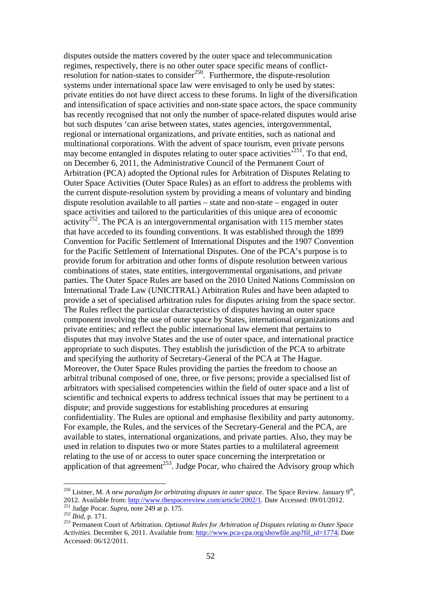disputes outside the matters covered by the outer space and telecommunication regimes, respectively, there is no other outer space specific means of conflictresolution for nation-states to consider<sup>250</sup>. Furthermore, the dispute-resolution systems under international space law were envisaged to only be used by states: private entities do not have direct access to these forums. In light of the diversification and intensification of space activities and non-state space actors, the space community has recently recognised that not only the number of space-related disputes would arise but such disputes 'can arise between states, states agencies, intergovernmental, regional or international organizations, and private entities, such as national and multinational corporations. With the advent of space tourism, even private persons may become entangled in disputes relating to outer space activities<sup> $251$ </sup>. To that end, on December 6, 2011, the Administrative Council of the Permanent Court of Arbitration (PCA) adopted the Optional rules for Arbitration of Disputes Relating to Outer Space Activities (Outer Space Rules) as an effort to address the problems with the current dispute-resolution system by providing a means of voluntary and binding dispute resolution available to all parties – state and non-state – engaged in outer space activities and tailored to the particularities of this unique area of economic  $\arct{activity}^{252}$ . The PCA is an intergovernmental organisation with 115 member states that have acceded to its founding conventions. It was established through the 1899 Convention for Pacific Settlement of International Disputes and the 1907 Convention for the Pacific Settlement of International Disputes. One of the PCA's purpose is to provide forum for arbitration and other forms of dispute resolution between various combinations of states, state entities, intergovernmental organisations, and private parties. The Outer Space Rules are based on the 2010 United Nations Commission on International Trade Law (UNICITRAL) Arbitration Rules and have been adapted to provide a set of specialised arbitration rules for disputes arising from the space sector. The Rules reflect the particular characteristics of disputes having an outer space component involving the use of outer space by States, international organizations and private entities; and reflect the public international law element that pertains to disputes that may involve States and the use of outer space, and international practice appropriate to such disputes. They establish the jurisdiction of the PCA to arbitrate and specifying the authority of Secretary-General of the PCA at The Hague. Moreover, the Outer Space Rules providing the parties the freedom to choose an arbitral tribunal composed of one, three, or five persons; provide a specialised list of arbitrators with specialised competencies within the field of outer space and a list of scientific and technical experts to address technical issues that may be pertinent to a dispute; and provide suggestions for establishing procedures at ensuring confidentiality. The Rules are optional and emphasise flexibility and party autonomy. For example, the Rules, and the services of the Secretary-General and the PCA, are available to states, international organizations, and private parties. Also, they may be used in relation to disputes two or more States parties to a multilateral agreement relating to the use of or access to outer space concerning the interpretation or application of that agreement $^{253}$ . Judge Pocar, who chaired the Advisory group which

<sup>&</sup>lt;sup>250</sup> Listner, M. A new paradigm for arbitrating disputes in outer space. The Space Review. January 9<sup>th</sup>, 2012. Available from: http://www.thespacereview.com/article/2002/1. Date Accessed: 09/01/2012.

<sup>251</sup> Judge Pocar. *Supra*, note 249 at p. 175.

<sup>252</sup> *Ibid*, p. 171.

<sup>253</sup> Permanent Court of Arbitration. *Optional Rules for Arbitration of Disputes relating to Outer Space Activities*. December 6, 2011. Available from: http://www.pca-cpa.org/showfile.asp?fil\_id=1774. Date Accessed: 06/12/2011.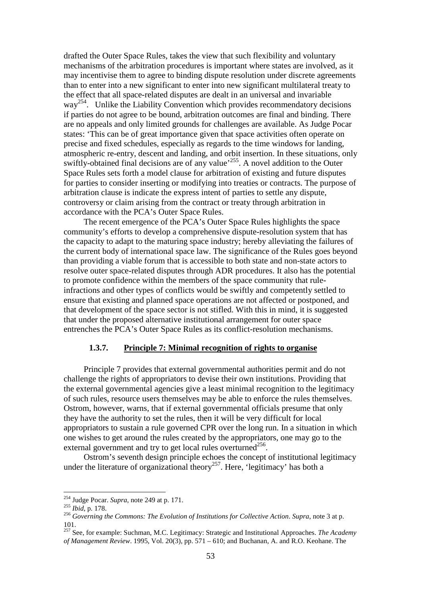drafted the Outer Space Rules, takes the view that such flexibility and voluntary mechanisms of the arbitration procedures is important where states are involved, as it may incentivise them to agree to binding dispute resolution under discrete agreements than to enter into a new significant to enter into new significant multilateral treaty to the effect that all space-related disputes are dealt in an universal and invariable way<sup>254</sup>. Unlike the Liability Convention which provides recommendatory decisions if parties do not agree to be bound, arbitration outcomes are final and binding. There are no appeals and only limited grounds for challenges are available. As Judge Pocar states: 'This can be of great importance given that space activities often operate on precise and fixed schedules, especially as regards to the time windows for landing, atmospheric re-entry, descent and landing, and orbit insertion. In these situations, only swiftly-obtained final decisions are of any value<sup>255</sup>. A novel addition to the Outer Space Rules sets forth a model clause for arbitration of existing and future disputes for parties to consider inserting or modifying into treaties or contracts. The purpose of arbitration clause is indicate the express intent of parties to settle any dispute, controversy or claim arising from the contract or treaty through arbitration in accordance with the PCA's Outer Space Rules.

The recent emergence of the PCA's Outer Space Rules highlights the space community's efforts to develop a comprehensive dispute-resolution system that has the capacity to adapt to the maturing space industry; hereby alleviating the failures of the current body of international space law. The significance of the Rules goes beyond than providing a viable forum that is accessible to both state and non-state actors to resolve outer space-related disputes through ADR procedures. It also has the potential to promote confidence within the members of the space community that ruleinfractions and other types of conflicts would be swiftly and competently settled to ensure that existing and planned space operations are not affected or postponed, and that development of the space sector is not stifled. With this in mind, it is suggested that under the proposed alternative institutional arrangement for outer space entrenches the PCA's Outer Space Rules as its conflict-resolution mechanisms.

# **1.3.7. Principle 7: Minimal recognition of rights to organise**

Principle 7 provides that external governmental authorities permit and do not challenge the rights of appropriators to devise their own institutions. Providing that the external governmental agencies give a least minimal recognition to the legitimacy of such rules, resource users themselves may be able to enforce the rules themselves. Ostrom, however, warns, that if external governmental officials presume that only they have the authority to set the rules, then it will be very difficult for local appropriators to sustain a rule governed CPR over the long run. In a situation in which one wishes to get around the rules created by the appropriators, one may go to the external government and try to get local rules overturned<sup>256</sup>.

Ostrom's seventh design principle echoes the concept of institutional legitimacy under the literature of organizational theory<sup>257</sup>. Here, 'legitimacy' has both a

<sup>254</sup> Judge Pocar. *Supra*, note 249 at p. 171.

<sup>255</sup> *Ibid*, p. 178.

<sup>256</sup> *Governing the Commons: The Evolution of Institutions for Collective Action*. *Supra*, note 3 at p. 101.

<sup>257</sup> See, for example: Suchman, M.C. Legitimacy: Strategic and Institutional Approaches. *The Academy of Management Review*. 1995, Vol. 20(3), pp. 571 – 610; and Buchanan, A. and R.O. Keohane. The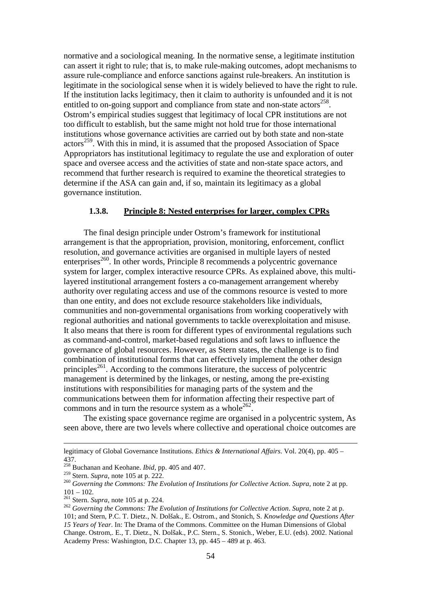normative and a sociological meaning. In the normative sense, a legitimate institution can assert it right to rule; that is, to make rule-making outcomes, adopt mechanisms to assure rule-compliance and enforce sanctions against rule-breakers. An institution is legitimate in the sociological sense when it is widely believed to have the right to rule. If the institution lacks legitimacy, then it claim to authority is unfounded and it is not entitled to on-going support and compliance from state and non-state actors<sup>258</sup>. Ostrom's empirical studies suggest that legitimacy of local CPR institutions are not too difficult to establish, but the same might not hold true for those international institutions whose governance activities are carried out by both state and non-state  $\arccos^{259}$ . With this in mind, it is assumed that the proposed Association of Space Appropriators has institutional legitimacy to regulate the use and exploration of outer space and oversee access and the activities of state and non-state space actors, and recommend that further research is required to examine the theoretical strategies to determine if the ASA can gain and, if so, maintain its legitimacy as a global governance institution.

#### **1.3.8. Principle 8: Nested enterprises for larger, complex CPRs**

The final design principle under Ostrom's framework for institutional arrangement is that the appropriation, provision, monitoring, enforcement, conflict resolution, and governance activities are organised in multiple layers of nested enterprises<sup>260</sup>. In other words, Principle 8 recommends a polycentric governance system for larger, complex interactive resource CPRs. As explained above, this multilayered institutional arrangement fosters a co-management arrangement whereby authority over regulating access and use of the commons resource is vested to more than one entity, and does not exclude resource stakeholders like individuals, communities and non-governmental organisations from working cooperatively with regional authorities and national governments to tackle overexploitation and misuse. It also means that there is room for different types of environmental regulations such as command-and-control, market-based regulations and soft laws to influence the governance of global resources. However, as Stern states, the challenge is to find combination of institutional forms that can effectively implement the other design principles<sup>261</sup>. According to the commons literature, the success of polycentric management is determined by the linkages, or nesting, among the pre-existing institutions with responsibilities for managing parts of the system and the communications between them for information affecting their respective part of commons and in turn the resource system as a whole  $262$ .

The existing space governance regime are organised in a polycentric system, As seen above, there are two levels where collective and operational choice outcomes are

legitimacy of Global Governance Institutions. *Ethics & International Affairs*. Vol. 20(4), pp. 405 – 437.

<sup>258</sup> Buchanan and Keohane. *Ibid*, pp. 405 and 407.

<sup>259</sup> Stern. *Supra*, note 105 at p. 222.

<sup>260</sup> *Governing the Commons: The Evolution of Institutions for Collective Action*. *Supra*, note 2 at pp.  $101 - 102.$ 

<sup>261</sup> Stern. *Supra*, note 105 at p. 224.

<sup>&</sup>lt;sup>262</sup> Governing the Commons: The Evolution of Institutions for Collective Action. Supra, note 2 at p. 101; and Stern, P.C. T. Dietz., N. Dolšak., E. Ostrom., and Stonich, S. *Knowledge and Questions After 15 Years of Year*. In: The Drama of the Commons. Committee on the Human Dimensions of Global Change. Ostrom,. E., T. Dietz., N. Dolšak., P.C. Stern., S. Stonich., Weber, E.U. (eds). 2002. National Academy Press: Washington, D.C. Chapter 13, pp. 445 – 489 at p. 463.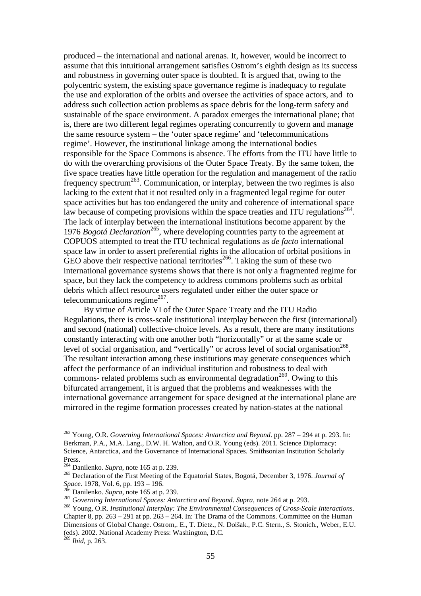produced – the international and national arenas. It, however, would be incorrect to assume that this intuitional arrangement satisfies Ostrom's eighth design as its success and robustness in governing outer space is doubted. It is argued that, owing to the polycentric system, the existing space governance regime is inadequacy to regulate the use and exploration of the orbits and oversee the activities of space actors, and to address such collection action problems as space debris for the long-term safety and sustainable of the space environment. A paradox emerges the international plane; that is, there are two different legal regimes operating concurrently to govern and manage the same resource system – the 'outer space regime' and 'telecommunications regime'. However, the institutional linkage among the international bodies responsible for the Space Commons is absence. The efforts from the ITU have little to do with the overarching provisions of the Outer Space Treaty. By the same token, the five space treaties have little operation for the regulation and management of the radio frequency spectrum<sup>263</sup>. Communication, or interplay, between the two regimes is also lacking to the extent that it not resulted only in a fragmented legal regime for outer space activities but has too endangered the unity and coherence of international space law because of competing provisions within the space treaties and ITU regulations<sup>264</sup>. The lack of interplay between the international institutions become apparent by the 1976 *Bogotá Declaration*<sup>265</sup>, where developing countries party to the agreement at COPUOS attempted to treat the ITU technical regulations as *de facto* international space law in order to assert preferential rights in the allocation of orbital positions in GEO above their respective national territories<sup>266</sup>. Taking the sum of these two international governance systems shows that there is not only a fragmented regime for space, but they lack the competency to address commons problems such as orbital debris which affect resource users regulated under either the outer space or telecommunications regime $^{267}$ .

By virtue of Article VI of the Outer Space Treaty and the ITU Radio Regulations, there is cross-scale institutional interplay between the first (international) and second (national) collective-choice levels. As a result, there are many institutions constantly interacting with one another both "horizontally" or at the same scale or level of social organisation, and "vertically" or across level of social organisation<sup>268</sup>. The resultant interaction among these institutions may generate consequences which affect the performance of an individual institution and robustness to deal with commons- related problems such as environmental degradation<sup> $269$ </sup>. Owing to this bifurcated arrangement, it is argued that the problems and weaknesses with the international governance arrangement for space designed at the international plane are mirrored in the regime formation processes created by nation-states at the national

<sup>269</sup> *Ibid*, p. 263.

<sup>263</sup> Young, O.R. *Governing International Spaces: Antarctica and Beyond*. pp. 287 – 294 at p. 293. In: Berkman, P.A., M.A. Lang., D.W. H. Walton, and O.R. Young (eds). 2011. Science Diplomacy: Science, Antarctica, and the Governance of International Spaces. Smithsonian Institution Scholarly Press.

<sup>264</sup> Danilenko. *Supra*, note 165 at p. 239.

<sup>265</sup> Declaration of the First Meeting of the Equatorial States, Bogotá, December 3, 1976. *Journal of Space*. 1978, Vol. 6, pp. 193 – 196.

 $\overline{6}$  Danilenko. *Supra*, note 165 at p. 239.

<sup>267</sup> *Governing International Spaces: Antarctica and Beyond*. *Supra*, note 264 at p. 293.

<sup>268</sup> Young, O.R. *Institutional Interplay: The Environmental Consequences of Cross-Scale Interactions*. Chapter 8, pp.  $263 - 291$  at pp.  $263 - 264$ . In: The Drama of the Commons. Committee on the Human Dimensions of Global Change. Ostrom,. E., T. Dietz., N. Dolšak., P.C. Stern., S. Stonich., Weber, E.U. (eds). 2002. National Academy Press: Washington, D.C.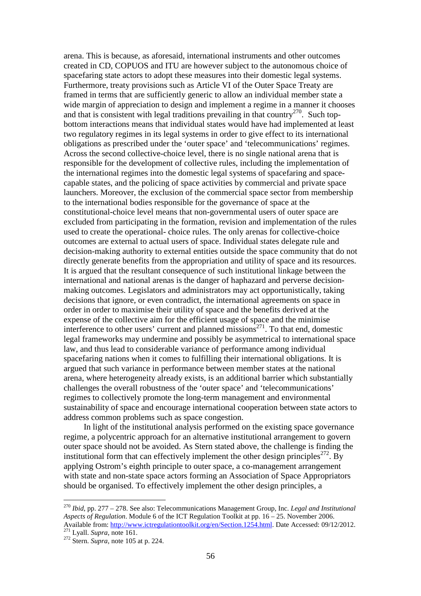arena. This is because, as aforesaid, international instruments and other outcomes created in CD, COPUOS and ITU are however subject to the autonomous choice of spacefaring state actors to adopt these measures into their domestic legal systems. Furthermore, treaty provisions such as Article VI of the Outer Space Treaty are framed in terms that are sufficiently generic to allow an individual member state a wide margin of appreciation to design and implement a regime in a manner it chooses and that is consistent with legal traditions prevailing in that country<sup>270</sup>. Such topbottom interactions means that individual states would have had implemented at least two regulatory regimes in its legal systems in order to give effect to its international obligations as prescribed under the 'outer space' and 'telecommunications' regimes. Across the second collective-choice level, there is no single national arena that is responsible for the development of collective rules, including the implementation of the international regimes into the domestic legal systems of spacefaring and spacecapable states, and the policing of space activities by commercial and private space launchers. Moreover, the exclusion of the commercial space sector from membership to the international bodies responsible for the governance of space at the constitutional-choice level means that non-governmental users of outer space are excluded from participating in the formation, revision and implementation of the rules used to create the operational- choice rules. The only arenas for collective-choice outcomes are external to actual users of space. Individual states delegate rule and decision-making authority to external entities outside the space community that do not directly generate benefits from the appropriation and utility of space and its resources. It is argued that the resultant consequence of such institutional linkage between the international and national arenas is the danger of haphazard and perverse decisionmaking outcomes. Legislators and administrators may act opportunistically, taking decisions that ignore, or even contradict, the international agreements on space in order in order to maximise their utility of space and the benefits derived at the expense of the collective aim for the efficient usage of space and the minimise interference to other users' current and planned missions<sup>271</sup>. To that end, domestic legal frameworks may undermine and possibly be asymmetrical to international space law, and thus lead to considerable variance of performance among individual spacefaring nations when it comes to fulfilling their international obligations. It is argued that such variance in performance between member states at the national arena, where heterogeneity already exists, is an additional barrier which substantially challenges the overall robustness of the 'outer space' and 'telecommunications' regimes to collectively promote the long-term management and environmental sustainability of space and encourage international cooperation between state actors to address common problems such as space congestion.

In light of the institutional analysis performed on the existing space governance regime, a polycentric approach for an alternative institutional arrangement to govern outer space should not be avoided. As Stern stated above, the challenge is finding the institutional form that can effectively implement the other design principles<sup> $272$ </sup>. By applying Ostrom's eighth principle to outer space, a co-management arrangement with state and non-state space actors forming an Association of Space Appropriators should be organised. To effectively implement the other design principles, a

<sup>270</sup> *Ibid*, pp. 277 – 278. See also: Telecommunications Management Group, Inc. *Legal and Institutional Aspects of Regulation*. Module 6 of the ICT Regulation Toolkit at pp. 16 – 25. November 2006. Available from: http://www.ictregulationtoolkit.org/en/Section.1254.html. Date Accessed: 09/12/2012. <sup>271</sup> Lyall. *Supra*, note 161.

<sup>272</sup> Stern. *Supra*, note 105 at p. 224.